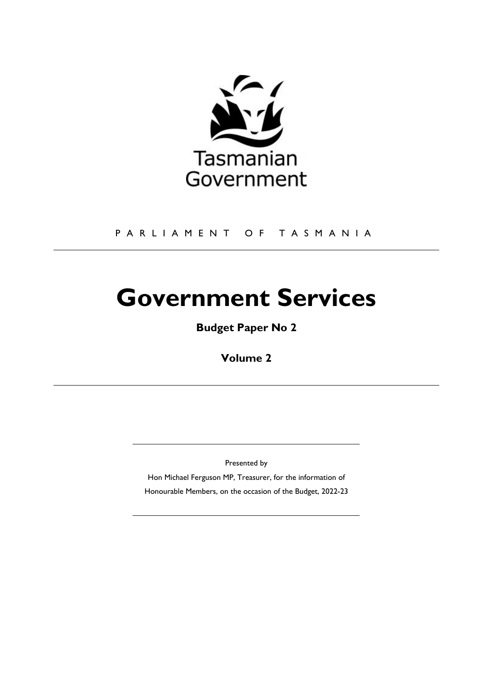

#### P A R L I A M E N T O F T A S M A N I A

# **Government Services**

**Budget Paper No 2** 

**Volume 2** 

Presented by

Hon Michael Ferguson MP, Treasurer, for the information of Honourable Members, on the occasion of the Budget, 2022-23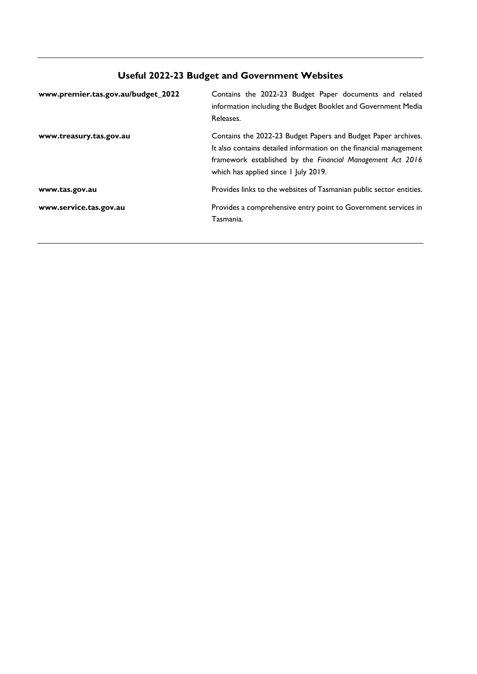| www.premier.tas.gov.au/budget_2022 | Contains the 2022-23 Budget Paper documents and related<br>information including the Budget Booklet and Government Media<br>Releases.                                                                                                    |
|------------------------------------|------------------------------------------------------------------------------------------------------------------------------------------------------------------------------------------------------------------------------------------|
| www.treasury.tas.gov.au            | Contains the 2022-23 Budget Papers and Budget Paper archives.<br>It also contains detailed information on the financial management<br>framework established by the Financial Management Act 2016<br>which has applied since 1 July 2019. |
| www.tas.gov.au                     | Provides links to the websites of Tasmanian public sector entities.                                                                                                                                                                      |
| www.service.tas.gov.au             | Provides a comprehensive entry point to Government services in<br>Tasmania.                                                                                                                                                              |

#### **Useful 2022-23 Budget and Government Websites**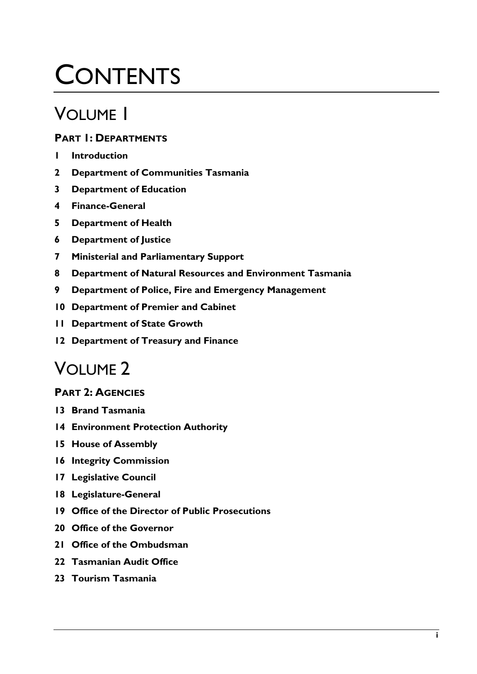# **CONTENTS**

# VOLUME 1

#### **PART 1: DEPARTMENTS**

- **1 Introduction**
- **2 Department of Communities Tasmania**
- **3 Department of Education**
- **4 Finance-General**
- **5 Department of Health**
- **6 Department of Justice**
- **7 Ministerial and Parliamentary Support**
- **8 Department of Natural Resources and Environment Tasmania**
- **9 Department of Police, Fire and Emergency Management**
- **10 Department of Premier and Cabinet**
- **11 Department of State Growth**
- **12 Department of Treasury and Finance**

## VOLUME 2

#### **PART 2: AGENCIES**

- **13 Brand Tasmania**
- **14 Environment Protection Authority**
- **15 House of Assembly**
- **16 Integrity Commission**
- **17 Legislative Council**
- **18 Legislature-General**
- **19 Office of the Director of Public Prosecutions**
- **20 Office of the Governor**
- **21 Office of the Ombudsman**
- **22 Tasmanian Audit Office**
- **23 Tourism Tasmania**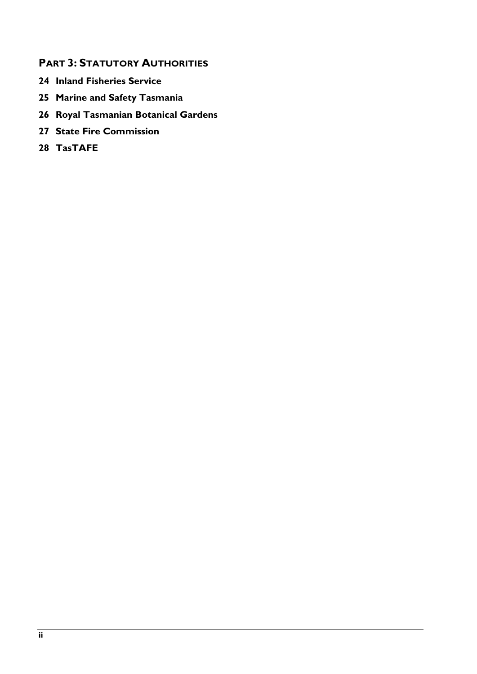#### **PART 3: STATUTORY AUTHORITIES**

- **24 Inland Fisheries Service**
- **25 Marine and Safety Tasmania**
- **26 Royal Tasmanian Botanical Gardens**
- **27 State Fire Commission**
- **28 TasTAFE**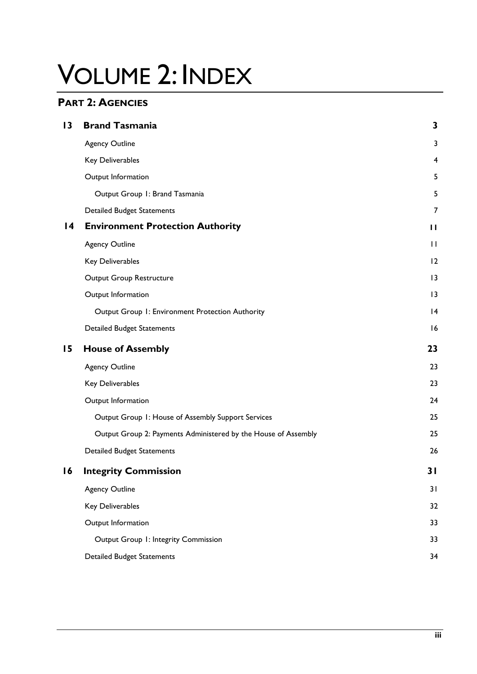# VOLUME 2: INDEX

#### **PART 2: AGENCIES**

| $\overline{13}$ | <b>Brand Tasmania</b>                                          | 3              |
|-----------------|----------------------------------------------------------------|----------------|
|                 | <b>Agency Outline</b>                                          | 3              |
|                 | Key Deliverables                                               | 4              |
|                 | Output Information                                             | 5              |
|                 | Output Group 1: Brand Tasmania                                 | 5              |
|                 | <b>Detailed Budget Statements</b>                              | 7              |
| $\overline{14}$ | <b>Environment Protection Authority</b>                        | $\mathbf{H}$   |
|                 | <b>Agency Outline</b>                                          | $\mathbf{H}$   |
|                 | Key Deliverables                                               | 12             |
|                 | Output Group Restructure                                       | 3              |
|                 | Output Information                                             | $\overline{1}$ |
|                 | Output Group 1: Environment Protection Authority               | 4              |
|                 | <b>Detailed Budget Statements</b>                              | 16             |
| 15              | <b>House of Assembly</b>                                       | 23             |
|                 | <b>Agency Outline</b>                                          | 23             |
|                 | Key Deliverables                                               | 23             |
|                 | Output Information                                             | 24             |
|                 | Output Group 1: House of Assembly Support Services             | 25             |
|                 | Output Group 2: Payments Administered by the House of Assembly | 25             |
|                 | <b>Detailed Budget Statements</b>                              | 26             |
| 16              | <b>Integrity Commission</b>                                    | 31             |
|                 | <b>Agency Outline</b>                                          | 31             |
|                 | Key Deliverables                                               | 32             |
|                 | Output Information                                             | 33             |
|                 | Output Group 1: Integrity Commission                           | 33             |
|                 | <b>Detailed Budget Statements</b>                              | 34             |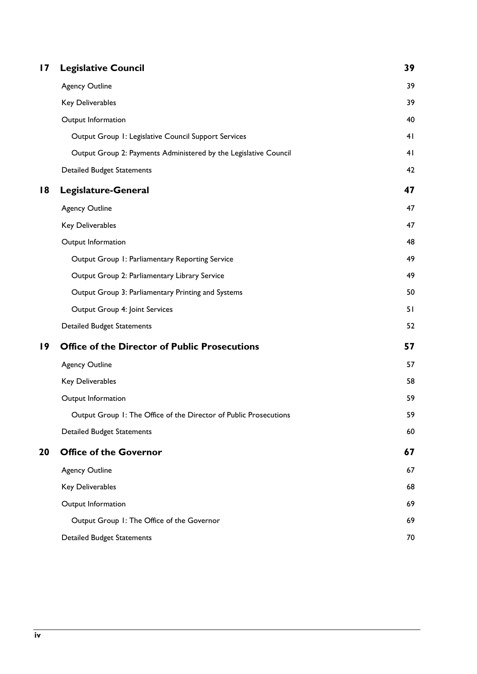| $\overline{17}$ | <b>Legislative Council</b>                                        | 39             |
|-----------------|-------------------------------------------------------------------|----------------|
|                 | <b>Agency Outline</b>                                             | 39             |
|                 | Key Deliverables                                                  | 39             |
|                 | Output Information                                                | 40             |
|                 | Output Group 1: Legislative Council Support Services              | 4 <sub>l</sub> |
|                 | Output Group 2: Payments Administered by the Legislative Council  | 4 <sub>l</sub> |
|                 | <b>Detailed Budget Statements</b>                                 | 42             |
| 18              | Legislature-General                                               | 47             |
|                 | <b>Agency Outline</b>                                             | 47             |
|                 | Key Deliverables                                                  | 47             |
|                 | Output Information                                                | 48             |
|                 | Output Group 1: Parliamentary Reporting Service                   | 49             |
|                 | Output Group 2: Parliamentary Library Service                     | 49             |
|                 | Output Group 3: Parliamentary Printing and Systems                | 50             |
|                 | Output Group 4: Joint Services                                    | 51             |
|                 | <b>Detailed Budget Statements</b>                                 | 52             |
| 19              | <b>Office of the Director of Public Prosecutions</b>              | 57             |
|                 | <b>Agency Outline</b>                                             | 57             |
|                 | Key Deliverables                                                  | 58             |
|                 | Output Information                                                | 59             |
|                 | Output Group 1: The Office of the Director of Public Prosecutions | 59             |
|                 | <b>Detailed Budget Statements</b>                                 | 60             |
| 20              | <b>Office of the Governor</b>                                     | 67             |
|                 | <b>Agency Outline</b>                                             | 67             |
|                 | Key Deliverables                                                  | 68             |
|                 | Output Information                                                | 69             |
|                 | Output Group 1: The Office of the Governor                        | 69             |
|                 | <b>Detailed Budget Statements</b>                                 | 70             |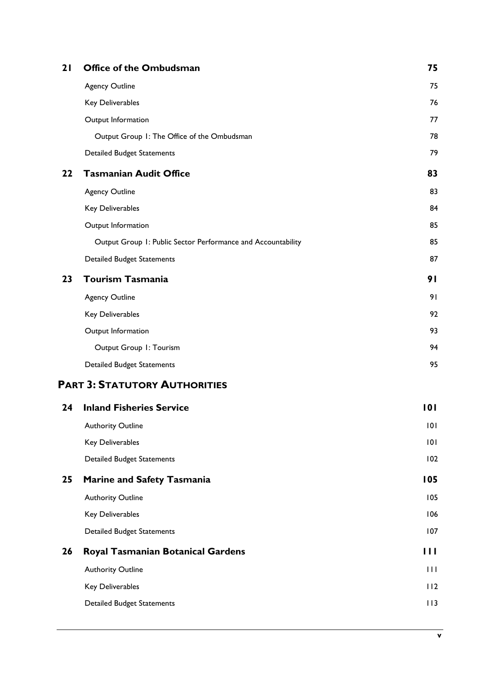| 21 | Office of the Ombudsman                                      | 75           |
|----|--------------------------------------------------------------|--------------|
|    | <b>Agency Outline</b>                                        | 75           |
|    | Key Deliverables                                             | 76           |
|    | Output Information                                           | 77           |
|    | Output Group 1: The Office of the Ombudsman                  | 78           |
|    | <b>Detailed Budget Statements</b>                            | 79           |
| 22 | <b>Tasmanian Audit Office</b>                                | 83           |
|    | <b>Agency Outline</b>                                        | 83           |
|    | Key Deliverables                                             | 84           |
|    | Output Information                                           | 85           |
|    | Output Group 1: Public Sector Performance and Accountability | 85           |
|    | <b>Detailed Budget Statements</b>                            | 87           |
| 23 | <b>Tourism Tasmania</b>                                      | 91           |
|    | <b>Agency Outline</b>                                        | 91           |
|    | Key Deliverables                                             | 92           |
|    | Output Information                                           | 93           |
|    | Output Group 1: Tourism                                      | 94           |
|    | <b>Detailed Budget Statements</b>                            | 95           |
|    | <b>PART 3: STATUTORY AUTHORITIES</b>                         |              |
| 24 | <b>Inland Fisheries Service</b>                              | 101          |
|    | <b>Authority Outline</b>                                     | 101          |
|    | Key Deliverables                                             | 101          |
|    | <b>Detailed Budget Statements</b>                            | 102          |
| 25 | <b>Marine and Safety Tasmania</b>                            | 105          |
|    | <b>Authority Outline</b>                                     | 105          |
|    | Key Deliverables                                             | 106          |
|    | <b>Detailed Budget Statements</b>                            | 107          |
| 26 | <b>Royal Tasmanian Botanical Gardens</b>                     | Ш            |
|    | <b>Authority Outline</b>                                     | $\mathbf{H}$ |
|    | Key Deliverables                                             | 112          |
|    | <b>Detailed Budget Statements</b>                            | 113          |
|    |                                                              |              |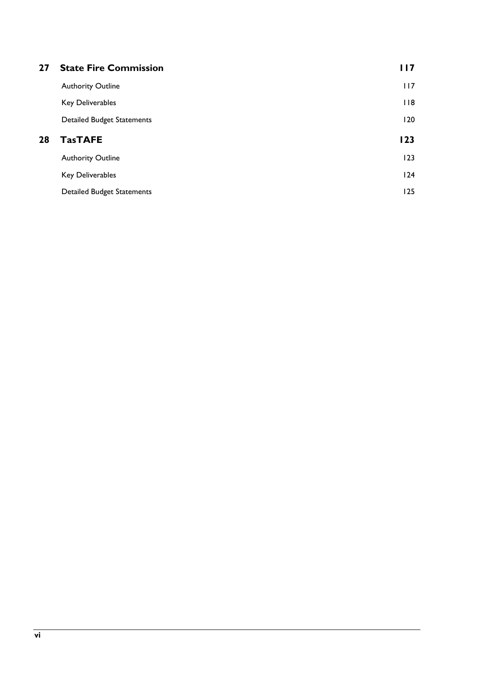| 27 | <b>State Fire Commission</b>      | 117 |
|----|-----------------------------------|-----|
|    | <b>Authority Outline</b>          | 117 |
|    | Key Deliverables                  | 118 |
|    | <b>Detailed Budget Statements</b> | 120 |
| 28 | <b>TasTAFE</b>                    | 123 |
|    |                                   |     |
|    | <b>Authority Outline</b>          | 123 |
|    | <b>Key Deliverables</b>           | 124 |
|    | <b>Detailed Budget Statements</b> | 125 |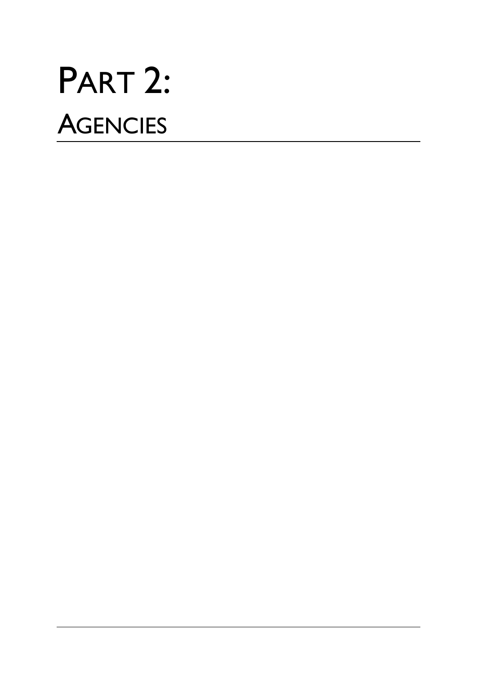# PART 2: **AGENCIES**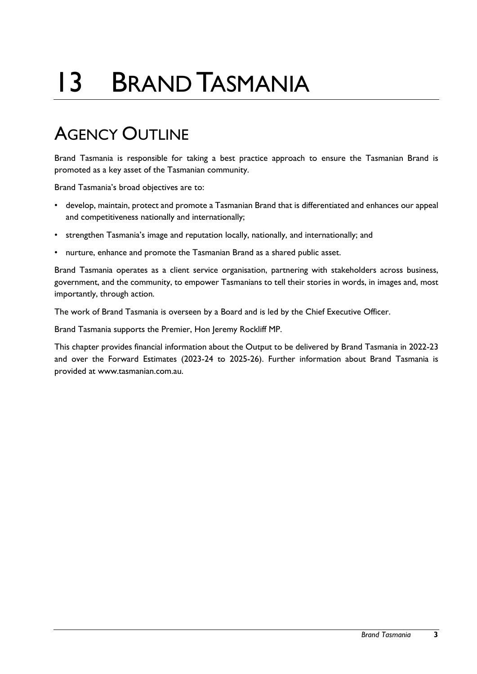# 13 BRAND TASMANIA

## AGENCY OUTLINE

Brand Tasmania is responsible for taking a best practice approach to ensure the Tasmanian Brand is promoted as a key asset of the Tasmanian community.

Brand Tasmania's broad objectives are to:

- develop, maintain, protect and promote a Tasmanian Brand that is differentiated and enhances our appeal and competitiveness nationally and internationally;
- strengthen Tasmania's image and reputation locally, nationally, and internationally; and
- nurture, enhance and promote the Tasmanian Brand as a shared public asset.

Brand Tasmania operates as a client service organisation, partnering with stakeholders across business, government, and the community, to empower Tasmanians to tell their stories in words, in images and, most importantly, through action.

The work of Brand Tasmania is overseen by a Board and is led by the Chief Executive Officer.

Brand Tasmania supports the Premier, Hon Jeremy Rockliff MP.

This chapter provides financial information about the Output to be delivered by Brand Tasmania in 2022-23 and over the Forward Estimates (2023-24 to 2025-26). Further information about Brand Tasmania is provided at www.tasmanian.com.au.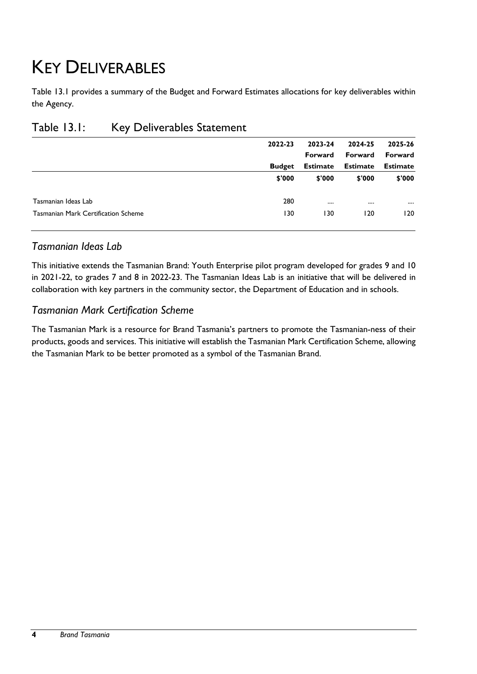## KEY DELIVERABLES

Table 13.1 provides a summary of the Budget and Forward Estimates allocations for key deliverables within the Agency.

|                                            | 2022-23       | 2023-24         | 2024-25         | 2025-26         |
|--------------------------------------------|---------------|-----------------|-----------------|-----------------|
|                                            |               | Forward         | Forward         | Forward         |
|                                            | <b>Budget</b> | <b>Estimate</b> | <b>Estimate</b> | <b>Estimate</b> |
|                                            | \$'000        | \$'000          | \$'000          | \$'000          |
| Tasmanian Ideas Lab                        | 280           |                 |                 |                 |
| <b>Tasmanian Mark Certification Scheme</b> | 130           | 130             | 120             | 120             |
|                                            |               |                 |                 |                 |

#### Table 13.1: Key Deliverables Statement

#### *Tasmanian Ideas Lab*

This initiative extends the Tasmanian Brand: Youth Enterprise pilot program developed for grades 9 and 10 in 2021-22, to grades 7 and 8 in 2022-23. The Tasmanian Ideas Lab is an initiative that will be delivered in collaboration with key partners in the community sector, the Department of Education and in schools.

#### *Tasmanian Mark Certification Scheme*

The Tasmanian Mark is a resource for Brand Tasmania's partners to promote the Tasmanian-ness of their products, goods and services. This initiative will establish the Tasmanian Mark Certification Scheme, allowing the Tasmanian Mark to be better promoted as a symbol of the Tasmanian Brand.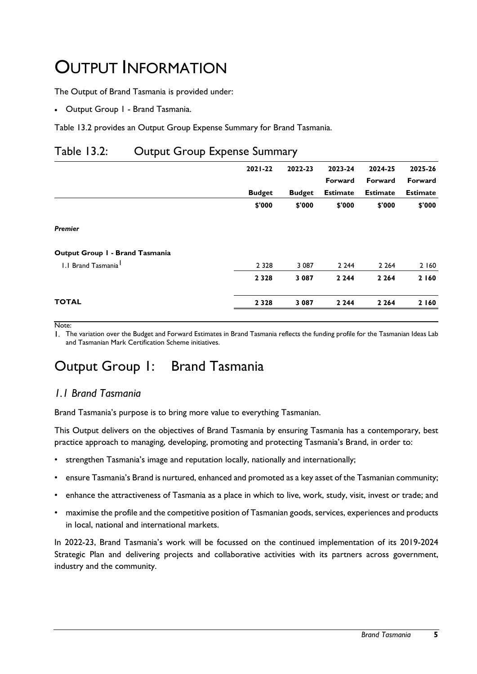## OUTPUT INFORMATION

The Output of Brand Tasmania is provided under:

Output Group 1 - Brand Tasmania.

Table 13.2 provides an Output Group Expense Summary for Brand Tasmania.

#### Table 13.2: Output Group Expense Summary

|                                 | $2021 - 22$   | 2022-23       | 2023-24         | 2024-25         | 2025-26         |
|---------------------------------|---------------|---------------|-----------------|-----------------|-----------------|
|                                 |               |               | Forward         | Forward         | Forward         |
|                                 | <b>Budget</b> | <b>Budget</b> | <b>Estimate</b> | <b>Estimate</b> | <b>Estimate</b> |
|                                 | \$'000        | \$'000        | \$'000          | \$'000          | \$'000          |
| <b>Premier</b>                  |               |               |                 |                 |                 |
| Output Group I - Brand Tasmania |               |               |                 |                 |                 |
| 1.1 Brand Tasmania <sup>1</sup> | 2 3 2 8       | 3 0 8 7       | 2 2 4 4         | 2 2 6 4         | 2 160           |
|                                 | 2 3 2 8       | 3 0 8 7       | 2 2 4 4         | 2 2 6 4         | 2 160           |
| <b>TOTAL</b>                    | 2 3 2 8       | 3 0 8 7       | 2 2 4 4         | 2 2 6 4         | 2 160           |
|                                 |               |               |                 |                 |                 |

Note:

I. The variation over the Budget and Forward Estimates in Brand Tasmania reflects the funding profile for the Tasmanian Ideas Lab and Tasmanian Mark Certification Scheme initiatives.

## Output Group 1: Brand Tasmania

#### *1.1 Brand Tasmania*

Brand Tasmania's purpose is to bring more value to everything Tasmanian.

This Output delivers on the objectives of Brand Tasmania by ensuring Tasmania has a contemporary, best practice approach to managing, developing, promoting and protecting Tasmania's Brand, in order to:

- strengthen Tasmania's image and reputation locally, nationally and internationally;
- ensure Tasmania's Brand is nurtured, enhanced and promoted as a key asset of the Tasmanian community;
- enhance the attractiveness of Tasmania as a place in which to live, work, study, visit, invest or trade; and
- maximise the profile and the competitive position of Tasmanian goods, services, experiences and products in local, national and international markets.

In 2022-23, Brand Tasmania's work will be focussed on the continued implementation of its 2019-2024 Strategic Plan and delivering projects and collaborative activities with its partners across government, industry and the community.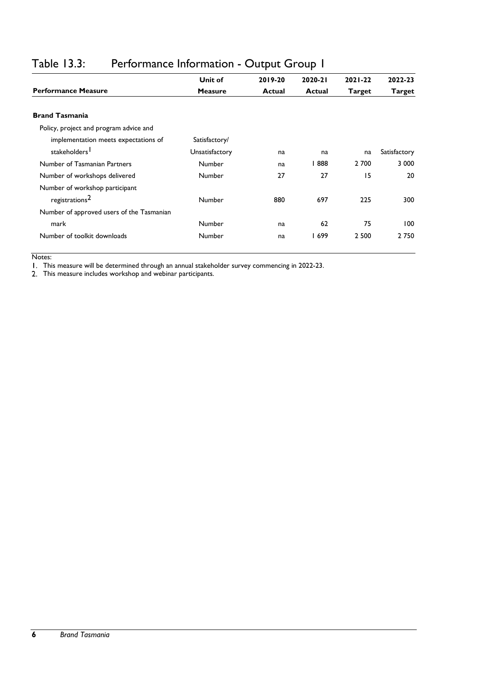|                |         |         |                          | 2022-23       |
|----------------|---------|---------|--------------------------|---------------|
| <b>Measure</b> | Actual  |         | <b>Target</b>            | <b>Target</b> |
|                |         |         |                          |               |
|                |         |         |                          |               |
| Satisfactory/  |         |         |                          |               |
| Unsatisfactory | na      | na      | na                       | Satisfactory  |
| Number         | na      | 888     | 2 700                    | 3 0 0 0       |
| Number         | 27      | 27      | 15                       | 20            |
|                |         |         |                          |               |
| Number         | 880     | 697     | 225                      | 300           |
|                |         |         |                          |               |
| Number         | na      | 62      | 75                       | 100           |
| Number         | na      | 699     | 2 500                    | 2 7 5 0       |
|                | Unit of | 2019-20 | 2020-21<br><b>Actual</b> | $2021 - 22$   |

#### Table 13.3: Performance Information - Output Group 1

Notes:

This measure will be determined through an annual stakeholder survey commencing in 2022-23.

This measure includes workshop and webinar participants.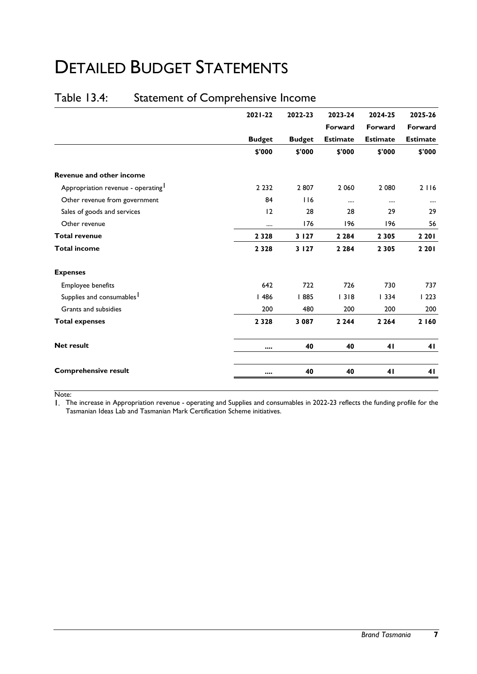## DETAILED BUDGET STATEMENTS

### Table 13.4: Statement of Comprehensive Income

|                                                | $2021 - 22$   | 2022-23       | 2023-24         | 2024-25         | 2025-26         |
|------------------------------------------------|---------------|---------------|-----------------|-----------------|-----------------|
|                                                |               |               | Forward         | Forward         | Forward         |
|                                                | <b>Budget</b> | <b>Budget</b> | <b>Estimate</b> | <b>Estimate</b> | <b>Estimate</b> |
|                                                | \$'000        | \$'000        | \$'000          | \$'000          | \$'000          |
| Revenue and other income                       |               |               |                 |                 |                 |
| Appropriation revenue - operating <sup>1</sup> | 2 2 3 2       | 2807          | 2 0 6 0         | 2 0 8 0         | 2116            |
| Other revenue from government                  | 84            | 116           |                 |                 |                 |
| Sales of goods and services                    | 12            | 28            | 28              | 29              | 29              |
| Other revenue                                  |               | 176           | 196             | 196             | 56              |
| <b>Total revenue</b>                           | 2 3 2 8       | 3 1 2 7       | 2 2 8 4         | 2 3 0 5         | 2 2 0 1         |
| <b>Total income</b>                            | 2 3 2 8       | 3 1 2 7       | 2 2 8 4         | 2 3 0 5         | 2 2 0 1         |
| <b>Expenses</b>                                |               |               |                 |                 |                 |
| Employee benefits                              | 642           | 722           | 726             | 730             | 737             |
| Supplies and consumables <sup>1</sup>          | 1486          | 885           | 1318            | 1334            | 1223            |
| Grants and subsidies                           | 200           | 480           | 200             | 200             | 200             |
| <b>Total expenses</b>                          | 2 3 2 8       | 3 0 8 7       | 2 2 4 4         | 2 2 6 4         | 2 160           |
| <b>Net result</b>                              |               | 40            | 40              | 41              | 41              |
| <b>Comprehensive result</b>                    | $\cdots$      | 40            | 40              | 41              | 41              |

Note:

The increase in Appropriation revenue - operating and Supplies and consumables in 2022-23 reflects the funding profile for the Tasmanian Ideas Lab and Tasmanian Mark Certification Scheme initiatives.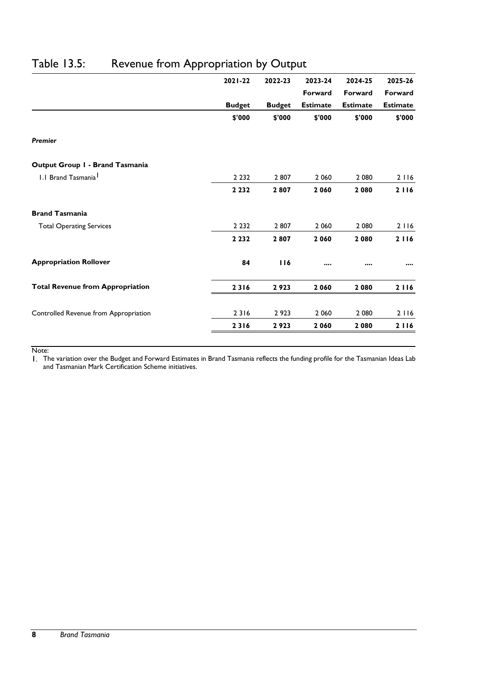|                                         | $2021 - 22$   | 2022-23       | 2023-24         | 2024-25         | 2025-26         |
|-----------------------------------------|---------------|---------------|-----------------|-----------------|-----------------|
|                                         |               |               | Forward         | Forward         | Forward         |
|                                         | <b>Budget</b> | <b>Budget</b> | <b>Estimate</b> | <b>Estimate</b> | <b>Estimate</b> |
|                                         | \$'000        | \$'000        | \$'000          | \$'000          | \$'000          |
| <b>Premier</b>                          |               |               |                 |                 |                 |
| Output Group I - Brand Tasmania         |               |               |                 |                 |                 |
| 1.1 Brand Tasmania <sup>1</sup>         | 2 2 3 2       | 2807          | 2 0 6 0         | 2 0 8 0         | 2 116           |
|                                         | 2 2 3 2       | 2807          | 2 0 6 0         | 2 0 8 0         | 2116            |
| <b>Brand Tasmania</b>                   |               |               |                 |                 |                 |
| <b>Total Operating Services</b>         | 2 2 3 2       | 2807          | 2 0 6 0         | 2 0 8 0         | 2 116           |
|                                         | 2 2 3 2       | 2807          | 2 0 6 0         | 2080            | 2116            |
| <b>Appropriation Rollover</b>           | 84            | 116           |                 |                 |                 |
| <b>Total Revenue from Appropriation</b> | 2316          | 2923          | 2 0 6 0         | 2 0 8 0         | 2 1 1 6         |
| Controlled Revenue from Appropriation   | 2316          | 2923          | 2 0 6 0         | 2 0 8 0         | 2 116           |
|                                         | 2316          | 2923          | 2 0 6 0         | 2 0 8 0         | 2 1 1 6         |

### Table 13.5: Revenue from Appropriation by Output

Note:

The variation over the Budget and Forward Estimates in Brand Tasmania reflects the funding profile for the Tasmanian Ideas Lab and Tasmanian Mark Certification Scheme initiatives.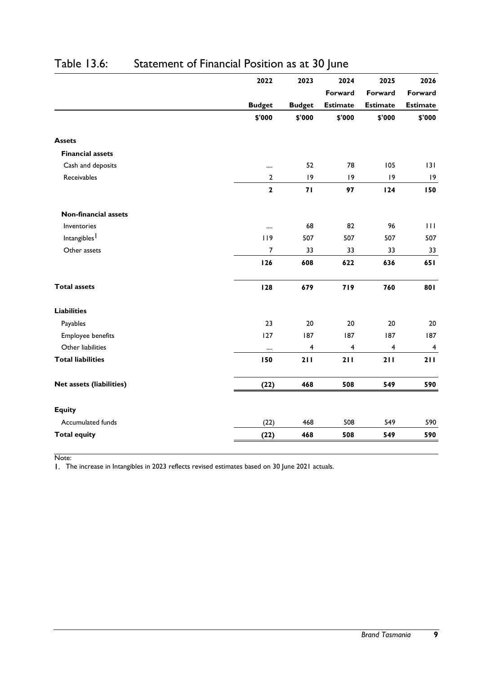|                                 | 2022           | 2023                    | 2024            | 2025                    | 2026                    |
|---------------------------------|----------------|-------------------------|-----------------|-------------------------|-------------------------|
|                                 |                |                         | Forward         | Forward                 | Forward                 |
|                                 | <b>Budget</b>  | <b>Budget</b>           | <b>Estimate</b> | <b>Estimate</b>         | <b>Estimate</b>         |
|                                 | \$'000         | \$'000                  | \$'000          | \$'000                  | \$'000                  |
| <b>Assets</b>                   |                |                         |                 |                         |                         |
| <b>Financial assets</b>         |                |                         |                 |                         |                         |
| Cash and deposits               |                | 52                      | 78              | 105                     | 131                     |
| Receivables                     | $\mathbf{2}$   | 9                       | 9               | 9                       | 9                       |
|                                 | $\mathbf{2}$   | 71                      | 97              | 124                     | 150                     |
| <b>Non-financial assets</b>     |                |                         |                 |                         |                         |
| Inventories                     |                | 68                      | 82              | 96                      | 111                     |
| Intangibles <sup>1</sup>        | 119            | 507                     | 507             | 507                     | 507                     |
| Other assets                    | $\overline{7}$ | 33                      | 33              | 33                      | 33                      |
|                                 | 126            | 608                     | 622             | 636                     | 651                     |
| <b>Total assets</b>             | 128            | 679                     | 719             | 760                     | 801                     |
| <b>Liabilities</b>              |                |                         |                 |                         |                         |
| Payables                        | 23             | 20                      | 20              | 20                      | 20                      |
| Employee benefits               | 127            | 187                     | 187             | 187                     | 187                     |
| Other liabilities               | $\cdots$       | $\overline{\mathbf{4}}$ | 4               | $\overline{\mathbf{4}}$ | $\overline{\mathbf{4}}$ |
| <b>Total liabilities</b>        | 150            | 211                     | 211             | 211                     | 211                     |
| <b>Net assets (liabilities)</b> | (22)           | 468                     | 508             | 549                     | 590                     |
| <b>Equity</b>                   |                |                         |                 |                         |                         |
| Accumulated funds               | (22)           | 468                     | 508             | 549                     | 590                     |
| <b>Total equity</b>             | (22)           | 468                     | 508             | 549                     | 590                     |

### Table 13.6: Statement of Financial Position as at 30 June

Note:

The increase in Intangibles in 2023 reflects revised estimates based on 30 June 2021 actuals.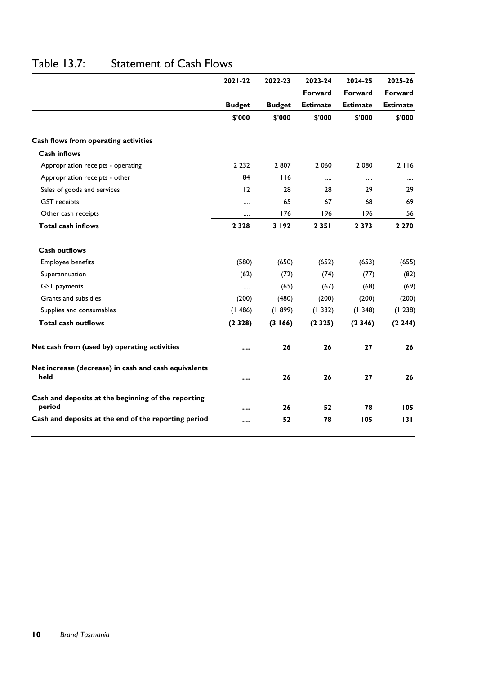|                                                               | 2021-22       | 2022-23       | 2023-24         | 2024-25         | 2025-26         |
|---------------------------------------------------------------|---------------|---------------|-----------------|-----------------|-----------------|
|                                                               |               |               | <b>Forward</b>  | Forward         | Forward         |
|                                                               | <b>Budget</b> | <b>Budget</b> | <b>Estimate</b> | <b>Estimate</b> | <b>Estimate</b> |
|                                                               | \$'000        | \$'000        | \$'000          | \$'000          | \$'000          |
| Cash flows from operating activities                          |               |               |                 |                 |                 |
| <b>Cash inflows</b>                                           |               |               |                 |                 |                 |
| Appropriation receipts - operating                            | 2 2 3 2       | 2807          | 2 0 6 0         | 2 0 8 0         | 2 116           |
| Appropriation receipts - other                                | 84            | 116           |                 | $\cdots$        |                 |
| Sales of goods and services                                   | 12            | 28            | 28              | 29              | 29              |
| <b>GST</b> receipts                                           |               | 65            | 67              | 68              | 69              |
| Other cash receipts                                           |               | 176           | 196             | 196             | 56              |
| <b>Total cash inflows</b>                                     | 2 3 2 8       | 3 192         | 2 3 5 1         | 2 3 7 3         | 2 2 7 0         |
| <b>Cash outflows</b>                                          |               |               |                 |                 |                 |
| Employee benefits                                             | (580)         | (650)         | (652)           | (653)           | (655)           |
| Superannuation                                                | (62)          | (72)          | (74)            | (77)            | (82)            |
| <b>GST</b> payments                                           |               | (65)          | (67)            | (68)            | (69)            |
| Grants and subsidies                                          | (200)         | (480)         | (200)           | (200)           | (200)           |
| Supplies and consumables                                      | (1486)        | (1899)        | (1332)          | (1348)          | (1238)          |
| <b>Total cash outflows</b>                                    | (2328)        | (3166)        | (2325)          | (2346)          | (2244)          |
| Net cash from (used by) operating activities                  |               | 26            | 26              | 27              | 26              |
| Net increase (decrease) in cash and cash equivalents<br>held  |               | 26            | 26              | 27              | 26              |
|                                                               |               |               |                 |                 |                 |
| Cash and deposits at the beginning of the reporting<br>period |               | 26            | 52              | 78              | 105             |
| Cash and deposits at the end of the reporting period          |               | 52            | 78              | 105             | 131             |

#### Table 13.7: Statement of Cash Flows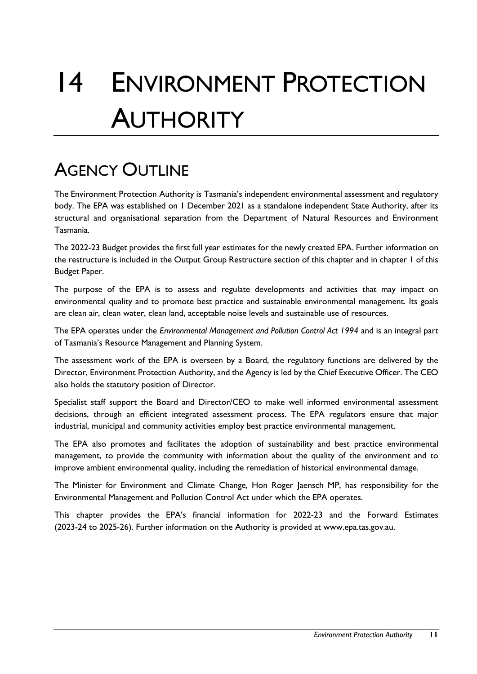# 14 ENVIRONMENT PROTECTION **AUTHORITY**

## AGENCY OUTLINE

The Environment Protection Authority is Tasmania's independent environmental assessment and regulatory body. The EPA was established on 1 December 2021 as a standalone independent State Authority, after its structural and organisational separation from the Department of Natural Resources and Environment Tasmania.

The 2022-23 Budget provides the first full year estimates for the newly created EPA. Further information on the restructure is included in the Output Group Restructure section of this chapter and in chapter 1 of this Budget Paper.

The purpose of the EPA is to assess and regulate developments and activities that may impact on environmental quality and to promote best practice and sustainable environmental management. Its goals are clean air, clean water, clean land, acceptable noise levels and sustainable use of resources.

The EPA operates under the *Environmental Management and Pollution Control Act 1994* and is an integral part of Tasmania's Resource Management and Planning System.

The assessment work of the EPA is overseen by a Board, the regulatory functions are delivered by the Director, Environment Protection Authority, and the Agency is led by the Chief Executive Officer. The CEO also holds the statutory position of Director.

Specialist staff support the Board and Director/CEO to make well informed environmental assessment decisions, through an efficient integrated assessment process. The EPA regulators ensure that major industrial, municipal and community activities employ best practice environmental management.

The EPA also promotes and facilitates the adoption of sustainability and best practice environmental management, to provide the community with information about the quality of the environment and to improve ambient environmental quality, including the remediation of historical environmental damage.

The Minister for Environment and Climate Change, Hon Roger Jaensch MP, has responsibility for the Environmental Management and Pollution Control Act under which the EPA operates.

This chapter provides the EPA's financial information for 2022-23 and the Forward Estimates (2023-24 to 2025-26). Further information on the Authority is provided at www.epa.tas.gov.au.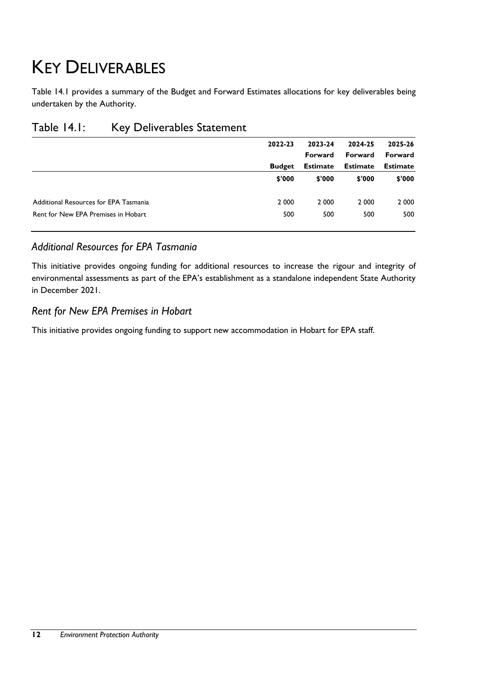## KEY DELIVERABLES

Table 14.1 provides a summary of the Budget and Forward Estimates allocations for key deliverables being undertaken by the Authority.

|                                       | 2022-23       | 2023-24         | 2024-25         | 2025-26         |
|---------------------------------------|---------------|-----------------|-----------------|-----------------|
|                                       |               | Forward         | Forward         | Forward         |
|                                       | <b>Budget</b> | <b>Estimate</b> | <b>Estimate</b> | <b>Estimate</b> |
|                                       | \$'000        | \$'000          | \$'000          | \$'000          |
| Additional Resources for EPA Tasmania | 2 0 0 0       | 2 0 0 0         | 2 0 0 0         | 2 0 0 0         |
| Rent for New EPA Premises in Hobart   | 500           | 500             | 500             | 500             |

#### Table 14.1: Key Deliverables Statement

#### *Additional Resources for EPA Tasmania*

This initiative provides ongoing funding for additional resources to increase the rigour and integrity of environmental assessments as part of the EPA's establishment as a standalone independent State Authority in December 2021.

#### *Rent for New EPA Premises in Hobart*

This initiative provides ongoing funding to support new accommodation in Hobart for EPA staff.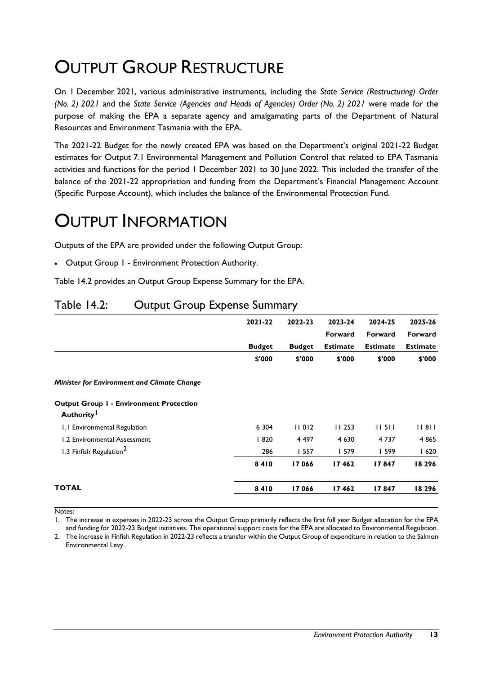## **OUTPUT GROUP RESTRUCTURE**

On 1 December 2021, various administrative instruments, including the *State Service (Restructuring) Order (No. 2) 2021* and the *State Service (Agencies and Heads of Agencies) Order (No. 2) 2021* were made for the purpose of making the EPA a separate agency and amalgamating parts of the Department of Natural Resources and Environment Tasmania with the EPA.

The 2021-22 Budget for the newly created EPA was based on the Department's original 2021-22 Budget estimates for Output 7.1 Environmental Management and Pollution Control that related to EPA Tasmania activities and functions for the period 1 December 2021 to 30 June 2022. This included the transfer of the balance of the 2021-22 appropriation and funding from the Department's Financial Management Account (Specific Purpose Account), which includes the balance of the Environmental Protection Fund.

## OUTPUT INFORMATION

Outputs of the EPA are provided under the following Output Group:

Output Group 1 - Environment Protection Authority.

Table 14.2 provides an Output Group Expense Summary for the EPA.

|                                                                          | $2021 - 22$   | 2022-23       | 2023-24         | 2024-25         | 2025-26         |
|--------------------------------------------------------------------------|---------------|---------------|-----------------|-----------------|-----------------|
|                                                                          |               |               | Forward         | Forward         | Forward         |
|                                                                          | <b>Budget</b> | <b>Budget</b> | <b>Estimate</b> | <b>Estimate</b> | <b>Estimate</b> |
|                                                                          | \$'000        | \$'000        | \$'000          | \$'000          | \$'000          |
| <b>Minister for Environment and Climate Change</b>                       |               |               |                 |                 |                 |
| <b>Output Group I - Environment Protection</b><br>Authority <sup>1</sup> |               |               |                 |                 |                 |
| 1.1 Environmental Regulation                                             | 6 3 0 4       | 11012         | 11253           | 11511           | 11811           |
| 1.2 Environmental Assessment                                             | 1820          | 4 4 9 7       | 4 6 3 0         | 4 7 3 7         | 4865            |
| 1.3 Finfish Regulation <sup>2</sup>                                      | 286           | 1557          | 1579            | 599             | 1620            |
|                                                                          | 8410          | 17066         | 17462           | 17847           | 18 29 6         |
| <b>TOTAL</b>                                                             | 8410          | 17066         | 17462           | 17847           | 18296           |

#### Table 14.2: Output Group Expense Summary

Notes:

2. The increase in Finfish Regulation in 2022-23 reflects a transfer within the Output Group of expenditure in relation to the Salmon Environmental Levy.

<sup>1.</sup> The increase in expenses in 2022-23 across the Output Group primarily reflects the first full year Budget allocation for the EPA and funding for 2022-23 Budget initiatives. The operational support costs for the EPA are allocated to Environmental Regulation.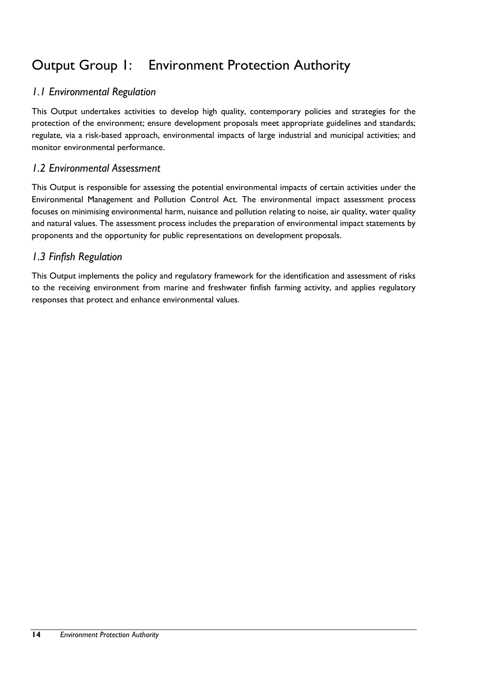## Output Group 1: Environment Protection Authority

#### *1.1 Environmental Regulation*

This Output undertakes activities to develop high quality, contemporary policies and strategies for the protection of the environment; ensure development proposals meet appropriate guidelines and standards; regulate, via a risk-based approach, environmental impacts of large industrial and municipal activities; and monitor environmental performance.

#### *1.2 Environmental Assessment*

This Output is responsible for assessing the potential environmental impacts of certain activities under the Environmental Management and Pollution Control Act. The environmental impact assessment process focuses on minimising environmental harm, nuisance and pollution relating to noise, air quality, water quality and natural values. The assessment process includes the preparation of environmental impact statements by proponents and the opportunity for public representations on development proposals.

#### *1.3 Finfish Regulation*

This Output implements the policy and regulatory framework for the identification and assessment of risks to the receiving environment from marine and freshwater finfish farming activity, and applies regulatory responses that protect and enhance environmental values.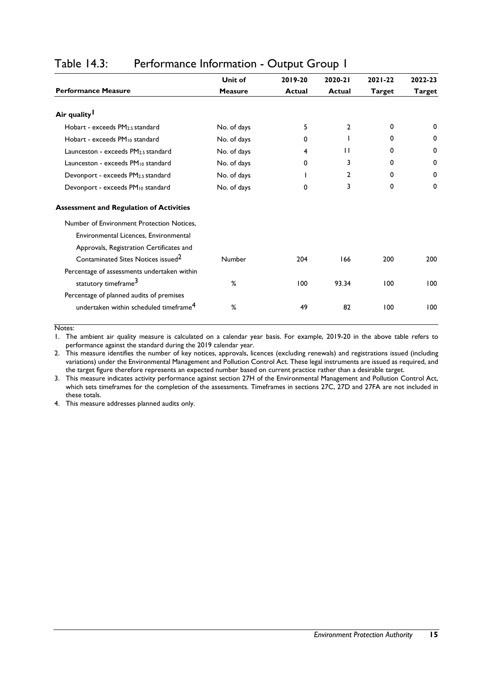| <b>Unit of</b> | 2019-20 | $2020 - 21$    | $2021 - 22$   | 2022-23       |
|----------------|---------|----------------|---------------|---------------|
| <b>Measure</b> | Actual  | <b>Actual</b>  | <b>Target</b> | <b>Target</b> |
|                |         |                |               |               |
| No. of days    | 5       | $\overline{2}$ | $\Omega$      | 0             |
| No. of days    | 0       |                | 0             | 0             |
| No. of days    | 4       | П              | 0             | 0             |
| No. of days    | 0       | 3              | 0             | 0             |
| No. of days    |         | 2              | 0             | 0             |
| No. of days    | 0       | 3              | $\Omega$      | 0             |
|                |         |                |               |               |
|                |         |                |               |               |
|                |         |                |               |               |
|                |         |                |               |               |
| Number         | 204     | 166            | 200           | 200           |
|                |         |                |               |               |
| ℅              | 100     | 93.34          | 100           | 100           |
|                |         |                |               |               |
| ℅              | 49      | 82             | 100           | 100           |
|                |         |                |               |               |

#### Table 14.3: Performance Information - Output Group 1

Notes:

1. The ambient air quality measure is calculated on a calendar year basis. For example, 2019-20 in the above table refers to performance against the standard during the 2019 calendar year.

2. This measure identifies the number of key notices, approvals, licences (excluding renewals) and registrations issued (including variations) under the Environmental Management and Pollution Control Act. These legal instruments are issued as required, and the target figure therefore represents an expected number based on current practice rather than a desirable target.

3. This measure indicates activity performance against section 27H of the Environmental Management and Pollution Control Act, which sets timeframes for the completion of the assessments. Timeframes in sections 27C, 27D and 27FA are not included in these totals.

4. This measure addresses planned audits only.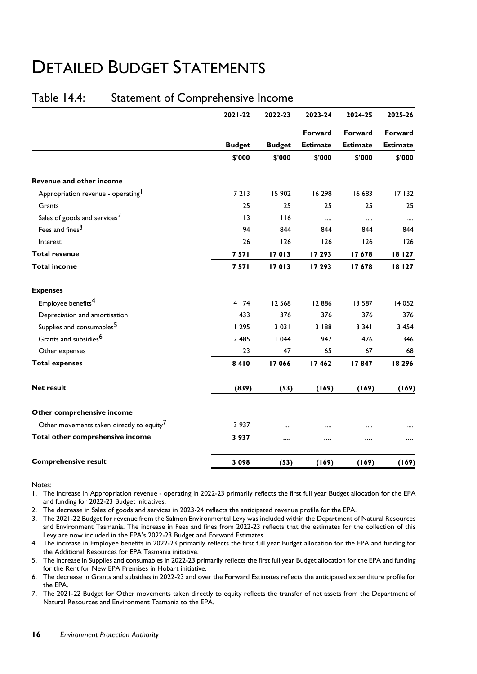## DETAILED BUDGET STATEMENTS

#### Table 14.4: Statement of Comprehensive Income

| 2021-22       | 2022-23       | 2023-24         | 2024-25         | 2025-26         |
|---------------|---------------|-----------------|-----------------|-----------------|
|               |               | Forward         | Forward         | Forward         |
| <b>Budget</b> | <b>Budget</b> | <b>Estimate</b> | <b>Estimate</b> | <b>Estimate</b> |
| \$'000        | \$'000        | \$'000          | \$'000          | \$'000          |
|               |               |                 |                 |                 |
| 7213          | 15 902        | 16 298          | 16 683          | 17 132          |
| 25            | 25            | 25              | 25              | 25              |
| 113           | 116           | $\cdots$        | $\cdots$        |                 |
| 94            | 844           | 844             | 844             | 844             |
| 126           | 126           | 126             | 126             | 126             |
| 7571          | 17013         | 17 293          | 17678           | 18 127          |
| 7571          | 17013         | 17 293          | 17678           | 18 127          |
|               |               |                 |                 |                 |
| 4 174         | 12 5 68       | 12886           | 13 587          | 14 052          |
| 433           | 376           | 376             | 376             | 376             |
| 1295          | 3031          | 3 188           | 3 3 4 1         | 3 4 5 4         |
| 2 4 8 5       | 1044          | 947             | 476             | 346             |
| 23            | 47            | 65              | 67              | 68              |
| 8410          | 17 066        | 17462           | 17847           | 18296           |
| (839)         | (53)          | (169)           | (169)           | (169)           |
|               |               |                 |                 |                 |
| 3 9 3 7       |               |                 |                 |                 |
| 3937          |               |                 |                 |                 |
| 3 0 9 8       | (53)          | (169)           | (169)           | (169)           |
|               |               |                 |                 |                 |

Notes:

1. The increase in Appropriation revenue - operating in 2022-23 primarily reflects the first full year Budget allocation for the EPA and funding for 2022-23 Budget initiatives.

2. The decrease in Sales of goods and services in 2023-24 reflects the anticipated revenue profile for the EPA.

3. The 2021-22 Budget for revenue from the Salmon Environmental Levy was included within the Department of Natural Resources and Environment Tasmania. The increase in Fees and fines from 2022-23 reflects that the estimates for the collection of this Levy are now included in the EPA's 2022-23 Budget and Forward Estimates.

4. The increase in Employee benefits in 2022-23 primarily reflects the first full year Budget allocation for the EPA and funding for the Additional Resources for EPA Tasmania initiative.

5. The increase in Supplies and consumables in 2022-23 primarily reflects the first full year Budget allocation for the EPA and funding for the Rent for New EPA Premises in Hobart initiative.

6. The decrease in Grants and subsidies in 2022-23 and over the Forward Estimates reflects the anticipated expenditure profile for the EPA.

7. The 2021-22 Budget for Other movements taken directly to equity reflects the transfer of net assets from the Department of Natural Resources and Environment Tasmania to the EPA.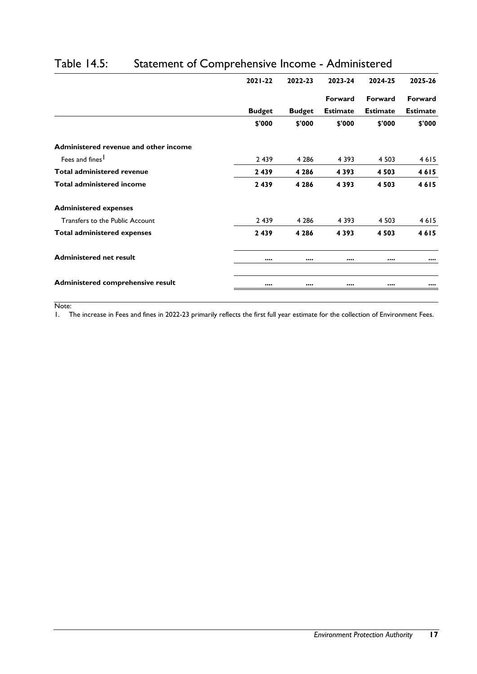|                                       | $2021 - 22$   | 2022-23       | 2023-24                        | 2024-25         | 2025-26         |
|---------------------------------------|---------------|---------------|--------------------------------|-----------------|-----------------|
|                                       |               |               | Forward                        | <b>Forward</b>  | <b>Forward</b>  |
|                                       | <b>Budget</b> | <b>Budget</b> | <b>Estimate</b>                | <b>Estimate</b> | <b>Estimate</b> |
|                                       | \$'000        | \$'000        | \$'000                         | \$'000          | \$'000          |
| Administered revenue and other income |               |               |                                |                 |                 |
| Fees and fines <sup>1</sup>           | 2 4 3 9       | 4 2 8 6       | 4 3 9 3                        | 4 5 0 3         | 4615            |
| <b>Total administered revenue</b>     | 2439          | 4 2 8 6       | 4 3 9 3                        | 4 5 0 3         | 4615            |
| <b>Total administered income</b>      | 2439          | 4 2 8 6       | 4 3 9 3                        | 4 5 0 3         | 4615            |
| <b>Administered expenses</b>          |               |               |                                |                 |                 |
| Transfers to the Public Account       | 2 4 3 9       | 4 2 8 6       | 4 3 9 3                        | 4 5 0 3         | 4615            |
| <b>Total administered expenses</b>    | 2439          | 4 2 8 6       | 4 3 9 3                        | 4 5 0 3         | 4615            |
| <b>Administered net result</b>        |               |               | $\bullet\bullet\bullet\bullet$ |                 |                 |
| Administered comprehensive result     |               |               |                                |                 |                 |

#### Table 14.5: Statement of Comprehensive Income - Administered

Note:

1. The increase in Fees and fines in 2022-23 primarily reflects the first full year estimate for the collection of Environment Fees.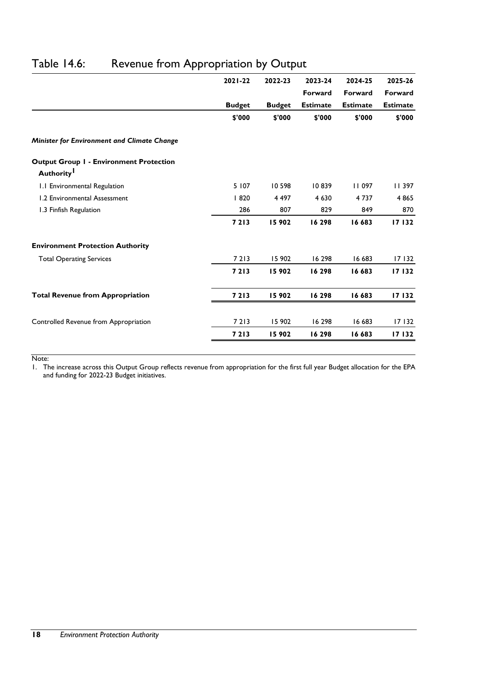|                                                                          | $2021 - 22$   | 2022-23       | 2023-24         | 2024-25         | 2025-26         |
|--------------------------------------------------------------------------|---------------|---------------|-----------------|-----------------|-----------------|
|                                                                          |               |               | Forward         | Forward         | Forward         |
|                                                                          | <b>Budget</b> | <b>Budget</b> | <b>Estimate</b> | <b>Estimate</b> | <b>Estimate</b> |
|                                                                          | \$'000        | \$'000        | \$'000          | \$'000          | \$'000          |
| <b>Minister for Environment and Climate Change</b>                       |               |               |                 |                 |                 |
| <b>Output Group I - Environment Protection</b><br>Authority <sup>1</sup> |               |               |                 |                 |                 |
| 1.1 Environmental Regulation                                             | 5 107         | 10 598        | 10839           | 11097           | 11 397          |
| 1.2 Environmental Assessment                                             | 820           | 4 4 9 7       | 4 6 3 0         | 4737            | 4 8 6 5         |
| 1.3 Finfish Regulation                                                   | 286           | 807           | 829             | 849             | 870             |
|                                                                          | 7213          | 15 902        | 16 298          | 16 683          | 17132           |
| <b>Environment Protection Authority</b>                                  |               |               |                 |                 |                 |
| <b>Total Operating Services</b>                                          | 7213          | 15 902        | 16 298          | 16 683          | 17 132          |
|                                                                          | 7213          | 15 902        | 16 298          | 16 683          | 17132           |
| <b>Total Revenue from Appropriation</b>                                  | 7213          | 15 902        | 16 298          | 16 683          | 17132           |
| Controlled Revenue from Appropriation                                    | 7213          | 15 902        | 16 298          | 16 683          | 17 132          |
|                                                                          | 7213          | 15 902        | 16 298          | 16 683          | 17132           |
|                                                                          |               |               |                 |                 |                 |

#### Table 14.6: Revenue from Appropriation by Output

Note:

1. The increase across this Output Group reflects revenue from appropriation for the first full year Budget allocation for the EPA and funding for 2022-23 Budget initiatives.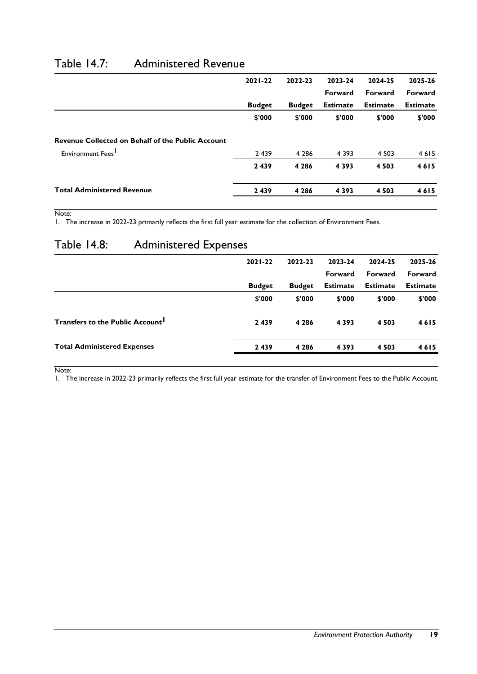|                                                          | 2021-22       | 2022-23       | 2023-24         | 2024-25         | 2025-26         |
|----------------------------------------------------------|---------------|---------------|-----------------|-----------------|-----------------|
|                                                          |               |               | Forward         | Forward         | Forward         |
|                                                          | <b>Budget</b> | <b>Budget</b> | <b>Estimate</b> | <b>Estimate</b> | <b>Estimate</b> |
|                                                          | \$'000        | \$'000        | \$'000          | \$'000          | \$'000          |
| <b>Revenue Collected on Behalf of the Public Account</b> |               |               |                 |                 |                 |
| Environment Fees <sup>1</sup>                            | 2 4 3 9       | 4 2 8 6       | 4 3 9 3         | 4 5 0 3         | 4615            |
|                                                          | 2 4 3 9       | 4 2 8 6       | 4 3 9 3         | 4 5 0 3         | 4615            |
| <b>Total Administered Revenue</b>                        | 2 4 3 9       | 4 2 8 6       | 4 3 9 3         | 4 5 0 3         | 4615            |

#### Table 14.7: Administered Revenue

#### Note:

1. The increase in 2022-23 primarily reflects the first full year estimate for the collection of Environment Fees.

#### Table 14.8: Administered Expenses

|                                              | $2021 - 22$   | 2022-23       | 2023-24         | 2024-25         | 2025-26         |
|----------------------------------------------|---------------|---------------|-----------------|-----------------|-----------------|
|                                              |               |               | Forward         | Forward         | Forward         |
|                                              | <b>Budget</b> | <b>Budget</b> | <b>Estimate</b> | <b>Estimate</b> | <b>Estimate</b> |
|                                              | \$'000        | \$'000        | \$'000          | \$'000          | \$'000          |
| Transfers to the Public Account <sup>1</sup> | 2439          | 4 2 8 6       | 4 3 9 3         | 4 5 0 3         | 4615            |
| <b>Total Administered Expenses</b>           | 2439          | 4 2 8 6       | 4 3 9 3         | 4 5 0 3         | 4615            |

Note:

1. The increase in 2022-23 primarily reflects the first full year estimate for the transfer of Environment Fees to the Public Account.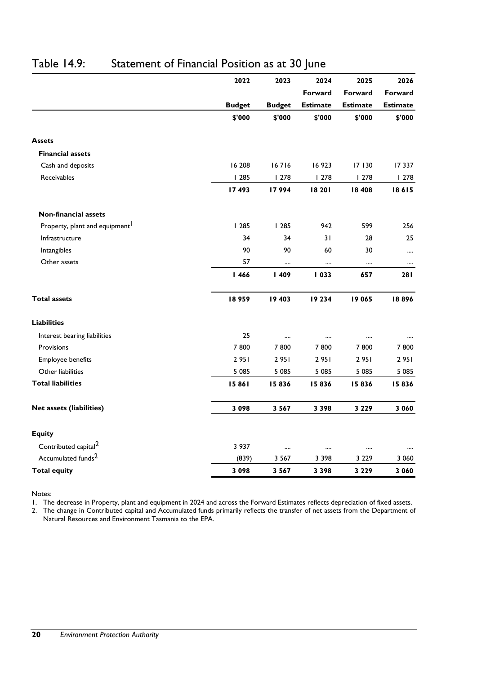|                                            | 2022          | 2023          | 2024            | 2025            | 2026            |
|--------------------------------------------|---------------|---------------|-----------------|-----------------|-----------------|
|                                            |               |               | Forward         | Forward         | Forward         |
|                                            | <b>Budget</b> | <b>Budget</b> | <b>Estimate</b> | <b>Estimate</b> | <b>Estimate</b> |
|                                            | \$'000        | \$'000        | \$'000          | \$'000          | \$'000          |
| <b>Assets</b>                              |               |               |                 |                 |                 |
| <b>Financial assets</b>                    |               |               |                 |                 |                 |
| Cash and deposits                          | 16 208        | 16716         | 16923           | 17 130          | 17337           |
| Receivables                                | 1285          | 1278          | 1278            | 1278            | 1278            |
|                                            | 17493         | 17994         | 18 20 1         | 18 408          | 18615           |
| <b>Non-financial assets</b>                |               |               |                 |                 |                 |
| Property, plant and equipment <sup>1</sup> | 1285          | 1285          | 942             | 599             | 256             |
| Infrastructure                             | 34            | 34            | 31              | 28              | 25              |
| Intangibles                                | 90            | 90            | 60              | 30              |                 |
| Other assets                               | 57            |               |                 | $\cdots$        | $\cdots$        |
|                                            | 1466          | 1409          | 1033            | 657             | <b>281</b>      |
| <b>Total assets</b>                        | 18959         | 19 403        | 19 234          | 19065           | 18896           |
| <b>Liabilities</b>                         |               |               |                 |                 |                 |
| Interest bearing liabilities               | 25            |               |                 |                 |                 |
| Provisions                                 | 7800          | 7800          | 7800            | 7800            | 7800            |
| Employee benefits                          | 2951          | 2951          | 2951            | 2951            | 2951            |
| Other liabilities                          | 5 0 8 5       | 5 0 8 5       | 5 0 8 5         | 5 0 8 5         | 5 0 8 5         |
| <b>Total liabilities</b>                   | 15861         | 15836         | 15836           | 15836           | 15836           |
| <b>Net assets (liabilities)</b>            | 3 0 9 8       | 3 5 6 7       | 3 3 9 8         | 3 2 2 9         | 3 0 6 0         |
| <b>Equity</b>                              |               |               |                 |                 |                 |
| Contributed capital <sup>2</sup>           | 3 9 3 7       |               |                 |                 |                 |
| Accumulated funds <sup>2</sup>             | (839)         | 3 5 6 7       | 3 3 9 8         | 3 2 2 9         | 3 0 6 0         |
| <b>Total equity</b>                        | 3 0 9 8       | 3 5 6 7       | 3 3 9 8         | 3 2 2 9         | 3 0 6 0         |

#### Table 14.9: Statement of Financial Position as at 30 June

Notes:

1. The decrease in Property, plant and equipment in 2024 and across the Forward Estimates reflects depreciation of fixed assets.

2. The change in Contributed capital and Accumulated funds primarily reflects the transfer of net assets from the Department of Natural Resources and Environment Tasmania to the EPA.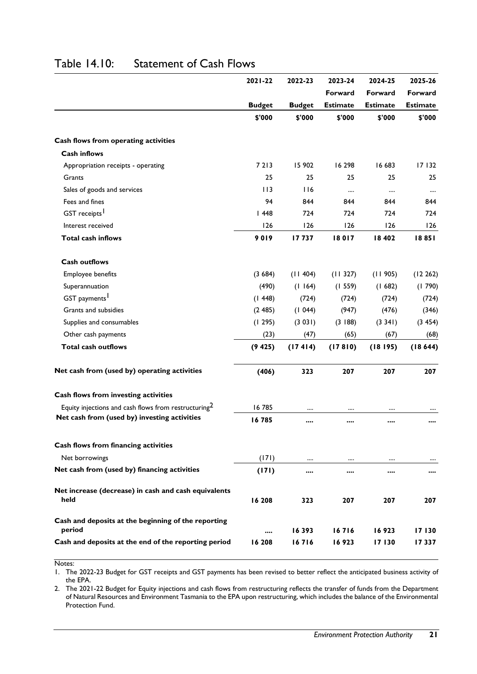|                                                              | 2021-22       | 2022-23       | 2023-24         | 2024-25         | 2025-26         |
|--------------------------------------------------------------|---------------|---------------|-----------------|-----------------|-----------------|
|                                                              |               |               | Forward         | Forward         | Forward         |
|                                                              | <b>Budget</b> | <b>Budget</b> | <b>Estimate</b> | <b>Estimate</b> | <b>Estimate</b> |
|                                                              | \$'000        | \$'000        | \$'000          | \$'000          | \$'000          |
| Cash flows from operating activities                         |               |               |                 |                 |                 |
| <b>Cash inflows</b>                                          |               |               |                 |                 |                 |
| Appropriation receipts - operating                           | 7 2 1 3       | 15 902        | 16 298          | 16 683          | 17132           |
| Grants                                                       | 25            | 25            | 25              | 25              | 25              |
| Sales of goods and services                                  | 113           | 116           | $\cdots$        |                 |                 |
| Fees and fines                                               | 94            | 844           | 844             | 844             | 844             |
| GST receipts                                                 | 1448          | 724           | 724             | 724             | 724             |
| Interest received                                            | 126           | 126           | 126             | 126             | 126             |
| <b>Total cash inflows</b>                                    | 9019          | 17737         | 18017           | 18 402          | 18851           |
| <b>Cash outflows</b>                                         |               |               |                 |                 |                 |
| Employee benefits                                            | (3684)        | (11404)       | (11327)         | (11905)         | (12 262)        |
| Superannuation                                               | (490)         | (1164)        | (1559)          | (1682)          | (1790)          |
| GST payments <sup>1</sup>                                    | (1448)        | (724)         | (724)           | (724)           | (724)           |
| Grants and subsidies                                         | (2485)        | (1044)        | (947)           | (476)           | (346)           |
| Supplies and consumables                                     | (1295)        | (3 031)       | (3188)          | (3 341)         | (3454)          |
| Other cash payments                                          | (23)          | (47)          | (65)            | (67)            | (68)            |
| <b>Total cash outflows</b>                                   | (9425)        | (17414)       | (17810)         | (18195)         | (18644)         |
| Net cash from (used by) operating activities                 | (406)         | 323           | 207             | 207             | 207             |
| Cash flows from investing activities                         |               |               |                 |                 |                 |
| Equity injections and cash flows from restructuring $2$      | 16785         |               |                 |                 |                 |
| Net cash from (used by) investing activities                 | 16785         |               | $\cdots$        |                 |                 |
| Cash flows from financing activities                         |               |               |                 |                 |                 |
| Net borrowings                                               | (171)         |               |                 |                 |                 |
| Net cash from (used by) financing activities                 | (171)         |               | $\cdots$        |                 | $\cdots$        |
| Net increase (decrease) in cash and cash equivalents<br>held | 16 208        | 323           | 207             | 207             | 207             |
| Cash and deposits at the beginning of the reporting          |               |               |                 |                 |                 |
| period                                                       |               | 16393         | 16716           | 16923           | 17130           |
| Cash and deposits at the end of the reporting period         | 16 208        | 16716         | 16923           | 17130           | 17337           |

#### Table 14.10: Statement of Cash Flows

Notes:

1. The 2022-23 Budget for GST receipts and GST payments has been revised to better reflect the anticipated business activity of the EPA.

2. The 2021-22 Budget for Equity injections and cash flows from restructuring reflects the transfer of funds from the Department of Natural Resources and Environment Tasmania to the EPA upon restructuring, which includes the balance of the Environmental Protection Fund.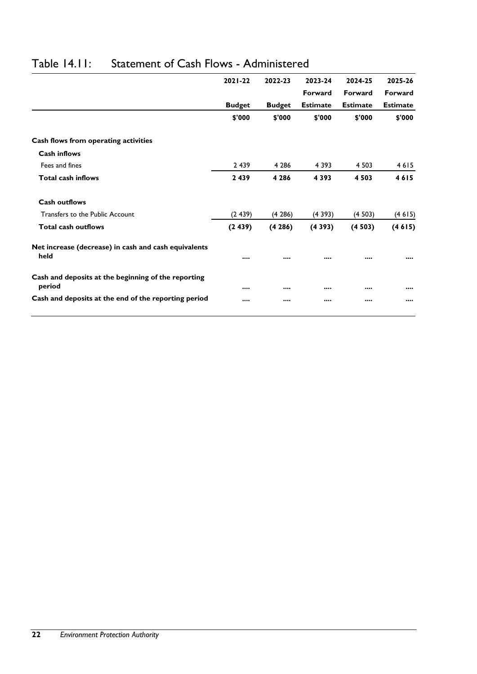|                                                               | $2021 - 22$   | 2022-23       | 2023-24         | 2024-25         | 2025-26         |
|---------------------------------------------------------------|---------------|---------------|-----------------|-----------------|-----------------|
|                                                               |               |               | Forward         | Forward         | Forward         |
|                                                               | <b>Budget</b> | <b>Budget</b> | <b>Estimate</b> | <b>Estimate</b> | <b>Estimate</b> |
|                                                               | \$'000        | \$'000        | \$'000          | \$'000          | \$'000          |
| Cash flows from operating activities                          |               |               |                 |                 |                 |
| <b>Cash inflows</b>                                           |               |               |                 |                 |                 |
| Fees and fines                                                | 2 4 3 9       | 4 2 8 6       | 4 3 9 3         | 4 5 0 3         | 4615            |
| <b>Total cash inflows</b>                                     | 2 4 3 9       | 4 2 8 6       | 4 3 9 3         | 4 5 0 3         | 4615            |
| <b>Cash outflows</b>                                          |               |               |                 |                 |                 |
| Transfers to the Public Account                               | (2439)        | (4286)        | (4393)          | (4503)          | (4615)          |
| <b>Total cash outflows</b>                                    | (2439)        | (4286)        | (4393)          | (4503)          | (4615)          |
| Net increase (decrease) in cash and cash equivalents<br>held  |               |               |                 |                 |                 |
| Cash and deposits at the beginning of the reporting<br>period |               |               |                 |                 |                 |
| Cash and deposits at the end of the reporting period          |               |               |                 |                 |                 |

#### Table 14.11: Statement of Cash Flows - Administered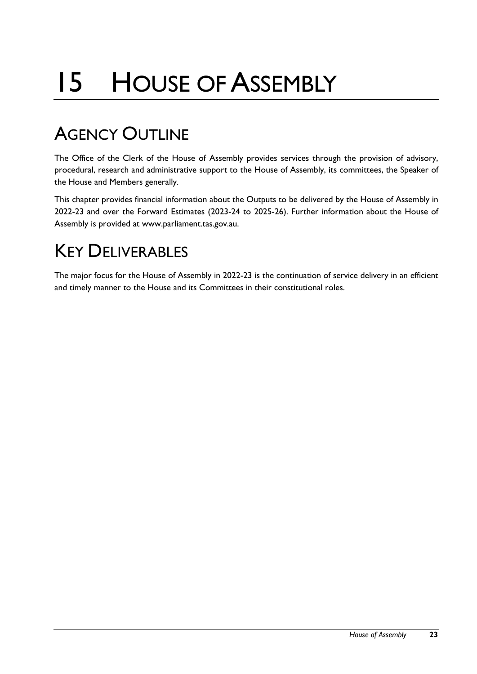# 15 HOUSE OF ASSEMBLY

## AGENCY OUTLINE

The Office of the Clerk of the House of Assembly provides services through the provision of advisory, procedural, research and administrative support to the House of Assembly, its committees, the Speaker of the House and Members generally.

This chapter provides financial information about the Outputs to be delivered by the House of Assembly in 2022-23 and over the Forward Estimates (2023-24 to 2025-26). Further information about the House of Assembly is provided at www.parliament.tas.gov.au.

# KEY DELIVERABLES

The major focus for the House of Assembly in 2022-23 is the continuation of service delivery in an efficient and timely manner to the House and its Committees in their constitutional roles.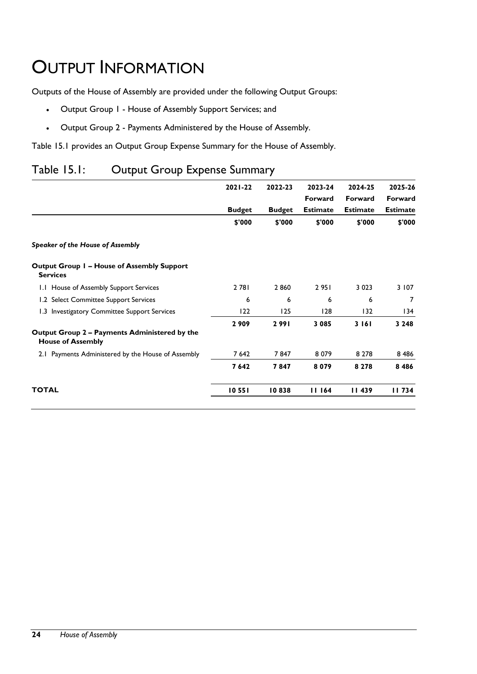## OUTPUT INFORMATION

Outputs of the House of Assembly are provided under the following Output Groups:

- Output Group 1 House of Assembly Support Services; and
- Output Group 2 Payments Administered by the House of Assembly.

Table 15.1 provides an Output Group Expense Summary for the House of Assembly.

#### Table 15.1: Output Group Expense Summary

|                                                                           | $2021 - 22$   | 2022-23       | 2023-24         | 2024-25         | 2025-26         |
|---------------------------------------------------------------------------|---------------|---------------|-----------------|-----------------|-----------------|
|                                                                           |               |               | Forward         | Forward         | Forward         |
|                                                                           | <b>Budget</b> | <b>Budget</b> | <b>Estimate</b> | <b>Estimate</b> | <b>Estimate</b> |
|                                                                           | \$'000        | \$'000        | \$'000          | \$'000          | \$'000          |
| <b>Speaker of the House of Assembly</b>                                   |               |               |                 |                 |                 |
| <b>Output Group 1 - House of Assembly Support</b><br><b>Services</b>      |               |               |                 |                 |                 |
| 1.1 House of Assembly Support Services                                    | 2 781         | 2860          | 2951            | 3 0 2 3         | 3 107           |
| 1.2 Select Committee Support Services                                     | 6             | 6             | 6               | 6               | 7               |
| 1.3 Investigatory Committee Support Services                              | 122           | 125           | 128             | 132             | 134             |
|                                                                           | 2909          | 2991          | 3 0 8 5         | 3161            | 3 2 4 8         |
| Output Group 2 – Payments Administered by the<br><b>House of Assembly</b> |               |               |                 |                 |                 |
| 2.1 Payments Administered by the House of Assembly                        | 7642          | 7847          | 8 0 7 9         | 8 2 7 8         | 8 4 8 6         |
|                                                                           | 7642          | 7847          | 8079            | 8 2 7 8         | 8486            |
| TOTAL                                                                     | 10551         | 10838         | 11 164          | 11439           | 11734           |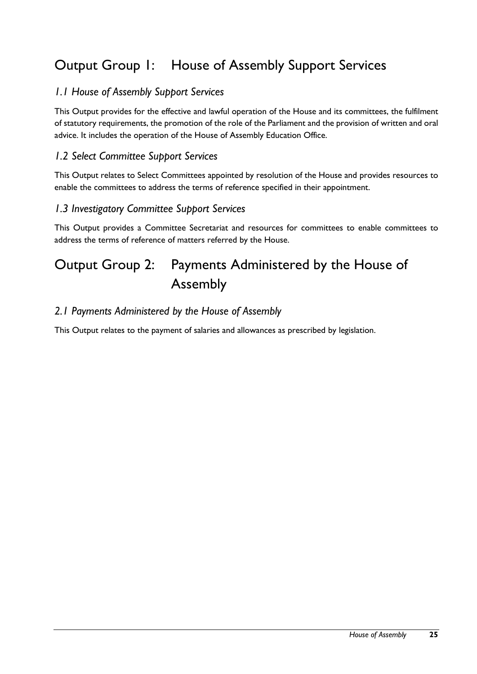### Output Group 1: House of Assembly Support Services

#### *1.1 House of Assembly Support Services*

This Output provides for the effective and lawful operation of the House and its committees, the fulfilment of statutory requirements, the promotion of the role of the Parliament and the provision of written and oral advice. It includes the operation of the House of Assembly Education Office.

#### *1.2 Select Committee Support Services*

This Output relates to Select Committees appointed by resolution of the House and provides resources to enable the committees to address the terms of reference specified in their appointment.

#### *1.3 Investigatory Committee Support Services*

This Output provides a Committee Secretariat and resources for committees to enable committees to address the terms of reference of matters referred by the House.

## Output Group 2: Payments Administered by the House of Assembly

#### *2.1 Payments Administered by the House of Assembly*

This Output relates to the payment of salaries and allowances as prescribed by legislation.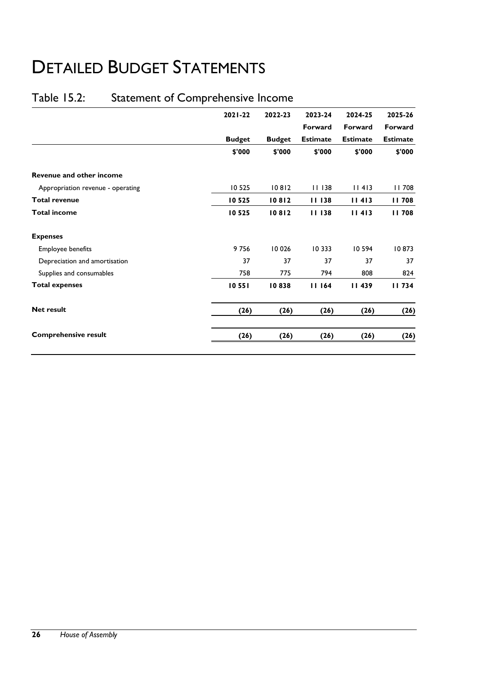## DETAILED BUDGET STATEMENTS

### Table 15.2: Statement of Comprehensive Income

|                                   | $2021 - 22$   | 2022-23       | 2023-24         | 2024-25         | 2025-26         |
|-----------------------------------|---------------|---------------|-----------------|-----------------|-----------------|
|                                   |               |               | Forward         | Forward         | Forward         |
|                                   | <b>Budget</b> | <b>Budget</b> | <b>Estimate</b> | <b>Estimate</b> | <b>Estimate</b> |
|                                   | \$'000        | \$'000        | \$'000          | \$'000          | \$'000          |
| Revenue and other income          |               |               |                 |                 |                 |
| Appropriation revenue - operating | 10 5 25       | 10812         | 11 138          | 11413           | <b>II</b> 708   |
| <b>Total revenue</b>              | 10 525        | 10812         | 11138           | 11413           | 11708           |
| <b>Total income</b>               | 10 525        | 10812         | 11 138          | 11413           | 11708           |
| <b>Expenses</b>                   |               |               |                 |                 |                 |
| Employee benefits                 | 9756          | 10 0 26       | 10 3 3 3        | 10 594          | 10873           |
| Depreciation and amortisation     | 37            | 37            | 37              | 37              | 37              |
| Supplies and consumables          | 758           | 775           | 794             | 808             | 824             |
| <b>Total expenses</b>             | 10 551        | 10838         | 11164           | 11439           | 11734           |
| <b>Net result</b>                 | (26)          | (26)          | (26)            | (26)            | (26)            |
| <b>Comprehensive result</b>       | (26)          | (26)          | (26)            | (26)            | (26)            |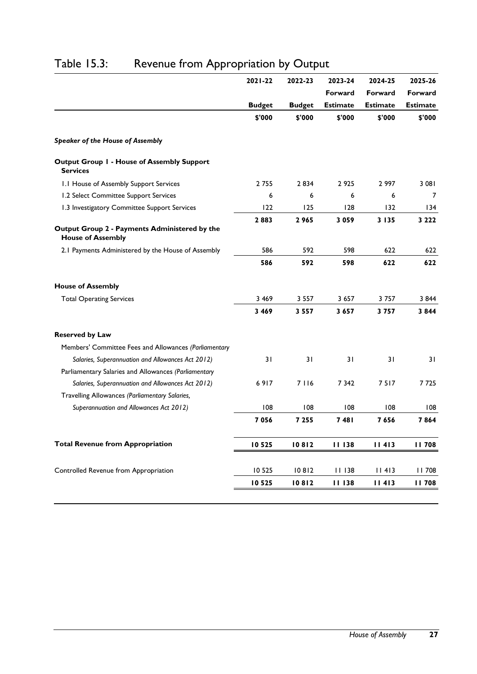|                                                                           | 2021-22       | 2022-23       | 2023-24         | 2024-25         | 2025-26         |
|---------------------------------------------------------------------------|---------------|---------------|-----------------|-----------------|-----------------|
|                                                                           |               |               | Forward         | Forward         | Forward         |
|                                                                           | <b>Budget</b> | <b>Budget</b> | <b>Estimate</b> | <b>Estimate</b> | <b>Estimate</b> |
|                                                                           | \$'000        | \$'000        | \$'000          | \$'000          | \$'000          |
| Speaker of the House of Assembly                                          |               |               |                 |                 |                 |
| Output Group I - House of Assembly Support<br><b>Services</b>             |               |               |                 |                 |                 |
| 1.1 House of Assembly Support Services                                    | 2755          | 2834          | 2 9 2 5         | 2 9 9 7         | 3 08 1          |
| 1.2 Select Committee Support Services                                     | 6             | 6             | 6               | 6               | 7               |
| 1.3 Investigatory Committee Support Services                              | 122           | 125           | 128             | 132             | 134             |
|                                                                           | 2883          | 2965          | 3 0 5 9         | 3 1 3 5         | 3 2 2 2         |
| Output Group 2 - Payments Administered by the<br><b>House of Assembly</b> |               |               |                 |                 |                 |
| 2.1 Payments Administered by the House of Assembly                        | 586           | 592           | 598             | 622             | 622             |
|                                                                           | 586           | 592           | 598             | 622             | 622             |
| <b>House of Assembly</b>                                                  |               |               |                 |                 |                 |
| <b>Total Operating Services</b>                                           | 3 4 6 9       | 3 5 5 7       | 3 6 5 7         | 3757            | 3844            |
|                                                                           | 3 4 6 9       | 3 5 5 7       | 3657            | 3757            | 3844            |
| <b>Reserved by Law</b>                                                    |               |               |                 |                 |                 |
| Members' Committee Fees and Allowances (Parliamentary                     |               |               |                 |                 |                 |
| Salaries, Superannuation and Allowances Act 2012)                         | 31            | 31            | 31              | 31              | 31              |
| Parliamentary Salaries and Allowances (Parliamentary                      |               |               |                 |                 |                 |
| Salaries, Superannuation and Allowances Act 2012)                         | 6917          | 7 116         | 7 342           | 7517            | 7 7 2 5         |
| Travelling Allowances (Parliamentary Salaries,                            |               |               |                 |                 |                 |
| Superannuation and Allowances Act 2012)                                   | 108           | 108           | 108             | 108             | 108             |
|                                                                           | 7056          | 7 2 5 5       | 7481            | 7656            | 7864            |
| <b>Total Revenue from Appropriation</b>                                   | 10525         | 10812         | 11 138          | 11413           | <b>II</b> 708   |
|                                                                           |               |               |                 |                 |                 |
| Controlled Revenue from Appropriation                                     | 10 5 25       | 10812         | 11 138          | 11413           | 11708           |
|                                                                           | 10525         | 10812         | 11 138          | 11413           | 11708           |

### Table 15.3: Revenue from Appropriation by Output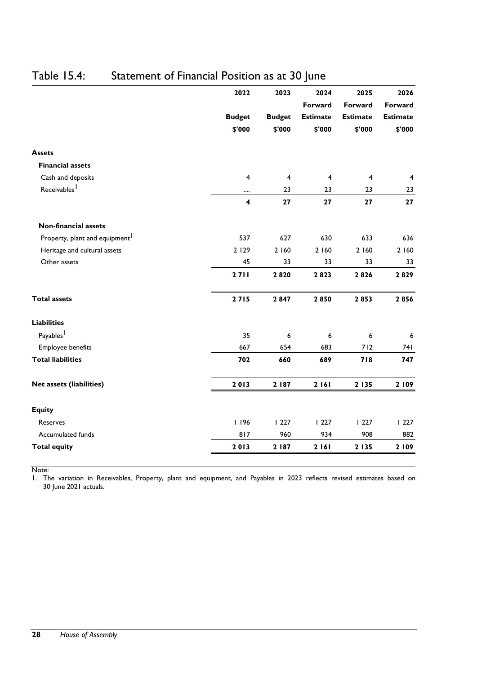|                                            | 2022                    | 2023                    | 2024            | 2025                    | 2026                    |
|--------------------------------------------|-------------------------|-------------------------|-----------------|-------------------------|-------------------------|
|                                            |                         |                         | Forward         | Forward                 | Forward                 |
|                                            | <b>Budget</b>           | <b>Budget</b>           | <b>Estimate</b> | <b>Estimate</b>         | <b>Estimate</b>         |
|                                            | \$'000                  | \$'000                  | \$'000          | \$'000                  | \$'000                  |
| <b>Assets</b>                              |                         |                         |                 |                         |                         |
| <b>Financial assets</b>                    |                         |                         |                 |                         |                         |
| Cash and deposits                          | $\overline{\mathbf{4}}$ | $\overline{\mathbf{4}}$ | 4               | $\overline{\mathbf{4}}$ | $\overline{\mathbf{4}}$ |
| Receivables <sup>1</sup>                   |                         | 23                      | 23              | 23                      | 23                      |
|                                            | $\overline{\mathbf{4}}$ | $27$                    | 27              | 27                      | 27                      |
| <b>Non-financial assets</b>                |                         |                         |                 |                         |                         |
| Property, plant and equipment <sup>1</sup> | 537                     | 627                     | 630             | 633                     | 636                     |
| Heritage and cultural assets               | 2 1 2 9                 | 2 160                   | 2 160           | 2 160                   | 2 160                   |
| Other assets                               | 45                      | 33                      | 33              | 33                      | 33                      |
|                                            | 2711                    | 2820                    | 2823            | 2826                    | 2829                    |
| <b>Total assets</b>                        | 2715                    | 2847                    | 2850            | 2853                    | 2856                    |
| <b>Liabilities</b>                         |                         |                         |                 |                         |                         |
| Payables <sup>1</sup>                      | 35                      | 6                       | 6               | $\boldsymbol{6}$        | $\boldsymbol{6}$        |
| Employee benefits                          | 667                     | 654                     | 683             | 712                     | <b>741</b>              |
| <b>Total liabilities</b>                   | 702                     | 660                     | 689             | 718                     | 747                     |
| Net assets (liabilities)                   | 2013                    | 2 187                   | 2 161           | 2 1 3 5                 | 2 1 0 9                 |
|                                            |                         |                         |                 |                         |                         |
| <b>Equity</b>                              |                         |                         |                 |                         |                         |
| Reserves                                   | 196                     | 1227                    | 1227            | 1227                    | 1227                    |
| Accumulated funds                          | 817                     | 960                     | 934             | 908                     | 882                     |
| <b>Total equity</b>                        | 2013                    | 2 187                   | 2 16 1          | 2 1 3 5                 | 2 1 0 9                 |

#### Table 15.4: Statement of Financial Position as at 30 June

Note:

1. The variation in Receivables, Property, plant and equipment, and Payables in 2023 reflects revised estimates based on 30 June 2021 actuals.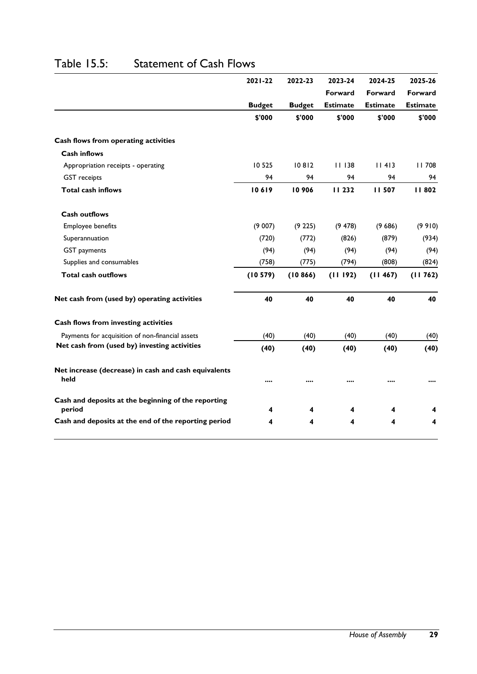|                                                               | 2021-22       | 2022-23       | 2023-24         | 2024-25         | 2025-26         |
|---------------------------------------------------------------|---------------|---------------|-----------------|-----------------|-----------------|
|                                                               |               |               | Forward         | Forward         | Forward         |
|                                                               | <b>Budget</b> | <b>Budget</b> | <b>Estimate</b> | <b>Estimate</b> | <b>Estimate</b> |
|                                                               | \$'000        | \$'000        | \$'000          | \$'000          | \$'000          |
| Cash flows from operating activities                          |               |               |                 |                 |                 |
| <b>Cash inflows</b>                                           |               |               |                 |                 |                 |
| Appropriation receipts - operating                            | 10 5 25       | 10812         | 11138           | 11413           | 11708           |
| <b>GST</b> receipts                                           | 94            | 94            | 94              | 94              | 94              |
| <b>Total cash inflows</b>                                     | 10619         | 10906         | 11 232          | <b>II 507</b>   | 11802           |
| <b>Cash outflows</b>                                          |               |               |                 |                 |                 |
| Employee benefits                                             | (9 007)       | (9 225)       | (9478)          | (9686)          | (9910)          |
| Superannuation                                                | (720)         | (772)         | (826)           | (879)           | (934)           |
| GST payments                                                  | (94)          | (94)          | (94)            | (94)            | (94)            |
| Supplies and consumables                                      | (758)         | (775)         | (794)           | (808)           | (824)           |
| <b>Total cash outflows</b>                                    | (10579)       | (10866)       | (11192)         | (11467)         | (11762)         |
| Net cash from (used by) operating activities                  | 40            | 40            | 40              | 40              | 40              |
| Cash flows from investing activities                          |               |               |                 |                 |                 |
| Payments for acquisition of non-financial assets              | (40)          | (40)          | (40)            | (40)            | (40)            |
| Net cash from (used by) investing activities                  | (40)          | (40)          | (40)            | (40)            | (40)            |
| Net increase (decrease) in cash and cash equivalents<br>held  |               |               |                 |                 |                 |
| Cash and deposits at the beginning of the reporting<br>period | 4             | 4             | 4               | 4               |                 |
| Cash and deposits at the end of the reporting period          | 4             | 4             | 4               | 4               | 4               |

#### Table 15.5: Statement of Cash Flows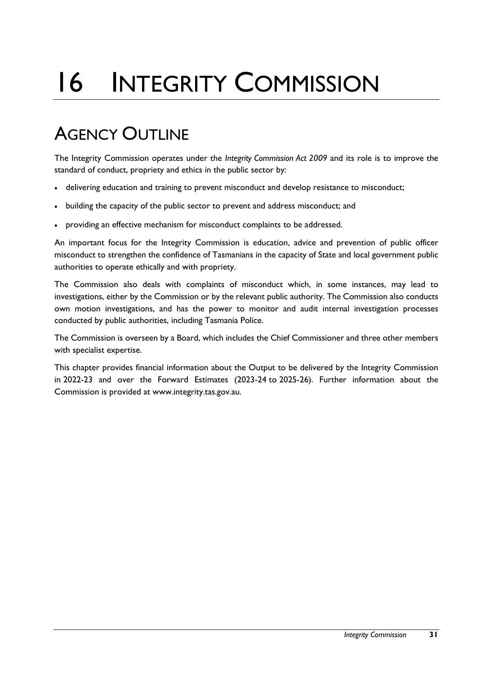# 16 INTEGRITY COMMISSION

# AGENCY OUTLINE

The Integrity Commission operates under the *Integrity Commission Act 2009* and its role is to improve the standard of conduct, propriety and ethics in the public sector by:

- delivering education and training to prevent misconduct and develop resistance to misconduct;
- building the capacity of the public sector to prevent and address misconduct; and
- providing an effective mechanism for misconduct complaints to be addressed.

An important focus for the Integrity Commission is education, advice and prevention of public officer misconduct to strengthen the confidence of Tasmanians in the capacity of State and local government public authorities to operate ethically and with propriety.

The Commission also deals with complaints of misconduct which, in some instances, may lead to investigations, either by the Commission or by the relevant public authority. The Commission also conducts own motion investigations, and has the power to monitor and audit internal investigation processes conducted by public authorities, including Tasmania Police.

The Commission is overseen by a Board, which includes the Chief Commissioner and three other members with specialist expertise.

This chapter provides financial information about the Output to be delivered by the Integrity Commission in 2022-23 and over the Forward Estimates (2023-24 to 2025-26). Further information about the Commission is provided at www.integrity.tas.gov.au.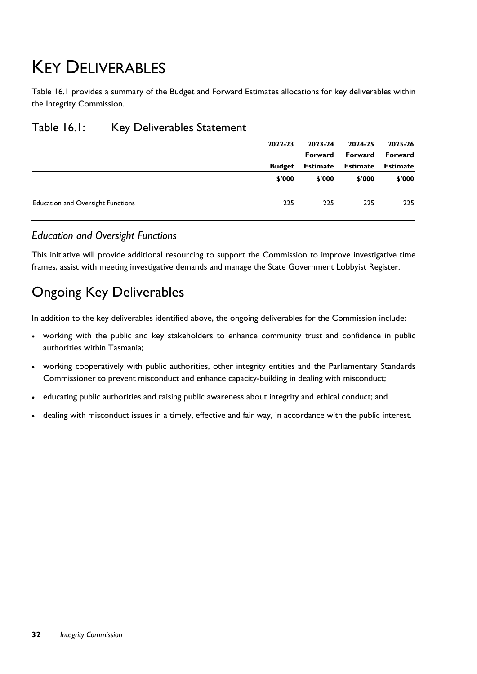# KEY DELIVERABLES

Table 16.1 provides a summary of the Budget and Forward Estimates allocations for key deliverables within the Integrity Commission.

|                                          | 2022-23       | 2023-24         | 2024-25  | 2025-26         |
|------------------------------------------|---------------|-----------------|----------|-----------------|
|                                          |               | Forward         | Forward  | Forward         |
|                                          | <b>Budget</b> | <b>Estimate</b> | Estimate | <b>Estimate</b> |
|                                          | \$'000        | \$'000          | \$'000   | \$'000          |
| <b>Education and Oversight Functions</b> | 225           | 225             | 225      | 225             |

#### Table 16.1: Key Deliverables Statement

#### *Education and Oversight Functions*

This initiative will provide additional resourcing to support the Commission to improve investigative time frames, assist with meeting investigative demands and manage the State Government Lobbyist Register.

# Ongoing Key Deliverables

In addition to the key deliverables identified above, the ongoing deliverables for the Commission include:

- working with the public and key stakeholders to enhance community trust and confidence in public authorities within Tasmania;
- working cooperatively with public authorities, other integrity entities and the Parliamentary Standards Commissioner to prevent misconduct and enhance capacity-building in dealing with misconduct;
- educating public authorities and raising public awareness about integrity and ethical conduct; and
- dealing with misconduct issues in a timely, effective and fair way, in accordance with the public interest.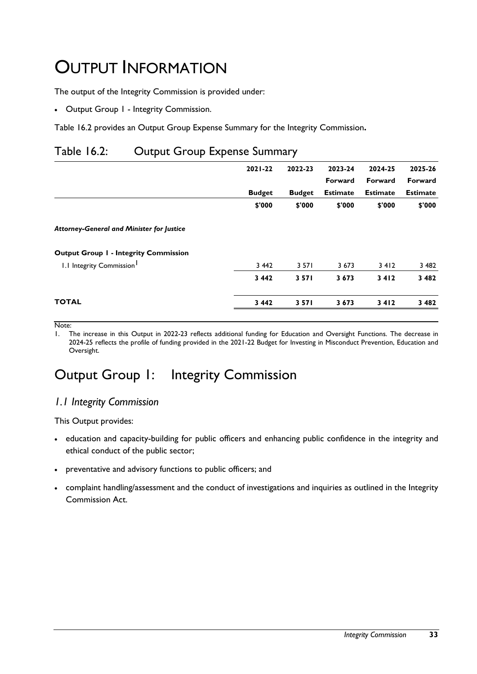# OUTPUT INFORMATION

The output of the Integrity Commission is provided under:

Output Group 1 - Integrity Commission.

Table 16.2 provides an Output Group Expense Summary for the Integrity Commission**.** 

#### Table 16.2: Output Group Expense Summary

|                                                  | $2021 - 22$   | 2022-23       | 2023-24         | 2024-25         | 2025-26         |
|--------------------------------------------------|---------------|---------------|-----------------|-----------------|-----------------|
|                                                  |               |               | Forward         | Forward         | Forward         |
|                                                  | <b>Budget</b> | <b>Budget</b> | <b>Estimate</b> | <b>Estimate</b> | <b>Estimate</b> |
|                                                  | \$'000        | \$'000        | \$'000          | \$'000          | \$'000          |
| <b>Attorney-General and Minister for Justice</b> |               |               |                 |                 |                 |
| <b>Output Group 1 - Integrity Commission</b>     |               |               |                 |                 |                 |
| 1.1 Integrity Commission <sup>1</sup>            | 3 4 4 2       | 3 5 7 1       | 3 6 7 3         | 3412            | 3 4 8 2         |
|                                                  | 3 4 4 2       | 3 5 7 1       | 3 6 7 3         | 3412            | 3 4 8 2         |
| <b>TOTAL</b>                                     | 3 4 4 2       | 3 5 7 1       | 3 6 7 3         | 3412            | 3 4 8 2         |
|                                                  |               |               |                 |                 |                 |

Note:

1. The increase in this Output in 2022-23 reflects additional funding for Education and Oversight Functions. The decrease in 2024-25 reflects the profile of funding provided in the 2021-22 Budget for Investing in Misconduct Prevention, Education and Oversight.

## Output Group 1: Integrity Commission

#### *1.1 Integrity Commission*

This Output provides:

- education and capacity-building for public officers and enhancing public confidence in the integrity and ethical conduct of the public sector;
- preventative and advisory functions to public officers; and
- complaint handling/assessment and the conduct of investigations and inquiries as outlined in the Integrity Commission Act.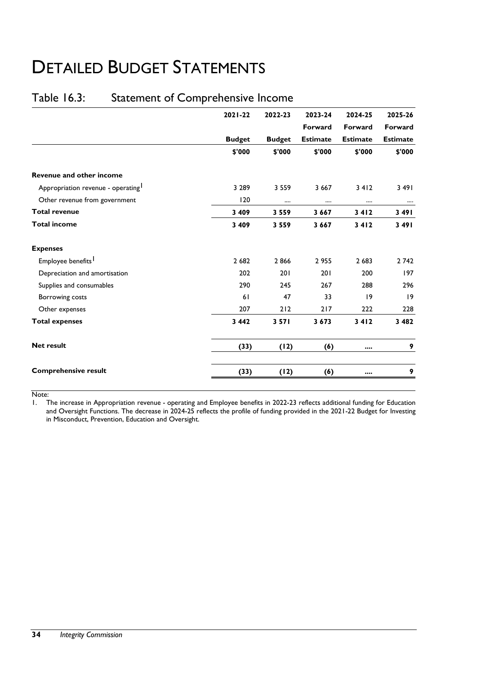# DETAILED BUDGET STATEMENTS

### Table 16.3: Statement of Comprehensive Income

|                                   | 2021-22       | 2022-23       | 2023-24         | 2024-25         | 2025-26         |
|-----------------------------------|---------------|---------------|-----------------|-----------------|-----------------|
|                                   |               |               | Forward         | Forward         | Forward         |
|                                   | <b>Budget</b> | <b>Budget</b> | <b>Estimate</b> | <b>Estimate</b> | <b>Estimate</b> |
|                                   | \$'000        | \$'000        | \$'000          | \$'000          | \$'000          |
| Revenue and other income          |               |               |                 |                 |                 |
| Appropriation revenue - operating | 3 2 8 9       | 3 5 5 9       | 3 6 6 7         | 3412            | 3491            |
| Other revenue from government     | 120           | $\cdots$      | $\cdots$        |                 |                 |
| <b>Total revenue</b>              | 3 4 0 9       | 3 5 5 9       | 3 6 6 7         | 3412            | 3491            |
| <b>Total income</b>               | 3 4 0 9       | 3 5 5 9       | 3 6 6 7         | 3412            | 3491            |
| <b>Expenses</b>                   |               |               |                 |                 |                 |
| Employee benefits <sup>1</sup>    | 2 682         | 2866          | 2955            | 2 6 8 3         | 2 7 4 2         |
| Depreciation and amortisation     | 202           | 201           | 201             | 200             | 197             |
| Supplies and consumables          | 290           | 245           | 267             | 288             | 296             |
| Borrowing costs                   | 61            | 47            | 33              | 9               | 19              |
| Other expenses                    | 207           | 212           | 217             | 222             | 228             |
| <b>Total expenses</b>             | 3 4 4 2       | 3 5 7 1       | 3 6 7 3         | 3412            | 3 4 8 2         |
| <b>Net result</b>                 | (33)          | (12)          | (6)             | $\cdots$        | 9               |
| <b>Comprehensive result</b>       | (33)          | (12)          | (6)             | $\cdots$        | 9               |

Note:

1. The increase in Appropriation revenue - operating and Employee benefits in 2022-23 reflects additional funding for Education and Oversight Functions. The decrease in 2024-25 reflects the profile of funding provided in the 2021-22 Budget for Investing in Misconduct, Prevention, Education and Oversight.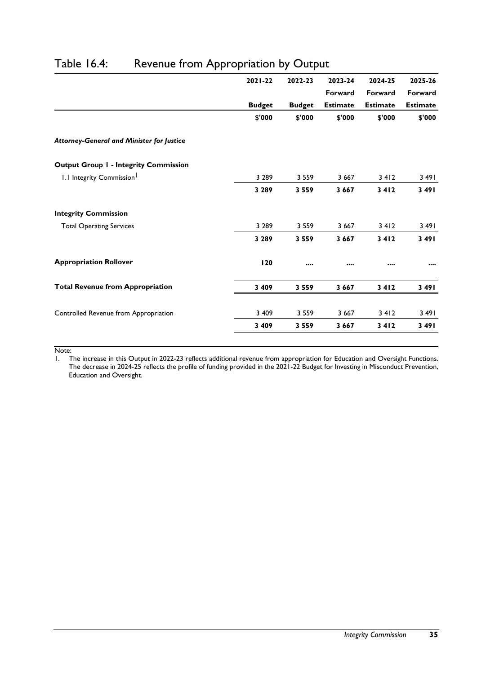|                                                  | $2021 - 22$   | 2022-23       | 2023-24         | 2024-25         | 2025-26         |
|--------------------------------------------------|---------------|---------------|-----------------|-----------------|-----------------|
|                                                  |               |               | Forward         | Forward         | Forward         |
|                                                  | <b>Budget</b> | <b>Budget</b> | <b>Estimate</b> | <b>Estimate</b> | <b>Estimate</b> |
|                                                  | \$'000        | \$'000        | \$'000          | \$'000          | \$'000          |
| <b>Attorney-General and Minister for Justice</b> |               |               |                 |                 |                 |
| <b>Output Group I - Integrity Commission</b>     |               |               |                 |                 |                 |
| 1.1 Integrity Commission <sup>1</sup>            | 3 2 8 9       | 3 5 5 9       | 3 6 6 7         | 3412            | 3491            |
|                                                  | 3 2 8 9       | 3 5 5 9       | 3 6 6 7         | 3412            | 3491            |
| <b>Integrity Commission</b>                      |               |               |                 |                 |                 |
| <b>Total Operating Services</b>                  | 3 2 8 9       | 3 5 5 9       | 3 6 6 7         | 3412            | 3491            |
|                                                  | 3 2 8 9       | 3 5 5 9       | 3 6 6 7         | 3412            | 3491            |
| <b>Appropriation Rollover</b>                    | 120           |               |                 |                 |                 |
| <b>Total Revenue from Appropriation</b>          | 3 4 0 9       | 3 5 5 9       | 3 6 6 7         | 3412            | 3 4 9 1         |
| Controlled Revenue from Appropriation            | 3 4 0 9       | 3 5 5 9       | 3 6 6 7         | 3412            | 3491            |
|                                                  | 3 4 0 9       | 3 5 5 9       | 3 6 6 7         | 3412            | 3491            |

#### Table 16.4: Revenue from Appropriation by Output

Note:

1. The increase in this Output in 2022-23 reflects additional revenue from appropriation for Education and Oversight Functions. The decrease in 2024-25 reflects the profile of funding provided in the 2021-22 Budget for Investing in Misconduct Prevention, Education and Oversight.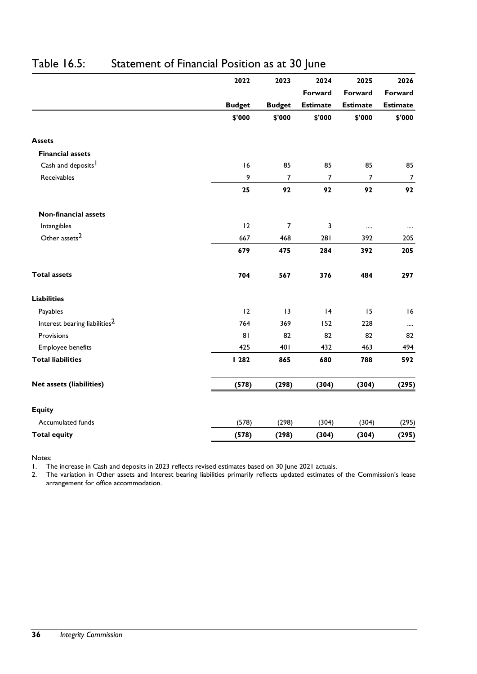|                                           | 2022          | 2023           | 2024            | 2025            | 2026             |
|-------------------------------------------|---------------|----------------|-----------------|-----------------|------------------|
|                                           |               |                | Forward         | Forward         | Forward          |
|                                           | <b>Budget</b> | <b>Budget</b>  | <b>Estimate</b> | <b>Estimate</b> | <b>Estimate</b>  |
|                                           | \$'000        | \$'000         | \$'000          | \$'000          | \$'000           |
| <b>Assets</b>                             |               |                |                 |                 |                  |
| <b>Financial assets</b>                   |               |                |                 |                 |                  |
| Cash and deposits <sup>1</sup>            | 16            | 85             | 85              | 85              | 85               |
| Receivables                               | 9             | 7              | 7               | 7               | $\boldsymbol{7}$ |
|                                           | 25            | 92             | 92              | 92              | 92               |
| <b>Non-financial assets</b>               |               |                |                 |                 |                  |
| Intangibles                               | 12            | $\overline{7}$ | 3               |                 |                  |
| Other assets <sup>2</sup>                 | 667           | 468            | 281             | 392             | 205              |
|                                           | 679           | 475            | 284             | 392             | 205              |
| <b>Total assets</b>                       | 704           | 567            | 376             | 484             | 297              |
| <b>Liabilities</b>                        |               |                |                 |                 |                  |
| Payables                                  | 12            | 3              | 4               | 15              | 16               |
| Interest bearing liabilities <sup>2</sup> | 764           | 369            | 152             | 228             |                  |
| Provisions                                | 81            | 82             | 82              | 82              | 82               |
| Employee benefits                         | 425           | 401            | 432             | 463             | 494              |
| <b>Total liabilities</b>                  | 1282          | 865            | 680             | 788             | 592              |
| <b>Net assets (liabilities)</b>           | (578)         | (298)          | (304)           | (304)           | (295)            |
| <b>Equity</b>                             |               |                |                 |                 |                  |
| Accumulated funds                         | (578)         | (298)          | (304)           | (304)           | (295)            |
| <b>Total equity</b>                       | (578)         | (298)          | (304)           | (304)           | (295)            |

### Table 16.5: Statement of Financial Position as at 30 June

Notes:

1. The increase in Cash and deposits in 2023 reflects revised estimates based on 30 June 2021 actuals.

2. The variation in Other assets and Interest bearing liabilities primarily reflects updated estimates of the Commission's lease arrangement for office accommodation.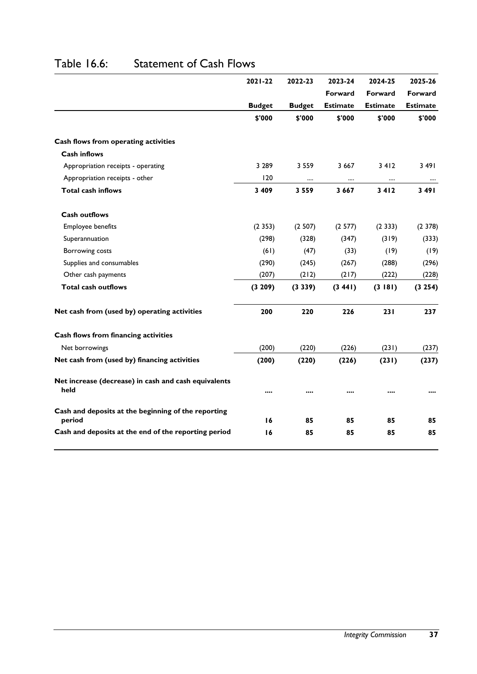|                                                               | 2021-22       | 2022-23       | 2023-24         | 2024-25         | 2025-26         |
|---------------------------------------------------------------|---------------|---------------|-----------------|-----------------|-----------------|
|                                                               |               |               | Forward         | <b>Forward</b>  | Forward         |
|                                                               | <b>Budget</b> | <b>Budget</b> | <b>Estimate</b> | <b>Estimate</b> | <b>Estimate</b> |
|                                                               | \$'000        | \$'000        | \$'000          | \$'000          | \$'000          |
| Cash flows from operating activities                          |               |               |                 |                 |                 |
| <b>Cash inflows</b>                                           |               |               |                 |                 |                 |
| Appropriation receipts - operating                            | 3 2 8 9       | 3 5 5 9       | 3 6 6 7         | 3412            | 3491            |
| Appropriation receipts - other                                | 120           |               |                 | $\cdots$        | $\cdots$        |
| <b>Total cash inflows</b>                                     | 3 4 0 9       | 3 5 5 9       | 3667            | 3412            | 3491            |
| <b>Cash outflows</b>                                          |               |               |                 |                 |                 |
| Employee benefits                                             | (2353)        | (2507)        | (2 577)         | (2333)          | (2378)          |
| Superannuation                                                | (298)         | (328)         | (347)           | (319)           | (333)           |
| Borrowing costs                                               | (61)          | (47)          | (33)            | (19)            | (19)            |
| Supplies and consumables                                      | (290)         | (245)         | (267)           | (288)           | (296)           |
| Other cash payments                                           | (207)         | (212)         | (217)           | (222)           | (228)           |
| <b>Total cash outflows</b>                                    | (3 209)       | (3339)        | (3 441)         | (3181)          | (3254)          |
| Net cash from (used by) operating activities                  | 200           | 220           | 226             | 231             | 237             |
| Cash flows from financing activities                          |               |               |                 |                 |                 |
| Net borrowings                                                | (200)         | (220)         | (226)           | (231)           | (237)           |
| Net cash from (used by) financing activities                  | (200)         | (220)         | (226)           | (231)           | (237)           |
| Net increase (decrease) in cash and cash equivalents<br>held  |               |               |                 |                 |                 |
| Cash and deposits at the beginning of the reporting<br>period | 16            | 85            | 85              | 85              | 85              |
| Cash and deposits at the end of the reporting period          | 16            | 85            | 85              | 85              | 85              |

#### Table 16.6: Statement of Cash Flows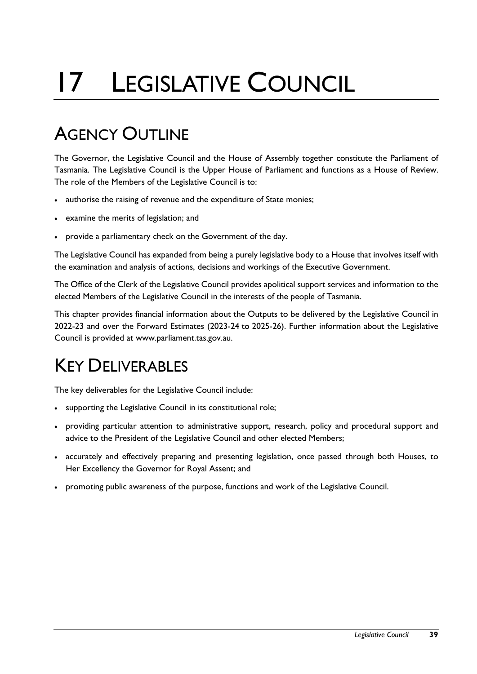# 17 LEGISLATIVE COUNCIL

# **AGENCY OUTLINE**

The Governor, the Legislative Council and the House of Assembly together constitute the Parliament of Tasmania. The Legislative Council is the Upper House of Parliament and functions as a House of Review. The role of the Members of the Legislative Council is to:

- authorise the raising of revenue and the expenditure of State monies;
- examine the merits of legislation; and
- provide a parliamentary check on the Government of the day.

The Legislative Council has expanded from being a purely legislative body to a House that involves itself with the examination and analysis of actions, decisions and workings of the Executive Government.

The Office of the Clerk of the Legislative Council provides apolitical support services and information to the elected Members of the Legislative Council in the interests of the people of Tasmania.

This chapter provides financial information about the Outputs to be delivered by the Legislative Council in 2022-23 and over the Forward Estimates (2023-24 to 2025-26). Further information about the Legislative Council is provided at www.parliament.tas.gov.au.

# KEY DELIVERABLES

The key deliverables for the Legislative Council include:

- supporting the Legislative Council in its constitutional role;
- providing particular attention to administrative support, research, policy and procedural support and advice to the President of the Legislative Council and other elected Members;
- accurately and effectively preparing and presenting legislation, once passed through both Houses, to Her Excellency the Governor for Royal Assent; and
- promoting public awareness of the purpose, functions and work of the Legislative Council.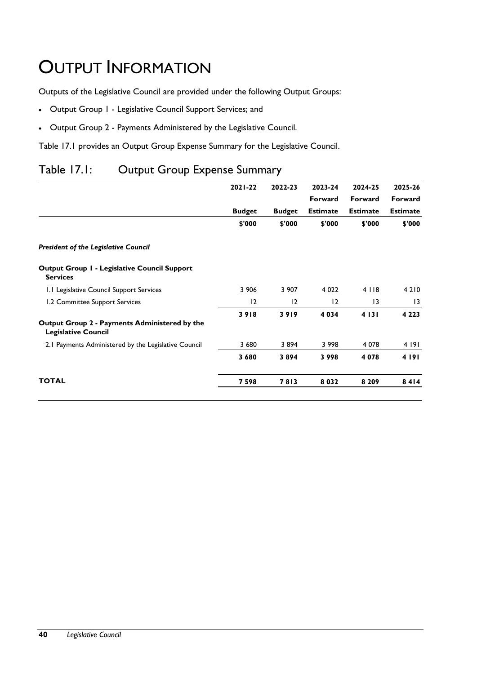# OUTPUT INFORMATION

Outputs of the Legislative Council are provided under the following Output Groups:

- Output Group 1 Legislative Council Support Services; and
- Output Group 2 Payments Administered by the Legislative Council.

Table 17.1 provides an Output Group Expense Summary for the Legislative Council.

#### Table 17.1: Output Group Expense Summary

| $2021 - 22$   | 2022-23       | 2023-24         | 2024-25         | 2025-26         |
|---------------|---------------|-----------------|-----------------|-----------------|
|               |               | Forward         | Forward         | <b>Forward</b>  |
| <b>Budget</b> | <b>Budget</b> | <b>Estimate</b> | <b>Estimate</b> | <b>Estimate</b> |
| \$'000        | \$'000        | \$'000          | \$'000          | \$'000          |
|               |               |                 |                 |                 |
|               |               |                 |                 |                 |
| 3 9 0 6       | 3 907         | 4 0 2 2         | 4 1 1 8         | 4 2 1 0         |
| 12            | 12            | 12              | 13              | 13              |
| 3918          | 3919          | 4 0 3 4         | 4 1 3 1         | 4 2 2 3         |
|               |               |                 |                 |                 |
| 3 6 8 0       | 3894          | 3 9 9 8         | 4 0 7 8         | 4 191           |
| 3 680         | 3894          | 3998            | 4 0 7 8         | 4 19 1          |
| 7598          | 7813          | 8 0 3 2         | 8 2 0 9         | 8414            |
|               |               |                 |                 |                 |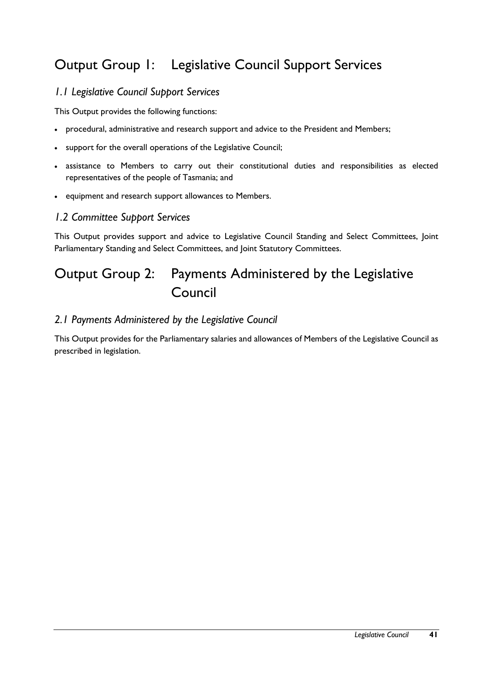### Output Group 1: Legislative Council Support Services

#### *1.1 Legislative Council Support Services*

This Output provides the following functions:

- procedural, administrative and research support and advice to the President and Members;
- support for the overall operations of the Legislative Council;
- assistance to Members to carry out their constitutional duties and responsibilities as elected representatives of the people of Tasmania; and
- equipment and research support allowances to Members.

#### *1.2 Committee Support Services*

This Output provides support and advice to Legislative Council Standing and Select Committees, Joint Parliamentary Standing and Select Committees, and Joint Statutory Committees.

# Output Group 2: Payments Administered by the Legislative Council

#### *2.1 Payments Administered by the Legislative Council*

This Output provides for the Parliamentary salaries and allowances of Members of the Legislative Council as prescribed in legislation.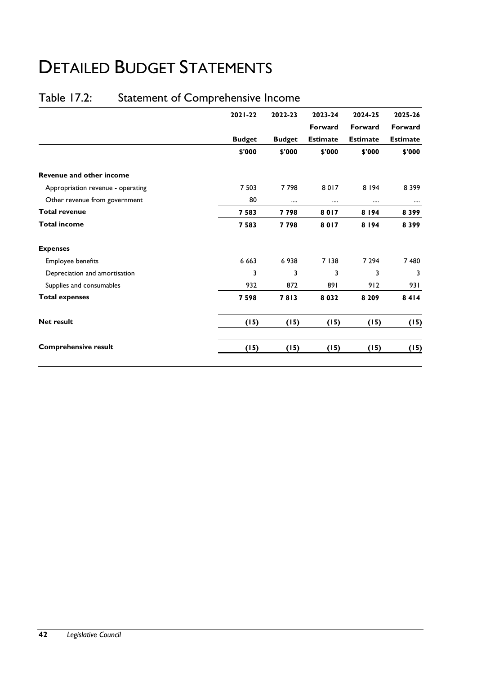# DETAILED BUDGET STATEMENTS

### Table 17.2: Statement of Comprehensive Income

|                                   | $2021 - 22$   | 2022-23       | 2023-24         | 2024-25         | 2025-26         |
|-----------------------------------|---------------|---------------|-----------------|-----------------|-----------------|
|                                   |               |               | Forward         | Forward         | Forward         |
|                                   | <b>Budget</b> | <b>Budget</b> | <b>Estimate</b> | <b>Estimate</b> | <b>Estimate</b> |
|                                   | \$'000        | \$'000        | \$'000          | \$'000          | \$'000          |
| <b>Revenue and other income</b>   |               |               |                 |                 |                 |
| Appropriation revenue - operating | 7 5 0 3       | 7798          | 8017            | 8 1 9 4         | 8 3 9 9         |
| Other revenue from government     | 80            |               |                 |                 |                 |
| <b>Total revenue</b>              | 7 5 8 3       | 7798          | 8017            | 8 1 9 4         | 8399            |
| <b>Total income</b>               | 7 5 8 3       | 7798          | 8017            | 8 1 9 4         | 8399            |
| <b>Expenses</b>                   |               |               |                 |                 |                 |
| Employee benefits                 | 6 6 6 3       | 6938          | 7 138           | 7 2 9 4         | 7480            |
| Depreciation and amortisation     | 3             | 3             | 3               | 3               | 3               |
| Supplies and consumables          | 932           | 872           | 891             | 912             | 931             |
| <b>Total expenses</b>             | 7598          | 7813          | 8 0 3 2         | 8 2 0 9         | 8414            |
| <b>Net result</b>                 | (15)          | (15)          | (15)            | (15)            | (15)            |
| <b>Comprehensive result</b>       | (15)          | (15)          | (15)            | (15)            | (15)            |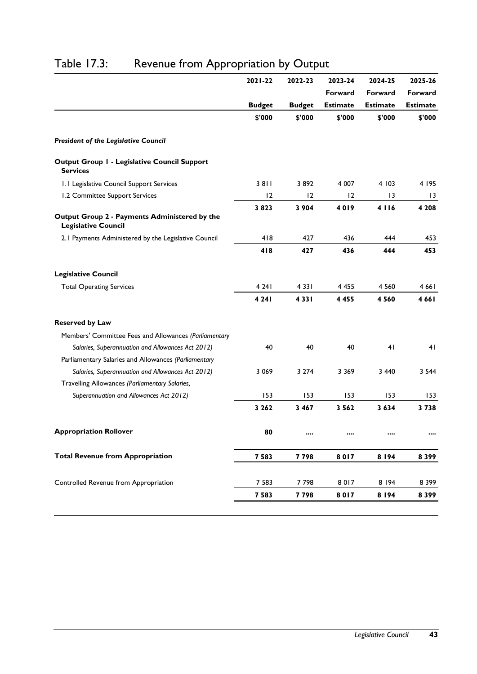|                                                                                                     | 2021-22       | 2022-23       | 2023-24         | 2024-25         | 2025-26         |
|-----------------------------------------------------------------------------------------------------|---------------|---------------|-----------------|-----------------|-----------------|
|                                                                                                     |               |               | Forward         | Forward         | Forward         |
|                                                                                                     | <b>Budget</b> | <b>Budget</b> | <b>Estimate</b> | <b>Estimate</b> | <b>Estimate</b> |
|                                                                                                     | \$'000        | \$'000        | \$'000          | \$'000          | \$'000          |
| <b>President of the Legislative Council</b>                                                         |               |               |                 |                 |                 |
| Output Group I - Legislative Council Support<br><b>Services</b>                                     |               |               |                 |                 |                 |
| 1.1 Legislative Council Support Services                                                            | 3811          | 3892          | 4 0 0 7         | 4 103           | 4 195           |
| 1.2 Committee Support Services                                                                      | 12            | 12            | 12              | 13              | $\overline{13}$ |
|                                                                                                     | 3823          | 3 9 0 4       | 4019            | 4     6         | 4 2 0 8         |
| Output Group 2 - Payments Administered by the<br><b>Legislative Council</b>                         |               |               |                 |                 |                 |
| 2.1 Payments Administered by the Legislative Council                                                | 418           | 427           | 436             | 444             | 453             |
|                                                                                                     | 418           | 427           | 436             | 444             | 453             |
| <b>Legislative Council</b>                                                                          |               |               |                 |                 |                 |
| <b>Total Operating Services</b>                                                                     | 4 2 4 1       | 4 3 3 1       | 4 4 5 5         | 4 5 6 0         | 4 6 6 1         |
|                                                                                                     | 4 2 4 1       | 4331          | 4 4 5 5         | 4 5 6 0         | 4661            |
| <b>Reserved by Law</b>                                                                              |               |               |                 |                 |                 |
| Members' Committee Fees and Allowances (Parliamentary                                               |               |               |                 |                 |                 |
| Salaries, Superannuation and Allowances Act 2012)                                                   | 40            | 40            | 40              | 41              | 41              |
| Parliamentary Salaries and Allowances (Parliamentary                                                |               |               |                 |                 |                 |
| Salaries, Superannuation and Allowances Act 2012)<br>Travelling Allowances (Parliamentary Salaries, | 3 0 6 9       | 3 2 7 4       | 3 3 6 9         | 3 4 4 0         | 3 5 4 4         |
| Superannuation and Allowances Act 2012)                                                             | 153           | 153           | 153             | 153             | 153             |
|                                                                                                     | 3 2 6 2       | 3 4 6 7       | 3 5 6 2         | 3 6 3 4         | 3738            |
| <b>Appropriation Rollover</b>                                                                       | 80            |               | $\cdots$        | $\cdots$        |                 |
| <b>Total Revenue from Appropriation</b>                                                             | 7 5 8 3       | 7798          | 8017            | 8 1 9 4         | 8399            |
| Controlled Revenue from Appropriation                                                               | 7 5 8 3       | 7798          | 8017            | 8 1 9 4         | 8 3 9 9         |
|                                                                                                     | 7 5 8 3       | 7798          | 8017            | 8 1 9 4         | 8399            |
|                                                                                                     |               |               |                 |                 |                 |

### Table 17.3: Revenue from Appropriation by Output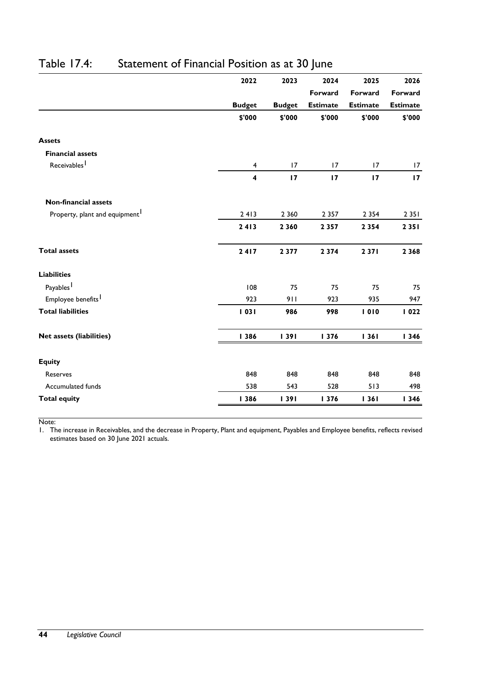|                                            | 2022                    | 2023          | 2024            | 2025            | 2026            |
|--------------------------------------------|-------------------------|---------------|-----------------|-----------------|-----------------|
|                                            |                         |               | Forward         | Forward         | Forward         |
|                                            | <b>Budget</b>           | <b>Budget</b> | <b>Estimate</b> | <b>Estimate</b> | <b>Estimate</b> |
|                                            | \$'000                  | \$'000        | \$'000          | \$'000          | \$'000          |
| <b>Assets</b>                              |                         |               |                 |                 |                 |
| <b>Financial assets</b>                    |                         |               |                 |                 |                 |
| Receivables <sup>1</sup>                   | $\overline{4}$          | 17            | 17              | 17              | 17              |
|                                            | $\overline{\mathbf{4}}$ | 17            | 17              | 17              | 17              |
| <b>Non-financial assets</b>                |                         |               |                 |                 |                 |
| Property, plant and equipment <sup>1</sup> | 2413                    | 2 3 6 0       | 2 3 5 7         | 2 3 5 4         | 2351            |
|                                            | 2413                    | 2 3 6 0       | 2 3 5 7         | 2 3 5 4         | 2 3 5 1         |
| <b>Total assets</b>                        | 2417                    | 2 3 7 7       | 2 3 7 4         | 2371            | 2 3 6 8         |
| <b>Liabilities</b>                         |                         |               |                 |                 |                 |
| Payables <sup>1</sup>                      | 108                     | 75            | 75              | 75              | 75              |
| Employee benefits                          | 923                     | 911           | 923             | 935             | 947             |
| <b>Total liabilities</b>                   | 1031                    | 986           | 998             | 1010            | 1022            |
| <b>Net assets (liabilities)</b>            | <b>1386</b>             | 1391          | <b>1376</b>     | 1361            | 1346            |
| <b>Equity</b>                              |                         |               |                 |                 |                 |
| Reserves                                   | 848                     | 848           | 848             | 848             | 848             |
| Accumulated funds                          | 538                     | 543           | 528             | 513             | 498             |
| <b>Total equity</b>                        | <b>1386</b>             | 1391          | <b>1376</b>     | 1361            | 1346            |

### Table 17.4: Statement of Financial Position as at 30 June

Note:

1. The increase in Receivables, and the decrease in Property, Plant and equipment, Payables and Employee benefits, reflects revised estimates based on 30 June 2021 actuals.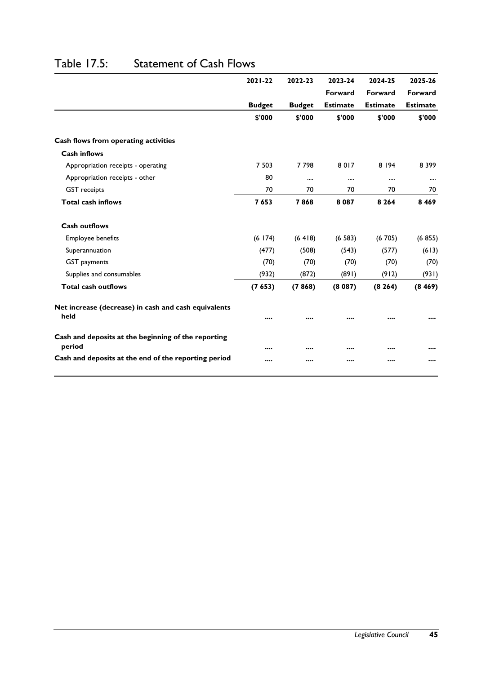|                                                               | $2021 - 22$   | 2022-23       | 2023-24         | 2024-25         | 2025-26         |
|---------------------------------------------------------------|---------------|---------------|-----------------|-----------------|-----------------|
|                                                               |               |               | Forward         | Forward         | Forward         |
|                                                               | <b>Budget</b> | <b>Budget</b> | <b>Estimate</b> | <b>Estimate</b> | <b>Estimate</b> |
|                                                               | \$'000        | \$'000        | \$'000          | \$'000          | \$'000          |
| Cash flows from operating activities                          |               |               |                 |                 |                 |
| <b>Cash inflows</b>                                           |               |               |                 |                 |                 |
| Appropriation receipts - operating                            | 7 5 0 3       | 7798          | 8017            | 8 1 9 4         | 8 3 9 9         |
| Appropriation receipts - other                                | 80            |               |                 |                 |                 |
| <b>GST</b> receipts                                           | 70            | 70            | 70              | 70              | 70              |
| <b>Total cash inflows</b>                                     | 7653          | 7868          | 8 0 8 7         | 8 2 6 4         | 8 4 6 9         |
| <b>Cash outflows</b>                                          |               |               |                 |                 |                 |
| Employee benefits                                             | (6174)        | (6418)        | (6583)          | (6705)          | (6855)          |
| Superannuation                                                | (477)         | (508)         | (543)           | (577)           | (613)           |
| <b>GST</b> payments                                           | (70)          | (70)          | (70)            | (70)            | (70)            |
| Supplies and consumables                                      | (932)         | (872)         | (891)           | (912)           | (931)           |
| <b>Total cash outflows</b>                                    | (7653)        | (7868)        | (8087)          | (8264)          | (8469)          |
| Net increase (decrease) in cash and cash equivalents<br>held  |               |               |                 |                 |                 |
| Cash and deposits at the beginning of the reporting<br>period |               |               |                 |                 |                 |
| Cash and deposits at the end of the reporting period          |               |               |                 |                 |                 |

### Table 17.5: Statement of Cash Flows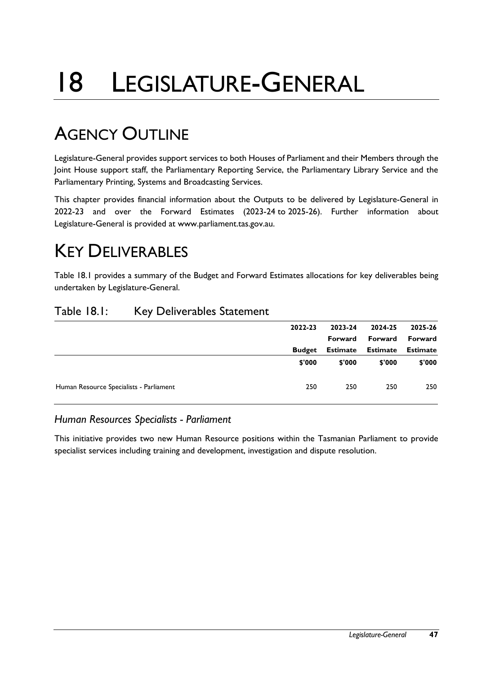# 18 LEGISLATURE-GENERAL

# AGENCY OUTLINE

Legislature-General provides support services to both Houses of Parliament and their Members through the Joint House support staff, the Parliamentary Reporting Service, the Parliamentary Library Service and the Parliamentary Printing, Systems and Broadcasting Services.

This chapter provides financial information about the Outputs to be delivered by Legislature-General in 2022-23 and over the Forward Estimates (2023-24 to 2025-26). Further information about Legislature-General is provided at www.parliament.tas.gov.au.

# KEY DELIVERABLES

Table 18.1 provides a summary of the Budget and Forward Estimates allocations for key deliverables being undertaken by Legislature-General.

#### Table 18.1: Key Deliverables Statement

|                                         | 2022-23       | 2023-24  | 2024-25  | 2025-26         |
|-----------------------------------------|---------------|----------|----------|-----------------|
|                                         |               | Forward  | Forward  | Forward         |
|                                         | <b>Budget</b> | Estimate | Estimate | <b>Estimate</b> |
|                                         | \$'000        | \$'000   | \$'000   | \$'000          |
| Human Resource Specialists - Parliament | 250           | 250      | 250      | 250             |

#### *Human Resources Specialists - Parliament*

This initiative provides two new Human Resource positions within the Tasmanian Parliament to provide specialist services including training and development, investigation and dispute resolution.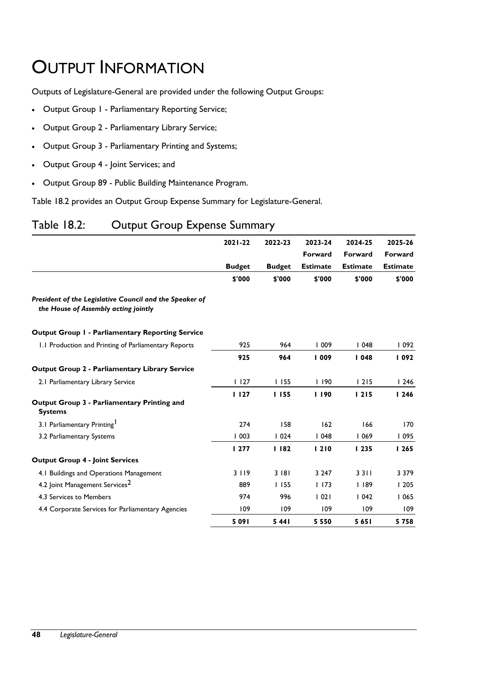# OUTPUT INFORMATION

Outputs of Legislature-General are provided under the following Output Groups:

- Output Group 1 Parliamentary Reporting Service;
- Output Group 2 Parliamentary Library Service;
- Output Group 3 Parliamentary Printing and Systems;
- Output Group 4 Joint Services; and
- Output Group 89 Public Building Maintenance Program.

Table 18.2 provides an Output Group Expense Summary for Legislature-General.

#### Table 18.2: Output Group Expense Summary

|                                                                                                 | $2021 - 22$   | 2022-23       | 2023-24         | 2024-25         | 2025-26         |
|-------------------------------------------------------------------------------------------------|---------------|---------------|-----------------|-----------------|-----------------|
|                                                                                                 |               |               | Forward         | Forward         | Forward         |
|                                                                                                 | <b>Budget</b> | <b>Budget</b> | <b>Estimate</b> | <b>Estimate</b> | <b>Estimate</b> |
|                                                                                                 | \$'000        | \$'000        | \$'000          | \$'000          | \$'000          |
| President of the Legislative Council and the Speaker of<br>the House of Assembly acting jointly |               |               |                 |                 |                 |
| <b>Output Group I - Parliamentary Reporting Service</b>                                         |               |               |                 |                 |                 |
| 1.1 Production and Printing of Parliamentary Reports                                            | 925           | 964           | 1009            | 1048            | 1092            |
|                                                                                                 | 925           | 964           | 1009            | 1048            | 1092            |
| <b>Output Group 2 - Parliamentary Library Service</b>                                           |               |               |                 |                 |                 |
| 2.1 Parliamentary Library Service                                                               | 1127          | 1155          | 1190            | 1215            | 1246            |
|                                                                                                 | 1127          | 1155          | 1190            | 1215            | 1246            |
| Output Group 3 - Parliamentary Printing and<br><b>Systems</b>                                   |               |               |                 |                 |                 |
| 3.1 Parliamentary Printing <sup>1</sup>                                                         | 274           | 158           | 162             | 166             | 170             |
| 3.2 Parliamentary Systems                                                                       | 1003          | 1024          | 1048            | 1069            | 1095            |
|                                                                                                 | 1277          | 1182          | 1210            | 1235            | 1265            |
| <b>Output Group 4 - Joint Services</b>                                                          |               |               |                 |                 |                 |
| 4.1 Buildings and Operations Management                                                         | 3119          | 3 181         | 3 2 4 7         | 3311            | 3 3 7 9         |
| 4.2 Joint Management Services <sup>2</sup>                                                      | 889           | 1155          | 1173            | 189             | 1205            |
| 4.3 Services to Members                                                                         | 974           | 996           | 1021            | 1042            | 1065            |
| 4.4 Corporate Services for Parliamentary Agencies                                               | 109           | 109           | 109             | 109             | 109             |
|                                                                                                 | 5091          | 5 4 4 1       | 5 5 5 0         | 5651            | 5758            |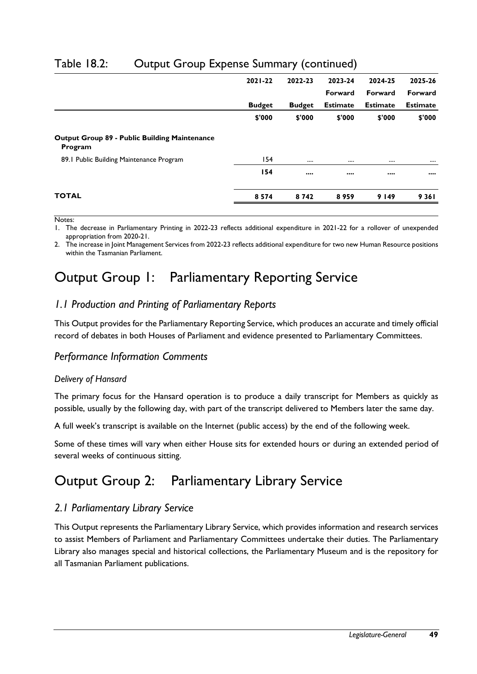| $2021 - 22$   | 2022-23       | 2023-24         | 2024-25                        | 2025-26                        |
|---------------|---------------|-----------------|--------------------------------|--------------------------------|
|               |               | Forward         | Forward                        | Forward                        |
| <b>Budget</b> | <b>Budget</b> | <b>Estimate</b> | <b>Estimate</b>                | <b>Estimate</b>                |
| \$'000        | \$'000        | \$'000          | \$'000                         | \$'000                         |
|               |               |                 |                                |                                |
| 154           |               |                 |                                |                                |
| 154           |               |                 | $\bullet\bullet\bullet\bullet$ | $\bullet\bullet\bullet\bullet$ |
| 8574          | 8742          | 8959            | 9 1 4 9                        | 9361                           |
|               |               |                 |                                |                                |

#### Table 18.2: Output Group Expense Summary (continued)

Notes:

1. The decrease in Parliamentary Printing in 2022-23 reflects additional expenditure in 2021-22 for a rollover of unexpended appropriation from 2020-21.

2. The increase in Joint Management Services from 2022-23 reflects additional expenditure for two new Human Resource positions within the Tasmanian Parliament.

## Output Group 1: Parliamentary Reporting Service

#### *1.1 Production and Printing of Parliamentary Reports*

This Output provides for the Parliamentary Reporting Service, which produces an accurate and timely official record of debates in both Houses of Parliament and evidence presented to Parliamentary Committees.

#### *Performance Information Comments*

#### *Delivery of Hansard*

The primary focus for the Hansard operation is to produce a daily transcript for Members as quickly as possible, usually by the following day, with part of the transcript delivered to Members later the same day.

A full week's transcript is available on the Internet (public access) by the end of the following week.

Some of these times will vary when either House sits for extended hours or during an extended period of several weeks of continuous sitting.

### Output Group 2: Parliamentary Library Service

#### *2.1 Parliamentary Library Service*

This Output represents the Parliamentary Library Service, which provides information and research services to assist Members of Parliament and Parliamentary Committees undertake their duties. The Parliamentary Library also manages special and historical collections, the Parliamentary Museum and is the repository for all Tasmanian Parliament publications.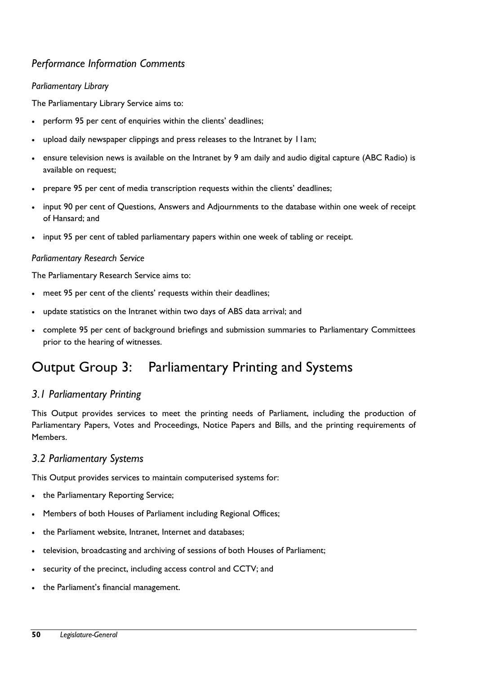#### *Performance Information Comments*

#### *Parliamentary Library*

The Parliamentary Library Service aims to:

- perform 95 per cent of enquiries within the clients' deadlines;
- upload daily newspaper clippings and press releases to the Intranet by 11am;
- ensure television news is available on the Intranet by 9 am daily and audio digital capture (ABC Radio) is available on request;
- prepare 95 per cent of media transcription requests within the clients' deadlines;
- input 90 per cent of Questions, Answers and Adjournments to the database within one week of receipt of Hansard; and
- input 95 per cent of tabled parliamentary papers within one week of tabling or receipt.

#### *Parliamentary Research Service*

The Parliamentary Research Service aims to:

- meet 95 per cent of the clients' requests within their deadlines;
- update statistics on the Intranet within two days of ABS data arrival; and
- complete 95 per cent of background briefings and submission summaries to Parliamentary Committees prior to the hearing of witnesses.

### Output Group 3: Parliamentary Printing and Systems

#### *3.1 Parliamentary Printing*

This Output provides services to meet the printing needs of Parliament, including the production of Parliamentary Papers, Votes and Proceedings, Notice Papers and Bills, and the printing requirements of Members.

#### *3.2 Parliamentary Systems*

This Output provides services to maintain computerised systems for:

- the Parliamentary Reporting Service;
- Members of both Houses of Parliament including Regional Offices;
- the Parliament website, Intranet, Internet and databases;
- television, broadcasting and archiving of sessions of both Houses of Parliament;
- security of the precinct, including access control and CCTV; and
- the Parliament's financial management.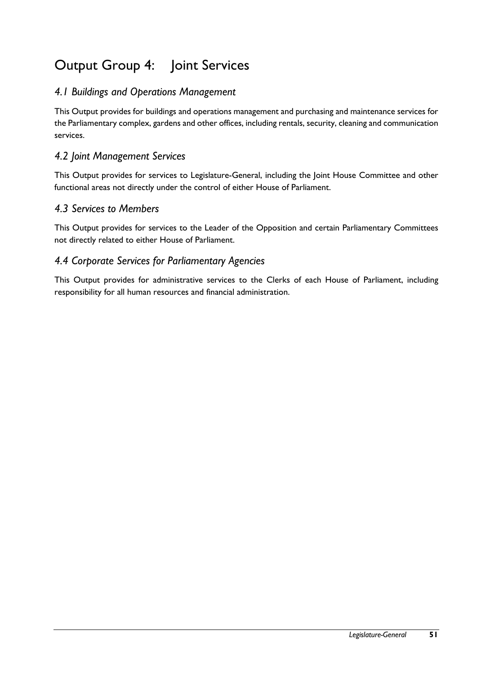## Output Group 4: Joint Services

#### *4.1 Buildings and Operations Management*

This Output provides for buildings and operations management and purchasing and maintenance services for the Parliamentary complex, gardens and other offices, including rentals, security, cleaning and communication services.

#### *4.2 Joint Management Services*

This Output provides for services to Legislature-General, including the Joint House Committee and other functional areas not directly under the control of either House of Parliament.

#### *4.3 Services to Members*

This Output provides for services to the Leader of the Opposition and certain Parliamentary Committees not directly related to either House of Parliament.

#### *4.4 Corporate Services for Parliamentary Agencies*

This Output provides for administrative services to the Clerks of each House of Parliament, including responsibility for all human resources and financial administration.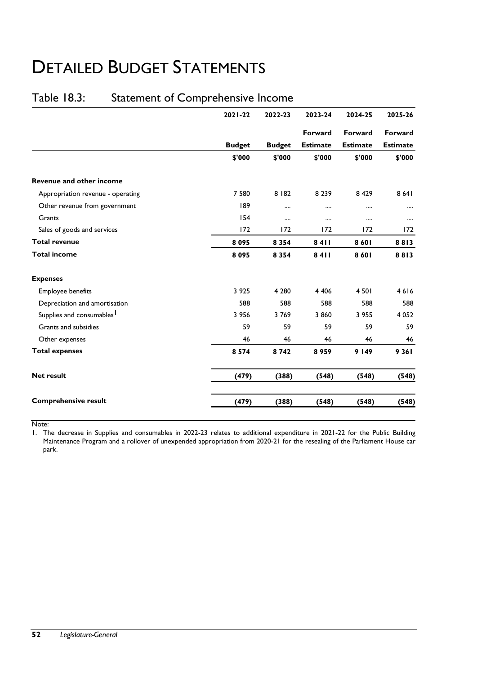# DETAILED BUDGET STATEMENTS

### Table 18.3: Statement of Comprehensive Income

|                                       | 2021-22       | 2022-23       | 2023-24         | 2024-25         | 2025-26         |
|---------------------------------------|---------------|---------------|-----------------|-----------------|-----------------|
|                                       |               |               | Forward         | Forward         | Forward         |
|                                       | <b>Budget</b> | <b>Budget</b> | <b>Estimate</b> | <b>Estimate</b> | <b>Estimate</b> |
|                                       | \$'000        | \$'000        | \$'000          | \$'000          | \$'000          |
| Revenue and other income              |               |               |                 |                 |                 |
| Appropriation revenue - operating     | 7 5 8 0       | 8   82        | 8 2 3 9         | 8 4 2 9         | 8 6 4 1         |
| Other revenue from government         | 189           |               |                 | $\cdots$        |                 |
| Grants                                | 154           |               |                 |                 |                 |
| Sales of goods and services           | 172           | 172           | 172             | 172             | 172             |
| <b>Total revenue</b>                  | 8095          | 8 3 5 4       | 8411            | 8601            | 8813            |
| <b>Total income</b>                   | 8095          | 8 3 5 4       | 8411            | 8601            | 8813            |
| <b>Expenses</b>                       |               |               |                 |                 |                 |
| Employee benefits                     | 3 9 2 5       | 4 2 8 0       | 4 4 0 6         | 4 5 0 1         | 4616            |
| Depreciation and amortisation         | 588           | 588           | 588             | 588             | 588             |
| Supplies and consumables <sup>1</sup> | 3 9 5 6       | 3769          | 3860            | 3 9 5 5         | 4 0 5 2         |
| Grants and subsidies                  | 59            | 59            | 59              | 59              | 59              |
| Other expenses                        | 46            | 46            | 46              | 46              | 46              |
| <b>Total expenses</b>                 | 8574          | 8742          | 8959            | 9 1 4 9         | 9361            |
| <b>Net result</b>                     | (479)         | (388)         | (548)           | (548)           | (548)           |
| <b>Comprehensive result</b>           | (479)         | (388)         | (548)           | (548)           | (548)           |

Note:

1. The decrease in Supplies and consumables in 2022-23 relates to additional expenditure in 2021-22 for the Public Building Maintenance Program and a rollover of unexpended appropriation from 2020-21 for the resealing of the Parliament House car park.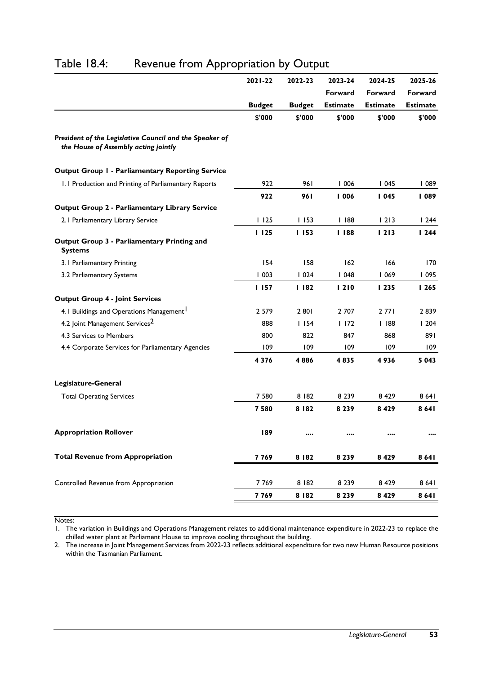|                                                                                                 | 2021-22       | 2022-23       | 2023-24         | 2024-25         | 2025-26         |
|-------------------------------------------------------------------------------------------------|---------------|---------------|-----------------|-----------------|-----------------|
|                                                                                                 |               |               | Forward         | Forward         | Forward         |
|                                                                                                 | <b>Budget</b> | <b>Budget</b> | <b>Estimate</b> | <b>Estimate</b> | <b>Estimate</b> |
|                                                                                                 | \$'000        | \$'000        | \$'000          | \$'000          | \$'000          |
| President of the Legislative Council and the Speaker of<br>the House of Assembly acting jointly |               |               |                 |                 |                 |
| <b>Output Group I - Parliamentary Reporting Service</b>                                         |               |               |                 |                 |                 |
| 1.1 Production and Printing of Parliamentary Reports                                            | 922           | 961           | 1006            | 1045            | 1089            |
|                                                                                                 | 922           | 961           | 1006            | 1045            | 1089            |
| <b>Output Group 2 - Parliamentary Library Service</b>                                           |               |               |                 |                 |                 |
| 2.1 Parliamentary Library Service                                                               | 1125          | 1153          | 188             | 1213            | 1244            |
|                                                                                                 | 1125          | 1153          | 188             | 1213            | 1244            |
| Output Group 3 - Parliamentary Printing and<br><b>Systems</b>                                   |               |               |                 |                 |                 |
| 3.1 Parliamentary Printing                                                                      | 154           | 158           | 162             | 166             | 170             |
| 3.2 Parliamentary Systems                                                                       | 1003          | 1024          | 1048            | 1069            | 1095            |
|                                                                                                 | 1157          | 1182          | 1210            | 1235            | 1265            |
| <b>Output Group 4 - Joint Services</b>                                                          |               |               |                 |                 |                 |
| 4.1 Buildings and Operations Management <sup>1</sup>                                            | 2 5 7 9       | 2 8 0 1       | 2 707           | 2771            | 2839            |
| 4.2 Joint Management Services <sup>2</sup>                                                      | 888           | 1154          | 1172            | 1188            | 1204            |
| 4.3 Services to Members                                                                         | 800           | 822           | 847             | 868             | 891             |
| 4.4 Corporate Services for Parliamentary Agencies                                               | 109           | 109           | 109             | 109             | 109             |
|                                                                                                 | 4 3 7 6       | 4886          | 4835            | 4936            | 5 0 4 3         |
| Legislature-General                                                                             |               |               |                 |                 |                 |
| <b>Total Operating Services</b>                                                                 | 7 5 8 0       | 8 182         | 8 2 3 9         | 8429            | 8 6 4 1         |
|                                                                                                 | 7580          | 8182          | 8 2 3 9         | 8 4 2 9         | 8641            |
| <b>Appropriation Rollover</b>                                                                   | 189           | $\cdots$      | $\cdots$        | $\cdots$        |                 |
| <b>Total Revenue from Appropriation</b>                                                         | 7769          | 8182          | 8 2 3 9         | 8 4 2 9         | 8641            |
| Controlled Revenue from Appropriation                                                           | 7769          | 8 182         | 8 2 3 9         | 8 4 2 9         | 8 6 4 1         |
|                                                                                                 | 7769          | 8 1 8 2       | 8 2 3 9         | 8 4 2 9         | 8641            |
|                                                                                                 |               |               |                 |                 |                 |

### Table 18.4: Revenue from Appropriation by Output

Notes:

1. The variation in Buildings and Operations Management relates to additional maintenance expenditure in 2022-23 to replace the chilled water plant at Parliament House to improve cooling throughout the building.

2. The increase in Joint Management Services from 2022-23 reflects additional expenditure for two new Human Resource positions within the Tasmanian Parliament.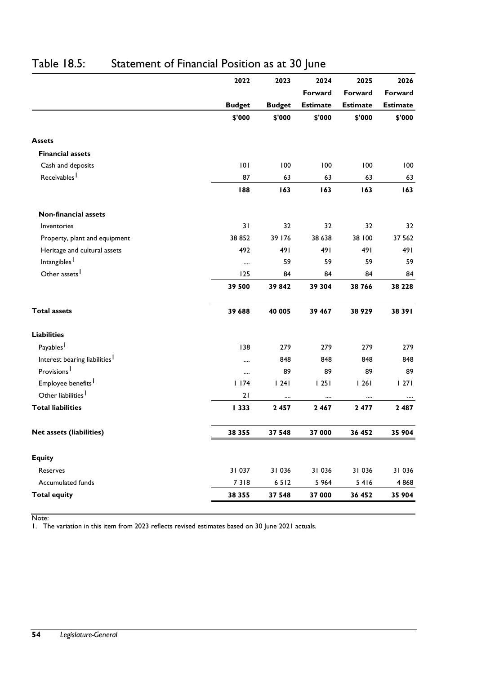|                                           | 2022          | 2023          | 2024            | 2025            | 2026            |
|-------------------------------------------|---------------|---------------|-----------------|-----------------|-----------------|
|                                           |               |               | Forward         | Forward         | Forward         |
|                                           | <b>Budget</b> | <b>Budget</b> | <b>Estimate</b> | <b>Estimate</b> | <b>Estimate</b> |
|                                           | \$'000        | \$'000        | \$'000          | \$'000          | \$'000          |
| <b>Assets</b>                             |               |               |                 |                 |                 |
| <b>Financial assets</b>                   |               |               |                 |                 |                 |
| Cash and deposits                         | 101           | 100           | 100             | 100             | 100             |
| Receivables <sup>1</sup>                  | 87            | 63            | 63              | 63              | 63              |
|                                           | 188           | 163           | 163             | 163             | 163             |
| <b>Non-financial assets</b>               |               |               |                 |                 |                 |
| Inventories                               | 31            | 32            | 32              | 32              | 32              |
| Property, plant and equipment             | 38 852        | 39 176        | 38 638          | 38 100          | 37 562          |
| Heritage and cultural assets              | 492           | 491           | 491             | 491             | 491             |
| Intangibles <sup>1</sup>                  |               | 59            | 59              | 59              | 59              |
| Other assets <sup>1</sup>                 | 125           | 84            | 84              | 84              | 84              |
|                                           | 39 500        | 39 842        | 39 304          | 38766           | 38 2 28         |
| <b>Total assets</b>                       | 39 688        | 40 005        | 39 467          | 38 9 29         | 38391           |
| <b>Liabilities</b>                        |               |               |                 |                 |                 |
| Payables <sup>1</sup>                     | 138           | 279           | 279             | 279             | 279             |
| Interest bearing liabilities <sup>1</sup> |               | 848           | 848             | 848             | 848             |
| Provisions <sup>1</sup>                   |               | 89            | 89              | 89              | 89              |
| Employee benefits <sup>1</sup>            | 1174          | 1241          | 1251            | 1261            | 1271            |
| Other liabilities <sup>1</sup>            | 21            |               |                 |                 |                 |
| <b>Total liabilities</b>                  | 333           | 2 4 5 7       | 2 4 6 7         | 2477            | 2 4 8 7         |
| <b>Net assets (liabilities)</b>           | 38 355        | 37 548        | 37 000          | 36 452          | 35 904          |
| <b>Equity</b>                             |               |               |                 |                 |                 |
| Reserves                                  | 31 037        | 31 036        | 31036           | 31 036          | 31 036          |
| Accumulated funds                         | 7318          | 6512          | 5 9 6 4         | 5416            | 4 8 6 8         |
| <b>Total equity</b>                       | 38 355        | 37 548        | 37 000          | 36 452          | 35 904          |

### Table 18.5: Statement of Financial Position as at 30 June

Note:

1. The variation in this item from 2023 reflects revised estimates based on 30 June 2021 actuals.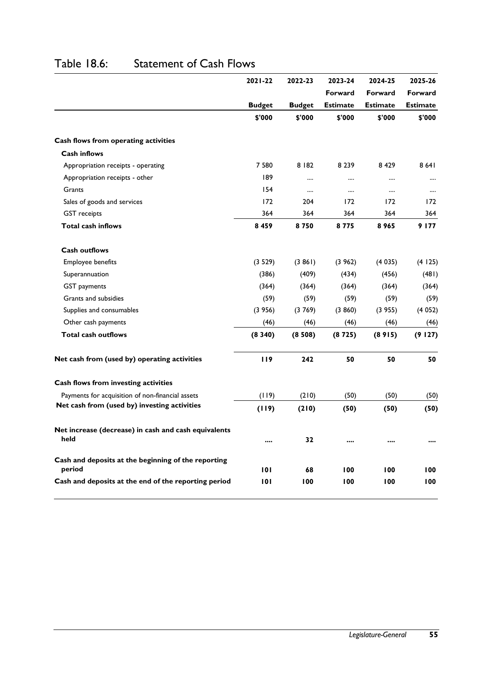|                                                              | 2021-22       | 2022-23       | 2023-24         | 2024-25         | 2025-26         |         |
|--------------------------------------------------------------|---------------|---------------|-----------------|-----------------|-----------------|---------|
|                                                              |               |               |                 | Forward         | Forward         | Forward |
|                                                              | <b>Budget</b> | <b>Budget</b> | <b>Estimate</b> | <b>Estimate</b> | <b>Estimate</b> |         |
|                                                              | \$'000        | \$'000        | \$'000          | \$'000          | \$'000          |         |
| Cash flows from operating activities                         |               |               |                 |                 |                 |         |
| <b>Cash inflows</b>                                          |               |               |                 |                 |                 |         |
| Appropriation receipts - operating                           | 7 5 8 0       | 8 182         | 8 2 3 9         | 8 4 2 9         | 8 6 4 1         |         |
| Appropriation receipts - other                               | 189           |               |                 |                 |                 |         |
| Grants                                                       | 154           |               |                 |                 | $\cdots$        |         |
| Sales of goods and services                                  | 172           | 204           | 172             | 172             | 172             |         |
| <b>GST</b> receipts                                          | 364           | 364           | 364             | 364             | 364             |         |
| <b>Total cash inflows</b>                                    | 8 4 5 9       | 8750          | 8775            | 8965            | 9 1 7 7         |         |
| <b>Cash outflows</b>                                         |               |               |                 |                 |                 |         |
| Employee benefits                                            | (3 529)       | (3861)        | (3962)          | (4035)          | (4125)          |         |
| Superannuation                                               | (386)         | (409)         | (434)           | (456)           | (481)           |         |
| <b>GST</b> payments                                          | (364)         | (364)         | (364)           | (364)           | (364)           |         |
| Grants and subsidies                                         | (59)          | (59)          | (59)            | (59)            | (59)            |         |
| Supplies and consumables                                     | (3956)        | (3769)        | (3860)          | (3955)          | (4052)          |         |
| Other cash payments                                          | (46)          | (46)          | (46)            | (46)            | (46)            |         |
| <b>Total cash outflows</b>                                   | (8340)        | (8508)        | (8725)          | (8915)          | (9127)          |         |
| Net cash from (used by) operating activities                 | 119           | 242           | 50              | 50              | 50              |         |
| Cash flows from investing activities                         |               |               |                 |                 |                 |         |
| Payments for acquisition of non-financial assets             | (119)         | (210)         | (50)            | (50)            | (50)            |         |
| Net cash from (used by) investing activities                 | (119)         | (210)         | (50)            | (50)            | (50)            |         |
| Net increase (decrease) in cash and cash equivalents<br>held |               | 32            |                 |                 |                 |         |
| Cash and deposits at the beginning of the reporting          |               |               |                 |                 |                 |         |
| period                                                       | 101           | 68            | 100             | 100             | 100             |         |
| Cash and deposits at the end of the reporting period         | 101           | 100           | 100             | 100             | 100             |         |

### Table 18.6: Statement of Cash Flows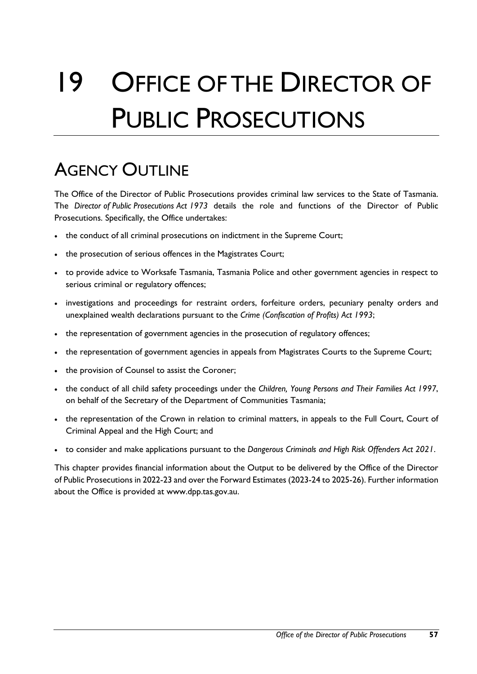# 19 OFFICE OF THE DIRECTOR OF PUBLIC PROSECUTIONS

# AGENCY OUTLINE

The Office of the Director of Public Prosecutions provides criminal law services to the State of Tasmania. The *Director of Public Prosecutions Act 1973* details the role and functions of the Director of Public Prosecutions. Specifically, the Office undertakes:

- the conduct of all criminal prosecutions on indictment in the Supreme Court;
- the prosecution of serious offences in the Magistrates Court;
- to provide advice to Worksafe Tasmania, Tasmania Police and other government agencies in respect to serious criminal or regulatory offences;
- investigations and proceedings for restraint orders, forfeiture orders, pecuniary penalty orders and unexplained wealth declarations pursuant to the *Crime (Confiscation of Profits) Act 1993*;
- the representation of government agencies in the prosecution of regulatory offences;
- the representation of government agencies in appeals from Magistrates Courts to the Supreme Court;
- the provision of Counsel to assist the Coroner;
- the conduct of all child safety proceedings under the *Children, Young Persons and Their Families Act 1997*, on behalf of the Secretary of the Department of Communities Tasmania;
- the representation of the Crown in relation to criminal matters, in appeals to the Full Court, Court of Criminal Appeal and the High Court; and
- to consider and make applications pursuant to the *Dangerous Criminals and High Risk Offenders Act 2021*.

This chapter provides financial information about the Output to be delivered by the Office of the Director of Public Prosecutions in 2022-23 and over the Forward Estimates (2023-24 to 2025-26). Further information about the Office is provided at www.dpp.tas.gov.au.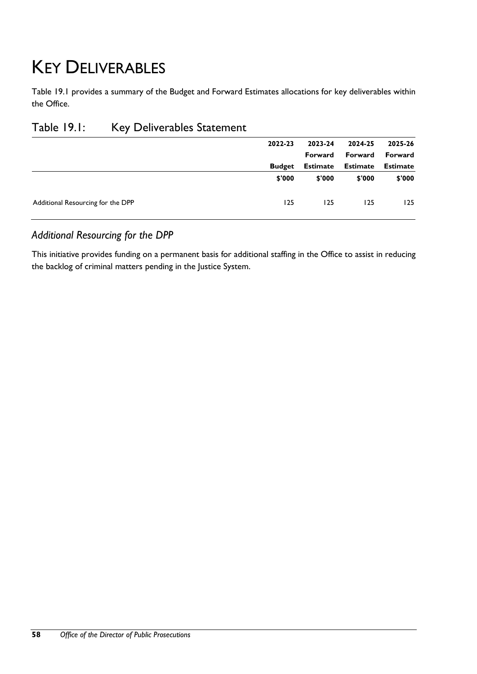# KEY DELIVERABLES

Table 19.1 provides a summary of the Budget and Forward Estimates allocations for key deliverables within the Office.

|                                   | 2022-23       | 2023-24  | 2024-25         | 2025-26         |
|-----------------------------------|---------------|----------|-----------------|-----------------|
|                                   |               | Forward  | Forward         | Forward         |
|                                   | <b>Budget</b> | Estimate | <b>Estimate</b> | <b>Estimate</b> |
|                                   | \$'000        | \$'000   | \$'000          | \$'000          |
|                                   |               |          |                 |                 |
| Additional Resourcing for the DPP | 125           | 125      | 125             | 125             |
|                                   |               |          |                 |                 |

#### Table 19.1: Key Deliverables Statement

#### *Additional Resourcing for the DPP*

This initiative provides funding on a permanent basis for additional staffing in the Office to assist in reducing the backlog of criminal matters pending in the Justice System.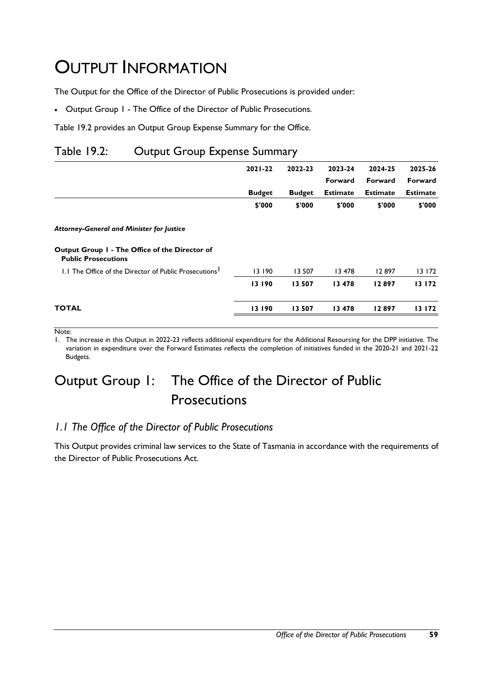# OUTPUT INFORMATION

The Output for the Office of the Director of Public Prosecutions is provided under:

Output Group 1 - The Office of the Director of Public Prosecutions.

Table 19.2 provides an Output Group Expense Summary for the Office.

#### Table 19.2: Output Group Expense Summary

|                                                                              | $2021 - 22$   | 2022-23       | 2023-24         | 2024-25         | 2025-26         |
|------------------------------------------------------------------------------|---------------|---------------|-----------------|-----------------|-----------------|
|                                                                              |               |               | Forward         | Forward         | <b>Forward</b>  |
|                                                                              | <b>Budget</b> | <b>Budget</b> | <b>Estimate</b> | <b>Estimate</b> | <b>Estimate</b> |
|                                                                              | \$'000        | \$'000        | \$'000          | \$'000          | \$'000          |
| <b>Attorney-General and Minister for Justice</b>                             |               |               |                 |                 |                 |
| Output Group I - The Office of the Director of<br><b>Public Prosecutions</b> |               |               |                 |                 |                 |
| 1.1 The Office of the Director of Public Prosecutions                        | 13 190        | 13 507        | 13 478          | 12897           | 13 172          |
|                                                                              | 13 190        | 13 507        | 13 478          | 12897           | 13 172          |
| <b>TOTAL</b>                                                                 | 13 190        | 13 507        | 13 478          | 12897           | 13 172          |
|                                                                              |               |               |                 |                 |                 |

Note:

1. The increase in this Output in 2022-23 reflects additional expenditure for the Additional Resourcing for the DPP initiative. The variation in expenditure over the Forward Estimates reflects the completion of initiatives funded in the 2020-21 and 2021-22 Budgets.

# Output Group 1: The Office of the Director of Public **Prosecutions**

#### *1.1 The Office of the Director of Public Prosecutions*

This Output provides criminal law services to the State of Tasmania in accordance with the requirements of the Director of Public Prosecutions Act.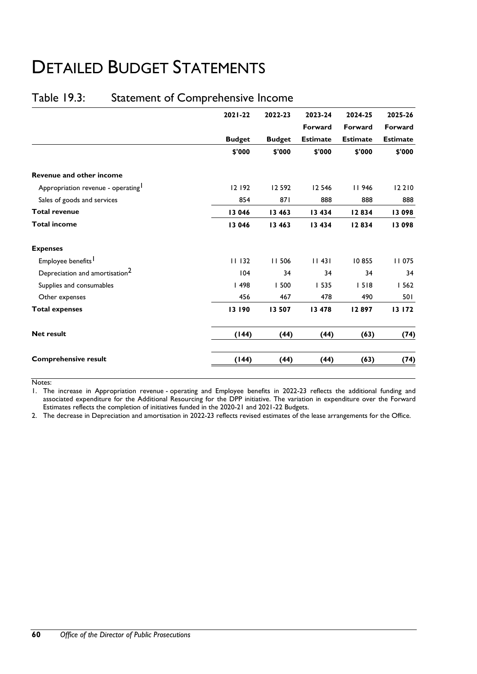# DETAILED BUDGET STATEMENTS

#### Table 19.3: Statement of Comprehensive Income

|                                                | $2021 - 22$   | 2022-23       | 2023-24         | 2024-25         | 2025-26         |
|------------------------------------------------|---------------|---------------|-----------------|-----------------|-----------------|
|                                                |               |               | Forward         | Forward         | Forward         |
|                                                | <b>Budget</b> | <b>Budget</b> | <b>Estimate</b> | <b>Estimate</b> | <b>Estimate</b> |
|                                                | \$'000        | \$'000        | \$'000          | \$'000          | \$'000          |
| <b>Revenue and other income</b>                |               |               |                 |                 |                 |
| Appropriation revenue - operating <sup>1</sup> | 12 192        | 12 5 9 2      | 12 5 46         | 11946           | 12 2 10         |
| Sales of goods and services                    | 854           | 871           | 888             | 888             | 888             |
| <b>Total revenue</b>                           | 13 046        | 13 463        | 13 434          | 12834           | 13098           |
| <b>Total income</b>                            | 13 046        | 13 463        | 13 434          | 12834           | 13098           |
| <b>Expenses</b>                                |               |               |                 |                 |                 |
| Employee benefits <sup>1</sup>                 | 11132         | 11506         | 11431           | 10855           | <b>II 075</b>   |
| Depreciation and amortisation <sup>2</sup>     | 104           | 34            | 34              | 34              | 34              |
| Supplies and consumables                       | 1498          | 500           | <b>1535</b>     | 1518            | 1562            |
| Other expenses                                 | 456           | 467           | 478             | 490             | 501             |
| <b>Total expenses</b>                          | 13 190        | 13 507        | 13 478          | 12897           | 13 172          |
| <b>Net result</b>                              | (144)         | (44)          | (44)            | (63)            | (74)            |
| <b>Comprehensive result</b>                    | (144)         | (44)          | (44)            | (63)            | (74)            |

Notes:

1. The increase in Appropriation revenue - operating and Employee benefits in 2022-23 reflects the additional funding and associated expenditure for the Additional Resourcing for the DPP initiative. The variation in expenditure over the Forward Estimates reflects the completion of initiatives funded in the 2020-21 and 2021-22 Budgets.

2. The decrease in Depreciation and amortisation in 2022-23 reflects revised estimates of the lease arrangements for the Office.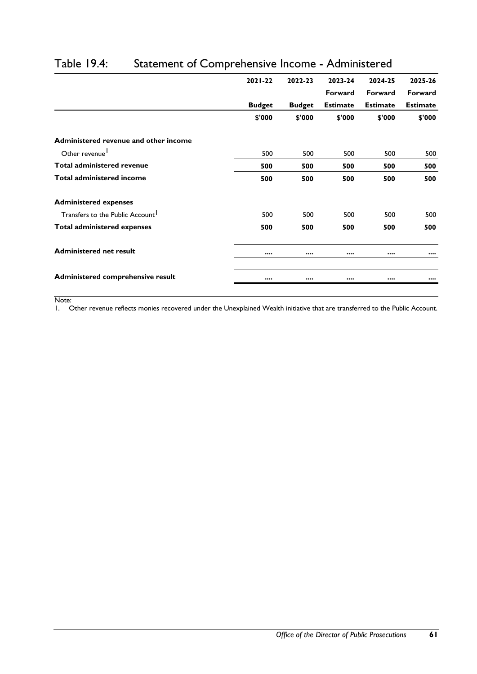|                                              | $2021 - 22$   | 2022-23       | 2023-24                        | 2024-25                        | 2025-26         |
|----------------------------------------------|---------------|---------------|--------------------------------|--------------------------------|-----------------|
|                                              |               |               | Forward                        | Forward                        | Forward         |
|                                              | <b>Budget</b> | <b>Budget</b> | <b>Estimate</b>                | <b>Estimate</b>                | <b>Estimate</b> |
|                                              | \$'000        | \$'000        | \$'000                         | \$'000                         | \$'000          |
| Administered revenue and other income        |               |               |                                |                                |                 |
| Other revenue <sup>1</sup>                   | 500           | 500           | 500                            | 500                            | 500             |
| <b>Total administered revenue</b>            | 500           | 500           | 500                            | 500                            | 500             |
| <b>Total administered income</b>             | 500           | 500           | 500                            | 500                            | 500             |
| <b>Administered expenses</b>                 |               |               |                                |                                |                 |
| Transfers to the Public Account <sup>1</sup> | 500           | 500           | 500                            | 500                            | 500             |
| <b>Total administered expenses</b>           | 500           | 500           | 500                            | 500                            | 500             |
| <b>Administered net result</b>               |               |               |                                |                                |                 |
|                                              |               |               |                                |                                |                 |
| Administered comprehensive result            |               |               | $\bullet\bullet\bullet\bullet$ | $\bullet\bullet\bullet\bullet$ |                 |

### Table 19.4: Statement of Comprehensive Income - Administered

Note:

1. Other revenue reflects monies recovered under the Unexplained Wealth initiative that are transferred to the Public Account.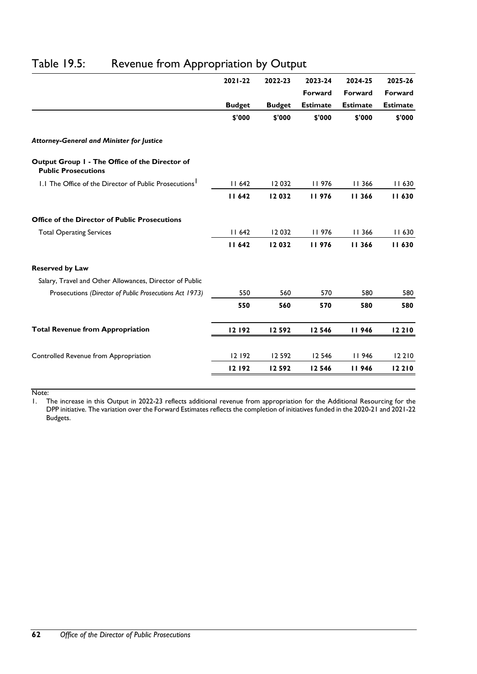|                                                                              | 2021-22       | 2022-23       | 2023-24         | 2024-25         | 2025-26         |
|------------------------------------------------------------------------------|---------------|---------------|-----------------|-----------------|-----------------|
|                                                                              |               |               | Forward         | Forward         | Forward         |
|                                                                              | <b>Budget</b> | <b>Budget</b> | <b>Estimate</b> | <b>Estimate</b> | <b>Estimate</b> |
|                                                                              | \$'000        | \$'000        | \$'000          | \$'000          | \$'000          |
| Attorney-General and Minister for Justice                                    |               |               |                 |                 |                 |
| Output Group I - The Office of the Director of<br><b>Public Prosecutions</b> |               |               |                 |                 |                 |
| 1.1 The Office of the Director of Public Prosecutions <sup>1</sup>           | <b>II 642</b> | 12 0 32       | 11976           | 11 366          | 11 630          |
|                                                                              | <b>II 642</b> | 12 032        | 11976           | 11366           | 11630           |
| <b>Office of the Director of Public Prosecutions</b>                         |               |               |                 |                 |                 |
| <b>Total Operating Services</b>                                              | 11642         | 12 032        | 11976           | 11 366          | 11 630          |
|                                                                              | II 642        | 12 032        | 11976           | 11366           | 11630           |
| <b>Reserved by Law</b>                                                       |               |               |                 |                 |                 |
| Salary, Travel and Other Allowances, Director of Public                      |               |               |                 |                 |                 |
| Prosecutions (Director of Public Prosecutions Act 1973)                      | 550           | 560           | 570             | 580             | 580             |
|                                                                              | 550           | 560           | 570             | 580             | 580             |
| <b>Total Revenue from Appropriation</b>                                      | 12 192        | 12592         | 12 546          | 11946           | 12210           |
|                                                                              |               |               |                 |                 |                 |
| Controlled Revenue from Appropriation                                        | 12 192        | 12 5 9 2      | 12 5 46         | 11946           | 12 210          |
|                                                                              | 12192         | 12592         | 12546           | <b>II</b> 946   | 12210           |
|                                                                              |               |               |                 |                 |                 |

#### Table 19.5: Revenue from Appropriation by Output

Note:

1. The increase in this Output in 2022-23 reflects additional revenue from appropriation for the Additional Resourcing for the DPP initiative. The variation over the Forward Estimates reflects the completion of initiatives funded in the 2020-21 and 2021-22 Budgets.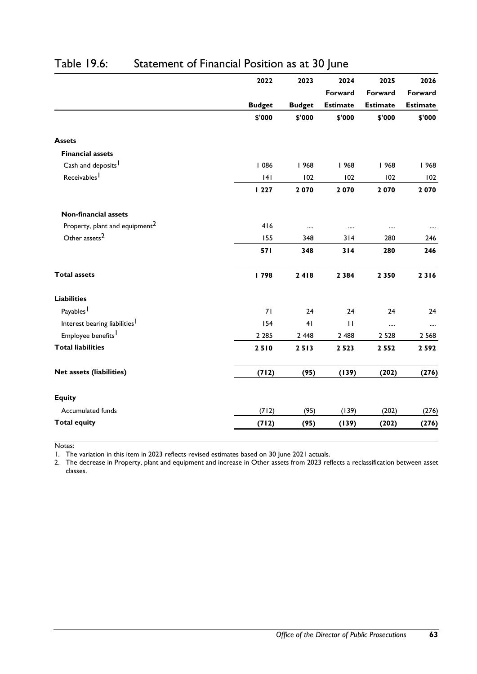|                                            | 2022          | 2023          | 2024            | 2025            | 2026            |
|--------------------------------------------|---------------|---------------|-----------------|-----------------|-----------------|
|                                            |               |               | Forward         | Forward         | Forward         |
|                                            | <b>Budget</b> | <b>Budget</b> | <b>Estimate</b> | <b>Estimate</b> | <b>Estimate</b> |
|                                            | \$'000        | \$'000        | \$'000          | \$'000          | \$'000          |
| <b>Assets</b>                              |               |               |                 |                 |                 |
| <b>Financial assets</b>                    |               |               |                 |                 |                 |
| Cash and deposits <sup>1</sup>             | 086           | 1968          | 968             | 968             | 968             |
| Receivables <sup>1</sup>                   | 4             | 102           | 102             | 102             | 102             |
|                                            | 1227          | 2070          | 2070            | 2070            | 2070            |
| <b>Non-financial assets</b>                |               |               |                 |                 |                 |
| Property, plant and equipment <sup>2</sup> | 416           |               |                 |                 |                 |
| Other assets <sup>2</sup>                  | 155           | 348           | 314             | 280             | 246             |
|                                            | 571           | 348           | 314             | 280             | 246             |
| <b>Total assets</b>                        | 798           | 2418          | 2 3 8 4         | 2 3 5 0         | 2316            |
| <b>Liabilities</b>                         |               |               |                 |                 |                 |
| Payables <sup>1</sup>                      | 71            | 24            | 24              | 24              | 24              |
| Interest bearing liabilities <sup>1</sup>  | 154           | 41            | $\mathbf{H}$    |                 |                 |
| Employee benefits <sup>1</sup>             | 2 2 8 5       | 2 4 4 8       | 2 4 8 8         | 2 5 2 8         | 2 5 6 8         |
| <b>Total liabilities</b>                   | 2510          | 2513          | 2 5 2 3         | 2 5 5 2         | 2592            |
| <b>Net assets (liabilities)</b>            | (712)         | (95)          | (139)           | (202)           | (276)           |
| <b>Equity</b>                              |               |               |                 |                 |                 |
| Accumulated funds                          | (712)         | (95)          | (139)           | (202)           | (276)           |
| <b>Total equity</b>                        | (712)         | (95)          | (139)           | (202)           | (276)           |

### Table 19.6: Statement of Financial Position as at 30 June

Notes:

1. The variation in this item in 2023 reflects revised estimates based on 30 June 2021 actuals.

2. The decrease in Property, plant and equipment and increase in Other assets from 2023 reflects a reclassification between asset classes.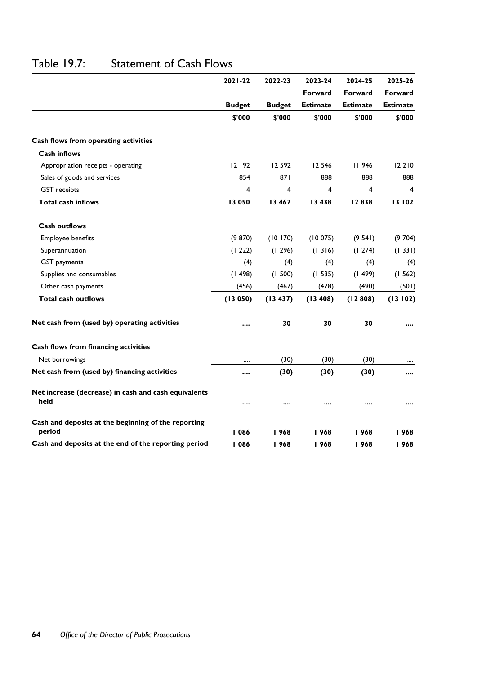|                                                              | 2021-22       | 2022-23       | 2023-24         | 2024-25         | 2025-26         |
|--------------------------------------------------------------|---------------|---------------|-----------------|-----------------|-----------------|
|                                                              |               |               | Forward         | Forward         | Forward         |
|                                                              | <b>Budget</b> | <b>Budget</b> | <b>Estimate</b> | <b>Estimate</b> | <b>Estimate</b> |
|                                                              | \$'000        | \$'000        | \$'000          | \$'000          | \$'000          |
| Cash flows from operating activities                         |               |               |                 |                 |                 |
| <b>Cash inflows</b>                                          |               |               |                 |                 |                 |
| Appropriation receipts - operating                           | 12 192        | 12 5 9 2      | 12 5 46         | 11946           | 12 2 10         |
| Sales of goods and services                                  | 854           | 871           | 888             | 888             | 888             |
| <b>GST</b> receipts                                          | 4             | 4             | 4               | 4               | 4               |
| <b>Total cash inflows</b>                                    | 13 050        | 13 467        | 13 438          | 12838           | 13 102          |
| <b>Cash outflows</b>                                         |               |               |                 |                 |                 |
| Employee benefits                                            | (9 870)       | (10170)       | (10075)         | (9541)          | (9704)          |
| Superannuation                                               | (1 222)       | (1296)        | (1316)          | (1274)          | (1331)          |
| <b>GST</b> payments                                          | (4)           | (4)           | (4)             | (4)             | (4)             |
| Supplies and consumables                                     | (1498)        | (1500)        | (1535)          | (1499)          | (1562)          |
| Other cash payments                                          | (456)         | (467)         | (478)           | (490)           | (501)           |
| <b>Total cash outflows</b>                                   | (13050)       | (13 437)      | (13 408)        | (12808)         | (13102)         |
| Net cash from (used by) operating activities                 |               | 30            | 30              | 30              |                 |
| Cash flows from financing activities                         |               |               |                 |                 |                 |
| Net borrowings                                               |               | (30)          | (30)            | (30)            |                 |
| Net cash from (used by) financing activities                 |               | (30)          | (30)            | (30)            |                 |
| Net increase (decrease) in cash and cash equivalents<br>held |               |               |                 |                 |                 |
| Cash and deposits at the beginning of the reporting          |               |               |                 |                 |                 |
| period                                                       | 086           | 968           | 968             | 968             | 968             |
| Cash and deposits at the end of the reporting period         | 086           | 968           | 968             | 968             | 968             |

### Table 19.7: Statement of Cash Flows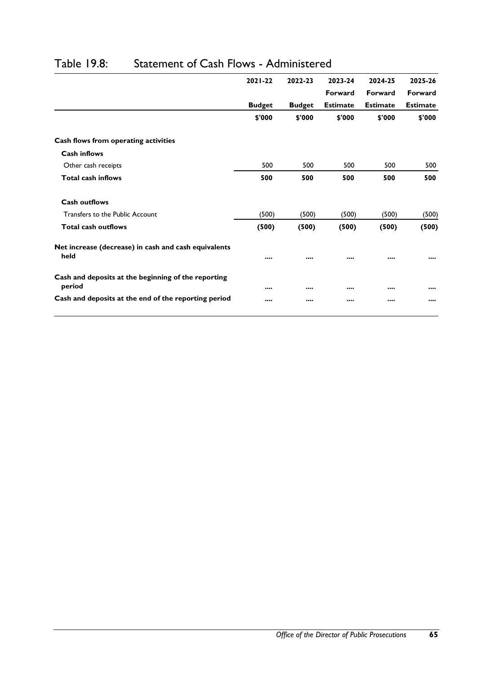|                                                               | $2021 - 22$   | 2022-23                        | 2023-24         | 2024-25         | 2025-26         |
|---------------------------------------------------------------|---------------|--------------------------------|-----------------|-----------------|-----------------|
|                                                               |               |                                | Forward         | Forward         | Forward         |
|                                                               | <b>Budget</b> | <b>Budget</b>                  | <b>Estimate</b> | <b>Estimate</b> | <b>Estimate</b> |
|                                                               | \$'000        | \$'000                         | \$'000          | \$'000          | \$'000          |
| Cash flows from operating activities                          |               |                                |                 |                 |                 |
| <b>Cash inflows</b>                                           |               |                                |                 |                 |                 |
| Other cash receipts                                           | 500           | 500                            | 500             | 500             | 500             |
| <b>Total cash inflows</b>                                     | 500           | 500                            | 500             | 500             | 500             |
| <b>Cash outflows</b>                                          |               |                                |                 |                 |                 |
| Transfers to the Public Account                               | (500)         | (500)                          | (500)           | (500)           | (500)           |
| <b>Total cash outflows</b>                                    | (500)         | (500)                          | (500)           | (500)           | (500)           |
| Net increase (decrease) in cash and cash equivalents<br>held  |               |                                |                 |                 |                 |
| Cash and deposits at the beginning of the reporting<br>period |               | $\bullet\bullet\bullet\bullet$ |                 |                 |                 |
| Cash and deposits at the end of the reporting period          |               | $\bullet\bullet\bullet\bullet$ |                 |                 |                 |

### Table 19.8: Statement of Cash Flows - Administered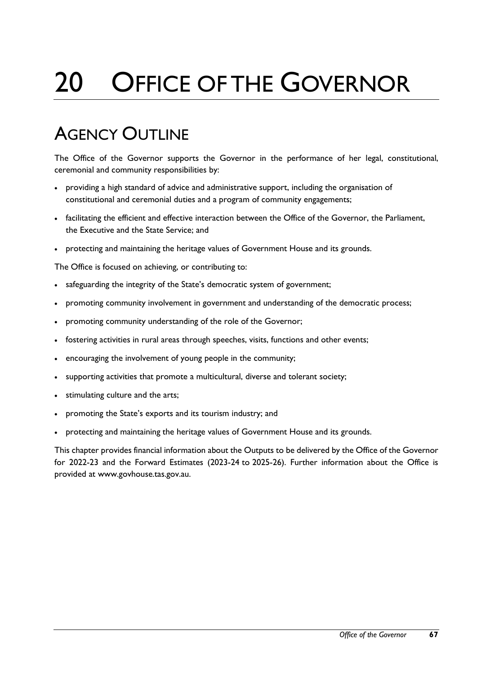# 20 OFFICE OF THE GOVERNOR

# AGENCY OUTLINE

The Office of the Governor supports the Governor in the performance of her legal, constitutional, ceremonial and community responsibilities by:

- providing a high standard of advice and administrative support, including the organisation of constitutional and ceremonial duties and a program of community engagements;
- facilitating the efficient and effective interaction between the Office of the Governor, the Parliament, the Executive and the State Service; and
- protecting and maintaining the heritage values of Government House and its grounds.

The Office is focused on achieving, or contributing to:

- safeguarding the integrity of the State's democratic system of government;
- promoting community involvement in government and understanding of the democratic process;
- promoting community understanding of the role of the Governor;
- fostering activities in rural areas through speeches, visits, functions and other events;
- encouraging the involvement of young people in the community;
- supporting activities that promote a multicultural, diverse and tolerant society;
- stimulating culture and the arts;
- promoting the State's exports and its tourism industry; and
- protecting and maintaining the heritage values of Government House and its grounds.

This chapter provides financial information about the Outputs to be delivered by the Office of the Governor for 2022-23 and the Forward Estimates (2023-24 to 2025-26). Further information about the Office is provided at www.govhouse.tas.gov.au.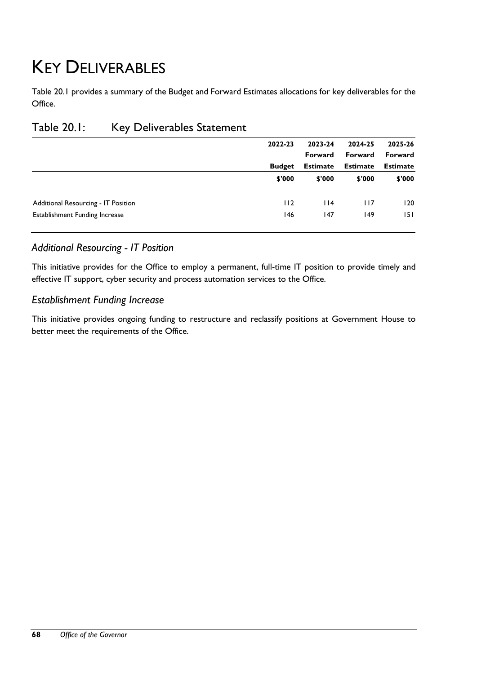# KEY DELIVERABLES

Table 20.1 provides a summary of the Budget and Forward Estimates allocations for key deliverables for the Office.

| 2022-23       | 2023-24         | 2024-25         | 2025-26         |
|---------------|-----------------|-----------------|-----------------|
|               | Forward         | Forward         | Forward         |
| <b>Budget</b> | <b>Estimate</b> | <b>Estimate</b> | <b>Estimate</b> |
| \$'000        | \$'000          | \$'000          | \$'000          |
| 112           | $ $  4          | 117             | 120             |
| 146           | 147             | 149             | 151             |
|               |                 |                 |                 |

#### Table 20.1: Key Deliverables Statement

### *Additional Resourcing - IT Position*

This initiative provides for the Office to employ a permanent, full-time IT position to provide timely and effective IT support, cyber security and process automation services to the Office.

#### *Establishment Funding Increase*

This initiative provides ongoing funding to restructure and reclassify positions at Government House to better meet the requirements of the Office.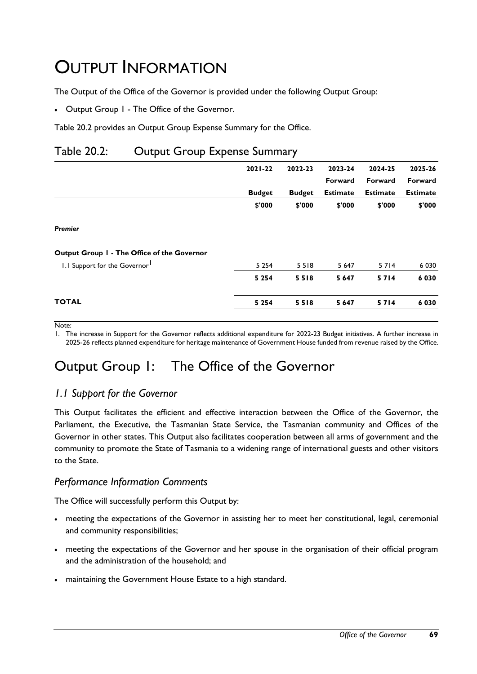# OUTPUT INFORMATION

The Output of the Office of the Governor is provided under the following Output Group:

Output Group 1 - The Office of the Governor.

Table 20.2 provides an Output Group Expense Summary for the Office.

### Table 20.2: Output Group Expense Summary

|                                             | $2021 - 22$   | 2022-23       | 2023-24         | 2024-25         | 2025-26         |
|---------------------------------------------|---------------|---------------|-----------------|-----------------|-----------------|
|                                             |               |               | Forward         | Forward         | Forward         |
|                                             | <b>Budget</b> | <b>Budget</b> | <b>Estimate</b> | <b>Estimate</b> | <b>Estimate</b> |
|                                             | \$'000        | \$'000        | \$'000          | \$'000          | \$'000          |
| <b>Premier</b>                              |               |               |                 |                 |                 |
| Output Group I - The Office of the Governor |               |               |                 |                 |                 |
| 1.1 Support for the Governor <sup>1</sup>   | 5 2 5 4       | 5 5 1 8       | 5 6 4 7         | 5714            | 6 0 3 0         |
|                                             | 5 2 5 4       | 5518          | 5 6 4 7         | 5714            | 6 0 3 0         |
| <b>TOTAL</b>                                | 5 2 5 4       | 5518          | 5 6 4 7         | 5714            | 6 0 3 0         |
|                                             |               |               |                 |                 |                 |

#### Note:

1. The increase in Support for the Governor reflects additional expenditure for 2022-23 Budget initiatives. A further increase in 2025-26 reflects planned expenditure for heritage maintenance of Government House funded from revenue raised by the Office.

## Output Group 1: The Office of the Governor

#### *1.1 Support for the Governor*

This Output facilitates the efficient and effective interaction between the Office of the Governor, the Parliament, the Executive, the Tasmanian State Service, the Tasmanian community and Offices of the Governor in other states. This Output also facilitates cooperation between all arms of government and the community to promote the State of Tasmania to a widening range of international guests and other visitors to the State.

#### *Performance Information Comments*

The Office will successfully perform this Output by:

- meeting the expectations of the Governor in assisting her to meet her constitutional, legal, ceremonial and community responsibilities;
- meeting the expectations of the Governor and her spouse in the organisation of their official program and the administration of the household; and
- maintaining the Government House Estate to a high standard.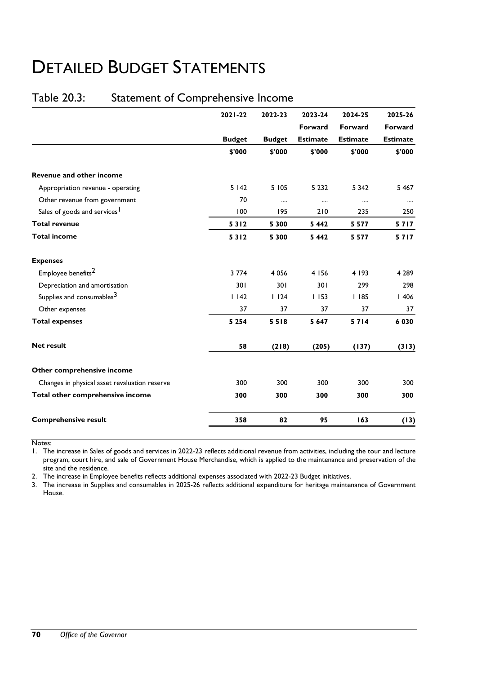# DETAILED BUDGET STATEMENTS

### Table 20.3: Statement of Comprehensive Income

|                                               | 2021-22       | 2022-23       | 2023-24         | 2024-25         | 2025-26         |
|-----------------------------------------------|---------------|---------------|-----------------|-----------------|-----------------|
|                                               |               |               | Forward         | Forward         | Forward         |
|                                               | <b>Budget</b> | <b>Budget</b> | <b>Estimate</b> | <b>Estimate</b> | <b>Estimate</b> |
|                                               | \$'000        | \$'000        | \$'000          | \$'000          | \$'000          |
| <b>Revenue and other income</b>               |               |               |                 |                 |                 |
| Appropriation revenue - operating             | 5142          | 5 105         | 5 2 3 2         | 5 3 4 2         | 5 4 6 7         |
| Other revenue from government                 | 70            |               |                 | $\cdots$        |                 |
| Sales of goods and services <sup>1</sup>      | 100           | 195           | 210             | 235             | 250             |
| <b>Total revenue</b>                          | 5312          | 5 3 0 0       | 5 4 4 2         | 5 5 7 7         | 5717            |
| <b>Total income</b>                           | 5312          | 5 3 0 0       | 5 4 4 2         | 5 5 7 7         | 5717            |
| <b>Expenses</b>                               |               |               |                 |                 |                 |
| Employee benefits <sup>2</sup>                | 3 7 7 4       | 4 0 5 6       | 4 156           | 4 193           | 4 2 8 9         |
| Depreciation and amortisation                 | 301           | 301           | 301             | 299             | 298             |
| Supplies and consumables <sup>3</sup>         | 1142          | 1124          | 1153            | 1185            | 1406            |
| Other expenses                                | 37            | 37            | 37              | 37              | 37              |
| <b>Total expenses</b>                         | 5 2 5 4       | 5518          | 5 6 4 7         | 5714            | 6030            |
| <b>Net result</b>                             | 58            | (218)         | (205)           | (137)           | (313)           |
| Other comprehensive income                    |               |               |                 |                 |                 |
| Changes in physical asset revaluation reserve | 300           | 300           | 300             | 300             | 300             |
| Total other comprehensive income              | 300           | 300           | 300             | 300             | 300             |
| <b>Comprehensive result</b>                   | 358           | 82            | 95              | 163             | (13)            |

Notes:

1. The increase in Sales of goods and services in 2022-23 reflects additional revenue from activities, including the tour and lecture program, court hire, and sale of Government House Merchandise, which is applied to the maintenance and preservation of the site and the residence.

2. The increase in Employee benefits reflects additional expenses associated with 2022-23 Budget initiatives.

3. The increase in Supplies and consumables in 2025-26 reflects additional expenditure for heritage maintenance of Government House.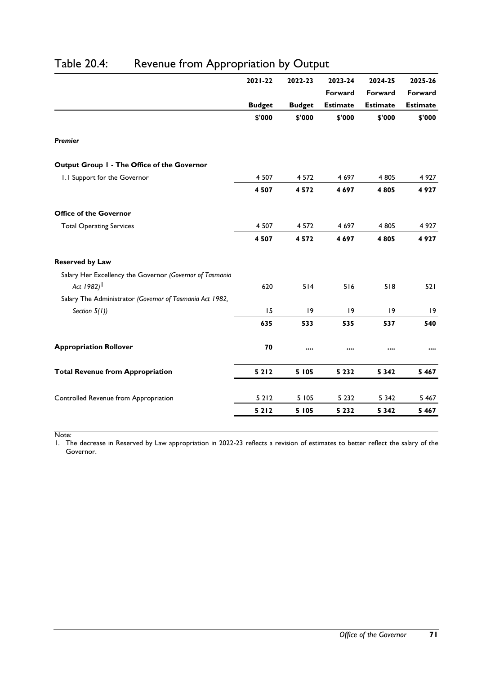|                                                                                    | 2021-22       | 2022-23       | 2023-24         | 2024-25         | 2025-26         |
|------------------------------------------------------------------------------------|---------------|---------------|-----------------|-----------------|-----------------|
|                                                                                    |               |               | Forward         | Forward         | Forward         |
|                                                                                    | <b>Budget</b> | <b>Budget</b> | <b>Estimate</b> | <b>Estimate</b> | <b>Estimate</b> |
|                                                                                    | \$'000        | \$'000        | \$'000          | \$'000          | \$'000          |
| <b>Premier</b>                                                                     |               |               |                 |                 |                 |
| Output Group I - The Office of the Governor                                        |               |               |                 |                 |                 |
| 1.1 Support for the Governor                                                       | 4 5 0 7       | 4 5 7 2       | 4 6 9 7         | 4 8 0 5         | 4 9 27          |
|                                                                                    | 4507          | 4572          | 4697            | 4805            | 4927            |
| <b>Office of the Governor</b>                                                      |               |               |                 |                 |                 |
| <b>Total Operating Services</b>                                                    | 4 5 0 7       | 4 5 7 2       | 4 6 9 7         | 4 8 0 5         | 4 9 2 7         |
|                                                                                    | 4507          | 4572          | 4697            | 4805            | 4927            |
| <b>Reserved by Law</b>                                                             |               |               |                 |                 |                 |
| Salary Her Excellency the Governor (Governor of Tasmania<br>Act 1982) <sup>1</sup> | 620           | 514           | 516             | 518             | 521             |
| Salary The Administrator (Governor of Tasmania Act 1982,                           |               |               |                 |                 |                 |
| Section $5(1)$ )                                                                   | 15            | 9             | 9               | $ 9\rangle$     | 9               |
|                                                                                    | 635           | 533           | 535             | 537             | 540             |
| <b>Appropriation Rollover</b>                                                      | 70            |               |                 |                 |                 |
| <b>Total Revenue from Appropriation</b>                                            | 5212          | 5 1 0 5       | 5 2 3 2         | 5 3 4 2         | 5 4 6 7         |
| Controlled Revenue from Appropriation                                              | 5 2 1 2       | 5 105         | 5 2 3 2         | 5 3 4 2         | 5 4 6 7         |
|                                                                                    | 5212          | 5 1 0 5       | 5 2 3 2         | 5 3 4 2         | 5 4 6 7         |
|                                                                                    |               |               |                 |                 |                 |

### Table 20.4: Revenue from Appropriation by Output

Note:

1. The decrease in Reserved by Law appropriation in 2022-23 reflects a revision of estimates to better reflect the salary of the Governor.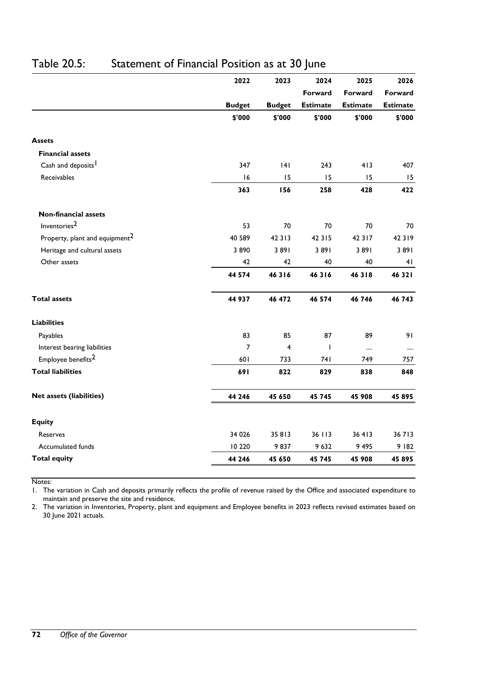|                                            | 2022           | 2023           | 2024            | 2025            | 2026            |
|--------------------------------------------|----------------|----------------|-----------------|-----------------|-----------------|
|                                            |                |                | Forward         | Forward         | Forward         |
|                                            | <b>Budget</b>  | <b>Budget</b>  | <b>Estimate</b> | <b>Estimate</b> | <b>Estimate</b> |
|                                            | \$'000         | \$'000         | \$'000          | \$'000          | \$'000          |
| <b>Assets</b>                              |                |                |                 |                 |                 |
| <b>Financial assets</b>                    |                |                |                 |                 |                 |
| Cash and deposits <sup>1</sup>             | 347            | 4              | 243             | 413             | 407             |
| Receivables                                | 16             | 15             | 15              | 15              | 15              |
|                                            | 363            | 156            | 258             | 428             | 422             |
| <b>Non-financial assets</b>                |                |                |                 |                 |                 |
| Inventories <sup>2</sup>                   | 53             | 70             | 70              | 70              | 70              |
| Property, plant and equipment <sup>2</sup> | 40 589         | 42 3 13        | 42 3 15         | 42 3 17         | 42 3 19         |
| Heritage and cultural assets               | 3890           | 3891           | 3 8 9 1         | 3891            | 3 8 9 1         |
| Other assets                               | 42             | 42             | 40              | 40              | 41              |
|                                            | 44 574         | 46 3 16        | 46316           | 46318           | 46 32 1         |
| <b>Total assets</b>                        | 44 937         | 46 472         | 46 574          | 46 746          | 46 743          |
| <b>Liabilities</b>                         |                |                |                 |                 |                 |
| Payables                                   | 83             | 85             | 87              | 89              | 91              |
| Interest bearing liabilities               | $\overline{7}$ | $\overline{4}$ | $\overline{1}$  |                 |                 |
| Employee benefits <sup>2</sup>             | 601            | 733            | 741             | 749             | 757             |
| <b>Total liabilities</b>                   | 691            | 822            | 829             | 838             | 848             |
| <b>Net assets (liabilities)</b>            | 44 246         | 45 650         | 45 745          | 45 908          | 45 895          |
| <b>Equity</b>                              |                |                |                 |                 |                 |
| <b>Reserves</b>                            | 34 0 26        | 35 813         | 36 113          | 36413           | 36713           |
| Accumulated funds                          | 10 2 20        | 9837           | 9632            | 9 4 9 5         | 9 182           |
| <b>Total equity</b>                        | 44 246         | 45 650         | 45 745          | 45 908          | 45 895          |

### Table 20.5: Statement of Financial Position as at 30 June

Notes:

1. The variation in Cash and deposits primarily reflects the profile of revenue raised by the Office and associated expenditure to maintain and preserve the site and residence.

2. The variation in Inventories, Property, plant and equipment and Employee benefits in 2023 reflects revised estimates based on 30 June 2021 actuals.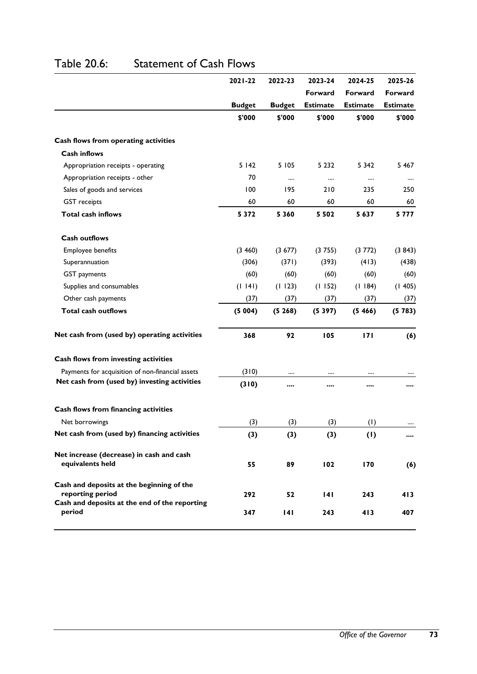|                                                               | 2021-22       | 2022-23       | 2023-24         | 2024-25         | 2025-26         |
|---------------------------------------------------------------|---------------|---------------|-----------------|-----------------|-----------------|
|                                                               |               |               | Forward         | Forward         | Forward         |
|                                                               | <b>Budget</b> | <b>Budget</b> | <b>Estimate</b> | <b>Estimate</b> | <b>Estimate</b> |
|                                                               | \$'000        | \$'000        | \$'000          | \$'000          | \$'000          |
| Cash flows from operating activities                          |               |               |                 |                 |                 |
| <b>Cash inflows</b>                                           |               |               |                 |                 |                 |
| Appropriation receipts - operating                            | 5 1 4 2       | 5 1 0 5       | 5 2 3 2         | 5 3 4 2         | 5 4 6 7         |
| Appropriation receipts - other                                | 70            |               |                 |                 |                 |
| Sales of goods and services                                   | 100           | 195           | 210             | 235             | 250             |
| <b>GST</b> receipts                                           | 60            | 60            | 60              | 60              | 60              |
| <b>Total cash inflows</b>                                     | 5 3 7 2       | 5 3 6 0       | 5 5 0 2         | 5637            | 5 7 7 7         |
| <b>Cash outflows</b>                                          |               |               |                 |                 |                 |
| Employee benefits                                             | (3, 460)      | (3 677)       | (3755)          | (3772)          | (3843)          |
| Superannuation                                                | (306)         | (371)         | (393)           | (413)           | (438)           |
| <b>GST</b> payments                                           | (60)          | (60)          | (60)            | (60)            | (60)            |
| Supplies and consumables                                      | (1 141)       | (1123)        | (1152)          | (1184)          | (1405)          |
| Other cash payments                                           | (37)          | (37)          | (37)            | (37)            | (37)            |
| <b>Total cash outflows</b>                                    | (5004)        | (5268)        | (5397)          | (5466)          | (5783)          |
| Net cash from (used by) operating activities                  | 368           | 92            | 105             | 171             | (6)             |
| Cash flows from investing activities                          |               |               |                 |                 |                 |
| Payments for acquisition of non-financial assets              | (310)         |               |                 |                 |                 |
| Net cash from (used by) investing activities                  | (310)         |               |                 |                 |                 |
| Cash flows from financing activities                          |               |               |                 |                 |                 |
| Net borrowings                                                | (3)           | (3)           | (3)             | (1)             |                 |
| Net cash from (used by) financing activities                  | (3)           | (3)           | (3)             | (1)             |                 |
| Net increase (decrease) in cash and cash<br>equivalents held  | 55            | 89            | 102             | 170             | (6)             |
| Cash and deposits at the beginning of the<br>reporting period | 292           | 52            | 4               | 243             | 413             |
| Cash and deposits at the end of the reporting<br>period       | 347           | 4             | 243             | 413             | 407             |

### Table 20.6: Statement of Cash Flows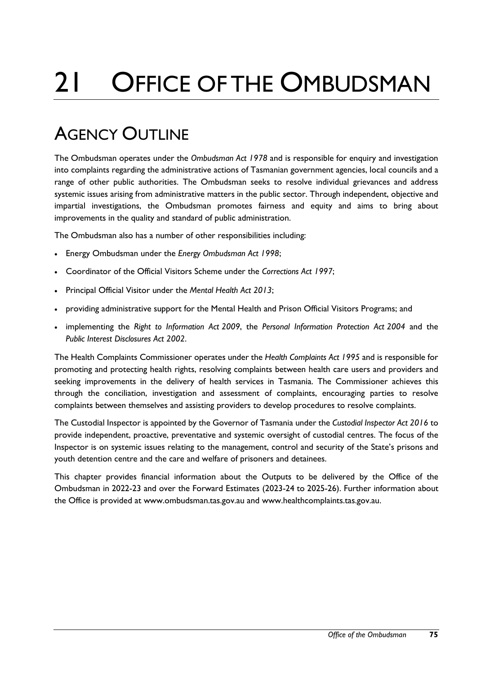# 21 OFFICE OF THE OMBUDSMAN

# AGENCY OUTLINE

The Ombudsman operates under the *Ombudsman Act 1978* and is responsible for enquiry and investigation into complaints regarding the administrative actions of Tasmanian government agencies, local councils and a range of other public authorities. The Ombudsman seeks to resolve individual grievances and address systemic issues arising from administrative matters in the public sector. Through independent, objective and impartial investigations, the Ombudsman promotes fairness and equity and aims to bring about improvements in the quality and standard of public administration.

The Ombudsman also has a number of other responsibilities including:

- Energy Ombudsman under the *Energy Ombudsman Act 1998*;
- Coordinator of the Official Visitors Scheme under the *Corrections Act 1997*;
- Principal Official Visitor under the *Mental Health Act 2013*;
- providing administrative support for the Mental Health and Prison Official Visitors Programs; and
- implementing the *Right to Information Act 2009*, the *Personal Information Protection Act 2004* and the *Public Interest Disclosures Act 2002*.

The Health Complaints Commissioner operates under the *Health Complaints Act 1995* and is responsible for promoting and protecting health rights, resolving complaints between health care users and providers and seeking improvements in the delivery of health services in Tasmania. The Commissioner achieves this through the conciliation, investigation and assessment of complaints, encouraging parties to resolve complaints between themselves and assisting providers to develop procedures to resolve complaints.

The Custodial Inspector is appointed by the Governor of Tasmania under the *Custodial Inspector Act 2016* to provide independent, proactive, preventative and systemic oversight of custodial centres. The focus of the Inspector is on systemic issues relating to the management, control and security of the State's prisons and youth detention centre and the care and welfare of prisoners and detainees.

This chapter provides financial information about the Outputs to be delivered by the Office of the Ombudsman in 2022-23 and over the Forward Estimates (2023-24 to 2025-26). Further information about the Office is provided at www.ombudsman.tas.gov.au and www.healthcomplaints.tas.gov.au.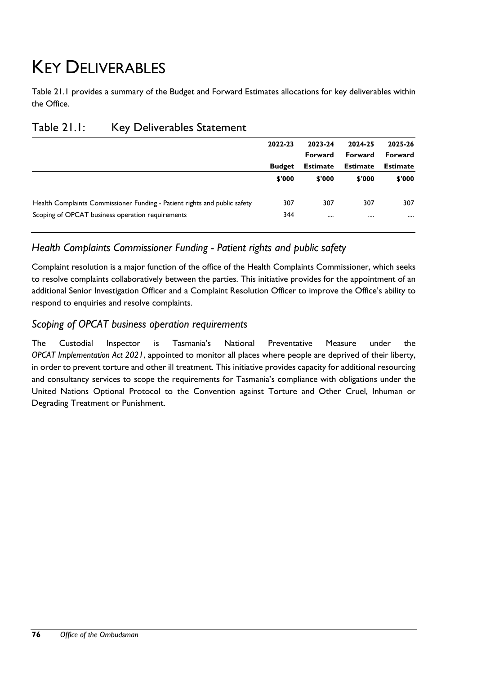# KEY DELIVERABLES

Table 21.1 provides a summary of the Budget and Forward Estimates allocations for key deliverables within the Office.

|                                                                           | 2022-23       | 2023-24         | 2024-25         | 2025-26         |
|---------------------------------------------------------------------------|---------------|-----------------|-----------------|-----------------|
|                                                                           |               | <b>Forward</b>  | Forward         | <b>Forward</b>  |
|                                                                           | <b>Budget</b> | <b>Estimate</b> | <b>Estimate</b> | <b>Estimate</b> |
|                                                                           | \$'000        | \$'000          | \$'000          | \$'000          |
| Health Complaints Commissioner Funding - Patient rights and public safety | 307           | 307             | 307             | 307             |
| Scoping of OPCAT business operation requirements                          | 344           |                 |                 | $\cdots$        |
|                                                                           |               |                 |                 |                 |

#### Table 21.1: Key Deliverables Statement

#### *Health Complaints Commissioner Funding - Patient rights and public safety*

Complaint resolution is a major function of the office of the Health Complaints Commissioner, which seeks to resolve complaints collaboratively between the parties. This initiative provides for the appointment of an additional Senior Investigation Officer and a Complaint Resolution Officer to improve the Office's ability to respond to enquiries and resolve complaints.

#### *Scoping of OPCAT business operation requirements*

The Custodial Inspector is Tasmania's National Preventative Measure under the *OPCAT Implementation Act 2021*, appointed to monitor all places where people are deprived of their liberty, in order to prevent torture and other ill treatment. This initiative provides capacity for additional resourcing and consultancy services to scope the requirements for Tasmania's compliance with obligations under the United Nations Optional Protocol to the Convention against Torture and Other Cruel, Inhuman or Degrading Treatment or Punishment.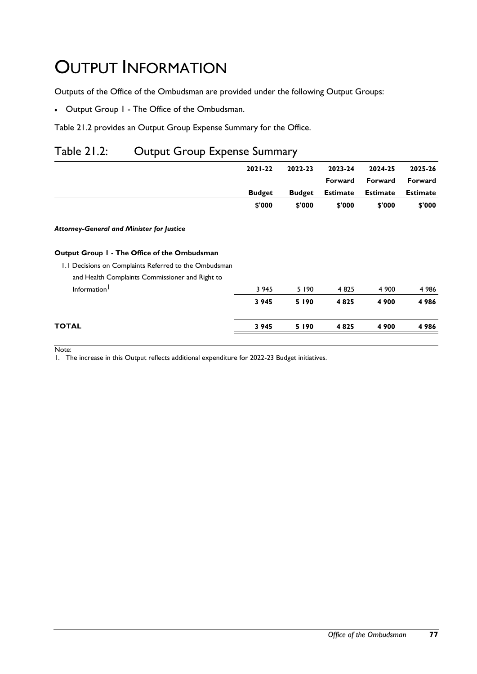# OUTPUT INFORMATION

Outputs of the Office of the Ombudsman are provided under the following Output Groups:

Output Group 1 - The Office of the Ombudsman.

Table 21.2 provides an Output Group Expense Summary for the Office.

### Table 21.2: Output Group Expense Summary

|                                                       | $2021 - 22$   | 2022-23       | 2023-24         | 2024-25         | 2025-26         |
|-------------------------------------------------------|---------------|---------------|-----------------|-----------------|-----------------|
|                                                       |               |               | Forward         | Forward         | <b>Forward</b>  |
|                                                       | <b>Budget</b> | <b>Budget</b> | <b>Estimate</b> | <b>Estimate</b> | <b>Estimate</b> |
|                                                       | \$'000        | \$'000        | \$'000          | \$'000          | \$'000          |
| <b>Attorney-General and Minister for Justice</b>      |               |               |                 |                 |                 |
| Output Group I - The Office of the Ombudsman          |               |               |                 |                 |                 |
| 1.1 Decisions on Complaints Referred to the Ombudsman |               |               |                 |                 |                 |
| and Health Complaints Commissioner and Right to       |               |               |                 |                 |                 |
| Information <sup>1</sup>                              | 3 9 4 5       | 5 190         | 4825            | 4 900           | 4 9 8 6         |
|                                                       | 3945          | 5 1 9 0       | 4825            | 4 900           | 4986            |
| <b>TOTAL</b>                                          | 3945          | 5 1 9 0       | 4825            | 4 900           | 4986            |
|                                                       |               |               |                 |                 |                 |

Note:

1. The increase in this Output reflects additional expenditure for 2022-23 Budget initiatives.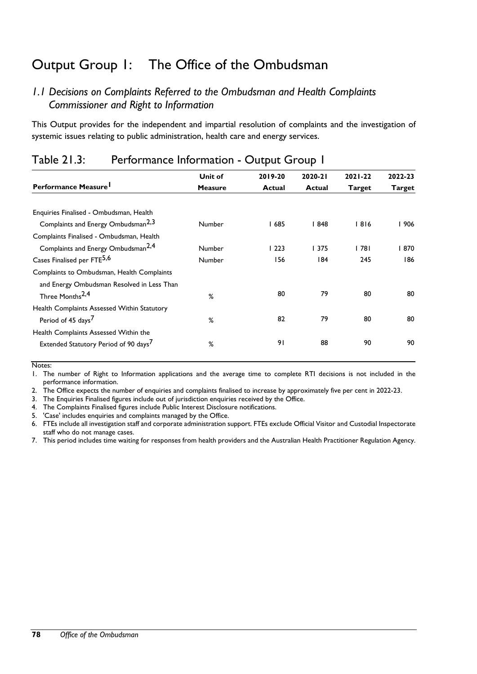## Output Group 1: The Office of the Ombudsman

#### *1.1 Decisions on Complaints Referred to the Ombudsman and Health Complaints Commissioner and Right to Information*

This Output provides for the independent and impartial resolution of complaints and the investigation of systemic issues relating to public administration, health care and energy services.

|                                                   | Unit of        | 2019-20       | 2020-21       | $2021 - 22$   | 2022-23       |
|---------------------------------------------------|----------------|---------------|---------------|---------------|---------------|
| Performance Measure <sup>1</sup>                  | <b>Measure</b> | <b>Actual</b> | <b>Actual</b> | <b>Target</b> | <b>Target</b> |
|                                                   |                |               |               |               |               |
| Enquiries Finalised - Ombudsman, Health           |                |               |               |               |               |
| Complaints and Energy Ombudsman <sup>2,3</sup>    | <b>Number</b>  | 685           | 848           | 816           | l 906         |
| Complaints Finalised - Ombudsman, Health          |                |               |               |               |               |
| Complaints and Energy Ombudsman <sup>2,4</sup>    | <b>Number</b>  | 1223          | 1375          | 1781          | l 870         |
| Cases Finalised per FTE <sup>5,6</sup>            | <b>Number</b>  | 156           | 184           | 245           | 186           |
| Complaints to Ombudsman, Health Complaints        |                |               |               |               |               |
| and Energy Ombudsman Resolved in Less Than        |                |               |               |               |               |
| Three Months <sup>2,4</sup>                       | %              | 80            | 79            | 80            | 80            |
| Health Complaints Assessed Within Statutory       |                |               |               |               |               |
| Period of 45 days <sup>7</sup>                    | %              | 82            | 79            | 80            | 80            |
| Health Complaints Assessed Within the             |                |               |               |               |               |
| Extended Statutory Period of 90 days <sup>7</sup> | %              | 91            | 88            | 90            | 90            |
|                                                   |                |               |               |               |               |

### Table 21.3: Performance Information - Output Group 1

Notes:

1. The number of Right to Information applications and the average time to complete RTI decisions is not included in the performance information.

2. The Office expects the number of enquiries and complaints finalised to increase by approximately five per cent in 2022-23.

3. The Enquiries Finalised figures include out of jurisdiction enquiries received by the Office.

4. The Complaints Finalised figures include Public Interest Disclosure notifications.

5. 'Case' includes enquiries and complaints managed by the Office.

6. FTEs include all investigation staff and corporate administration support. FTEs exclude Official Visitor and Custodial Inspectorate staff who do not manage cases.

7. This period includes time waiting for responses from health providers and the Australian Health Practitioner Regulation Agency.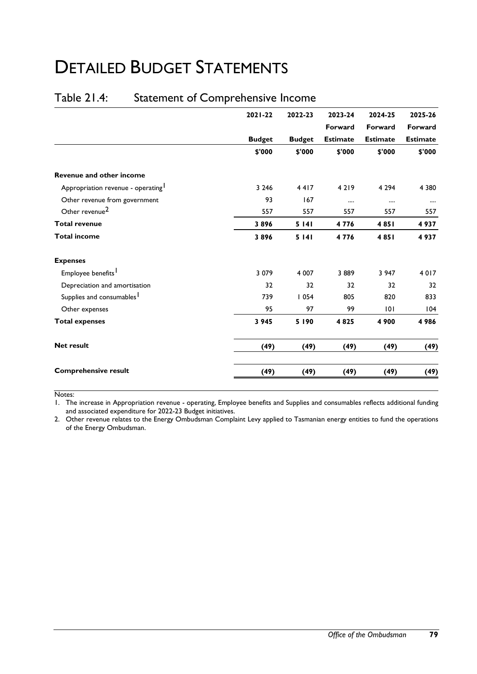# DETAILED BUDGET STATEMENTS

### Table 21.4: Statement of Comprehensive Income

|                                                | 2021-22       | 2022-23       | 2023-24         | 2024-25         | 2025-26         |
|------------------------------------------------|---------------|---------------|-----------------|-----------------|-----------------|
|                                                |               |               | Forward         | Forward         | Forward         |
|                                                | <b>Budget</b> | <b>Budget</b> | <b>Estimate</b> | <b>Estimate</b> | <b>Estimate</b> |
|                                                | \$'000        | \$'000        | \$'000          | \$'000          | \$'000          |
| <b>Revenue and other income</b>                |               |               |                 |                 |                 |
| Appropriation revenue - operating <sup>1</sup> | 3 2 4 6       | 4417          | 4 2 1 9         | 4 2 9 4         | 4 3 8 0         |
| Other revenue from government                  | 93            | 167           |                 |                 |                 |
| Other revenue <sup>2</sup>                     | 557           | 557           | 557             | 557             | 557             |
| <b>Total revenue</b>                           | 3896          | 5 1 4 1       | 4776            | 4851            | 4937            |
| <b>Total income</b>                            | 3896          | 5141          | 4776            | 4851            | 4937            |
| <b>Expenses</b>                                |               |               |                 |                 |                 |
| Employee benefits <sup>1</sup>                 | 3 0 7 9       | 4 0 0 7       | 3889            | 3 9 4 7         | 4017            |
| Depreciation and amortisation                  | 32            | 32            | 32              | 32              | 32              |
| Supplies and consumables <sup>1</sup>          | 739           | 1054          | 805             | 820             | 833             |
| Other expenses                                 | 95            | 97            | 99              | 101             | 104             |
| <b>Total expenses</b>                          | 3 9 4 5       | 5 1 9 0       | 4825            | 4 900           | 4986            |
| <b>Net result</b>                              | (49)          | (49)          | (49)            | (49)            | (49)            |
| <b>Comprehensive result</b>                    | (49)          | (49)          | (49)            | (49)            | (49)            |

Notes:

1. The increase in Appropriation revenue - operating, Employee benefits and Supplies and consumables reflects additional funding and associated expenditure for 2022-23 Budget initiatives.

2. Other revenue relates to the Energy Ombudsman Complaint Levy applied to Tasmanian energy entities to fund the operations of the Energy Ombudsman.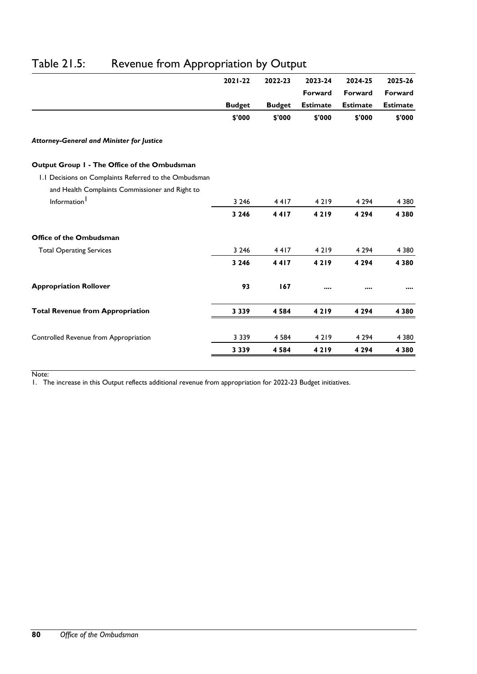|                                                       | 2021-22       | 2022-23       | 2023-24         | 2024-25         | 2025-26         |
|-------------------------------------------------------|---------------|---------------|-----------------|-----------------|-----------------|
|                                                       |               |               | Forward         | Forward         | Forward         |
|                                                       | <b>Budget</b> | <b>Budget</b> | <b>Estimate</b> | <b>Estimate</b> | <b>Estimate</b> |
|                                                       | \$'000        | \$'000        | \$'000          | \$'000          | \$'000          |
| Attorney-General and Minister for Justice             |               |               |                 |                 |                 |
| Output Group 1 - The Office of the Ombudsman          |               |               |                 |                 |                 |
| 1.1 Decisions on Complaints Referred to the Ombudsman |               |               |                 |                 |                 |
| and Health Complaints Commissioner and Right to       |               |               |                 |                 |                 |
| Information <sup>1</sup>                              | 3 2 4 6       | 4417          | 4 2 1 9         | 4 2 9 4         | 4 3 8 0         |
|                                                       | 3 2 4 6       | 4417          | 4219            | 4 2 9 4         | 4380            |
| Office of the Ombudsman                               |               |               |                 |                 |                 |
| <b>Total Operating Services</b>                       | 3 2 4 6       | 4417          | 4 2 1 9         | 4 2 9 4         | 4 3 8 0         |
|                                                       | 3 2 4 6       | 4417          | 4219            | 4 2 9 4         | 4380            |
| <b>Appropriation Rollover</b>                         | 93            | 167           |                 |                 |                 |
| <b>Total Revenue from Appropriation</b>               | 3 3 3 9       | 4 5 8 4       | 4219            | 4 2 9 4         | 4 3 8 0         |
| Controlled Revenue from Appropriation                 | 3 3 3 9       | 4 5 8 4       | 4 2 1 9         | 4 2 9 4         | 4 3 8 0         |
|                                                       | 3 3 3 9       | 4584          | 4219            | 4 2 9 4         | 4 3 8 0         |
|                                                       |               |               |                 |                 |                 |

### Table 21.5: Revenue from Appropriation by Output

Note:

1. The increase in this Output reflects additional revenue from appropriation for 2022-23 Budget initiatives.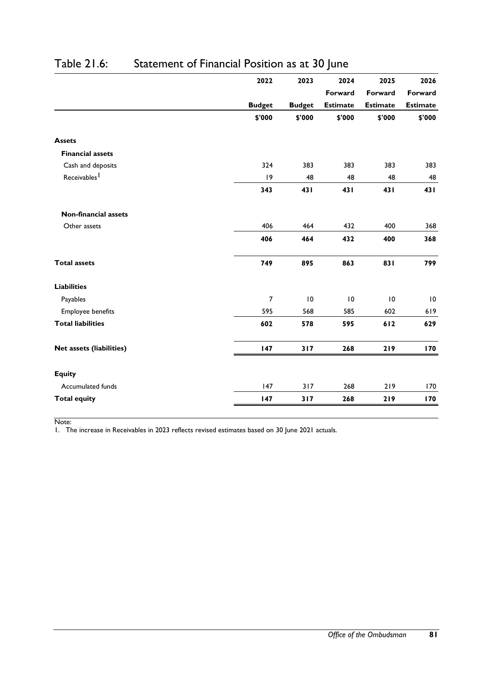|                                 | <b>Budget</b>  | <b>Budget</b>   | Forward         | Forward         | Forward         |
|---------------------------------|----------------|-----------------|-----------------|-----------------|-----------------|
|                                 |                |                 |                 |                 |                 |
|                                 |                |                 | <b>Estimate</b> | <b>Estimate</b> | <b>Estimate</b> |
|                                 | \$'000         | \$'000          | \$'000          | \$'000          | \$'000          |
| <b>Assets</b>                   |                |                 |                 |                 |                 |
| <b>Financial assets</b>         |                |                 |                 |                 |                 |
| Cash and deposits               | 324            | 383             | 383             | 383             | 383             |
| Receivables <sup>1</sup>        | 9              | 48              | 48              | 48              | 48              |
|                                 | 343            | 431             | 431             | 431             | 431             |
| <b>Non-financial assets</b>     |                |                 |                 |                 |                 |
| Other assets                    | 406            | 464             | 432             | 400             | 368             |
|                                 | 406            | 464             | 432             | 400             | 368             |
| <b>Total assets</b>             | 749            | 895             | 863             | 831             | 799             |
| <b>Liabilities</b>              |                |                 |                 |                 |                 |
| Payables                        | $\overline{7}$ | $\overline{10}$ | $\overline{10}$ | 10              | $\overline{10}$ |
| Employee benefits               | 595            | 568             | 585             | 602             | 619             |
| <b>Total liabilities</b>        | 602            | 578             | 595             | 612             | 629             |
| <b>Net assets (liabilities)</b> | 147            | 317             | 268             | 219             | 170             |
| <b>Equity</b>                   |                |                 |                 |                 |                 |
| Accumulated funds               | 147            | 317             | 268             | 219             | 170             |
| <b>Total equity</b>             | 147            | 317             | 268             | 219             | 170             |

## Table 21.6: Statement of Financial Position as at 30 June

Note:

1. The increase in Receivables in 2023 reflects revised estimates based on 30 June 2021 actuals.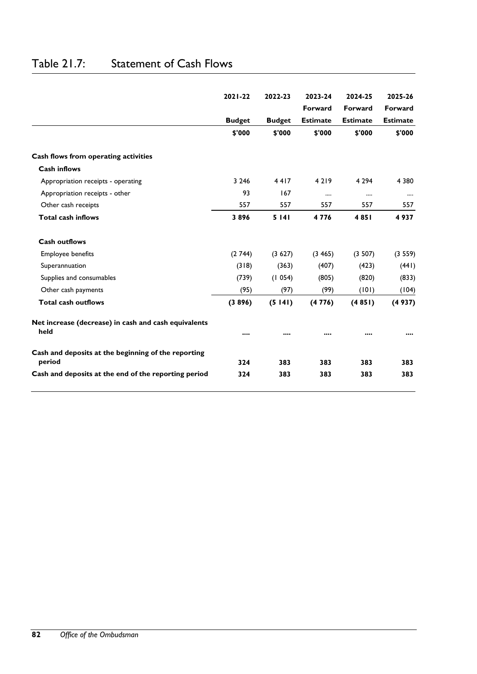|                                                      | $2021 - 22$   | 2022-23       | 2023-24         | 2024-25         | 2025-26         |
|------------------------------------------------------|---------------|---------------|-----------------|-----------------|-----------------|
|                                                      |               |               | Forward         | Forward         | Forward         |
|                                                      | <b>Budget</b> | <b>Budget</b> | <b>Estimate</b> | <b>Estimate</b> | <b>Estimate</b> |
|                                                      | \$'000        | \$'000        | \$'000          | \$'000          | \$'000          |
| Cash flows from operating activities                 |               |               |                 |                 |                 |
| <b>Cash inflows</b>                                  |               |               |                 |                 |                 |
| Appropriation receipts - operating                   | 3 2 4 6       | 4417          | 4 2 1 9         | 4 2 9 4         | 4 3 8 0         |
| Appropriation receipts - other                       | 93            | 167           |                 |                 | $\cdots$        |
| Other cash receipts                                  | 557           | 557           | 557             | 557             | 557             |
| <b>Total cash inflows</b>                            | 3896          | 5141          | 4776            | 4851            | 4937            |
| <b>Cash outflows</b>                                 |               |               |                 |                 |                 |
| Employee benefits                                    | (2744)        | (3627)        | (3, 465)        | (3 507)         | (3559)          |
| Superannuation                                       | (318)         | (363)         | (407)           | (423)           | (441)           |
| Supplies and consumables                             | (739)         | (1054)        | (805)           | (820)           | (833)           |
| Other cash payments                                  | (95)          | (97)          | (99)            | (101)           | (104)           |
| <b>Total cash outflows</b>                           | (3896)        | (5141)        | (4776)          | (4851)          | (4937)          |
| Net increase (decrease) in cash and cash equivalents |               |               |                 |                 |                 |
| held                                                 |               |               |                 |                 |                 |
| Cash and deposits at the beginning of the reporting  |               |               |                 |                 |                 |
| period                                               | 324           | 383           | 383             | 383             | 383             |
| Cash and deposits at the end of the reporting period | 324           | 383           | 383             | 383             | 383             |

### Table 21.7: Statement of Cash Flows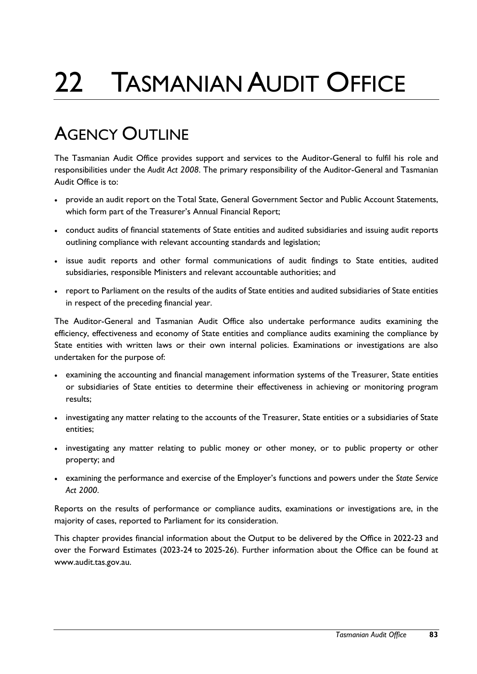# 22 TASMANIAN AUDIT OFFICE

# AGENCY OUTLINE

The Tasmanian Audit Office provides support and services to the Auditor-General to fulfil his role and responsibilities under the *Audit Act 2008*. The primary responsibility of the Auditor-General and Tasmanian Audit Office is to:

- provide an audit report on the Total State, General Government Sector and Public Account Statements, which form part of the Treasurer's Annual Financial Report;
- conduct audits of financial statements of State entities and audited subsidiaries and issuing audit reports outlining compliance with relevant accounting standards and legislation;
- issue audit reports and other formal communications of audit findings to State entities, audited subsidiaries, responsible Ministers and relevant accountable authorities; and
- report to Parliament on the results of the audits of State entities and audited subsidiaries of State entities in respect of the preceding financial year.

The Auditor-General and Tasmanian Audit Office also undertake performance audits examining the efficiency, effectiveness and economy of State entities and compliance audits examining the compliance by State entities with written laws or their own internal policies. Examinations or investigations are also undertaken for the purpose of:

- examining the accounting and financial management information systems of the Treasurer, State entities or subsidiaries of State entities to determine their effectiveness in achieving or monitoring program results;
- investigating any matter relating to the accounts of the Treasurer, State entities or a subsidiaries of State entities;
- investigating any matter relating to public money or other money, or to public property or other property; and
- examining the performance and exercise of the Employer's functions and powers under the *State Service Act 2000*.

Reports on the results of performance or compliance audits, examinations or investigations are, in the majority of cases, reported to Parliament for its consideration.

This chapter provides financial information about the Output to be delivered by the Office in 2022-23 and over the Forward Estimates (2023-24 to 2025-26). Further information about the Office can be found at www.audit.tas.gov.au.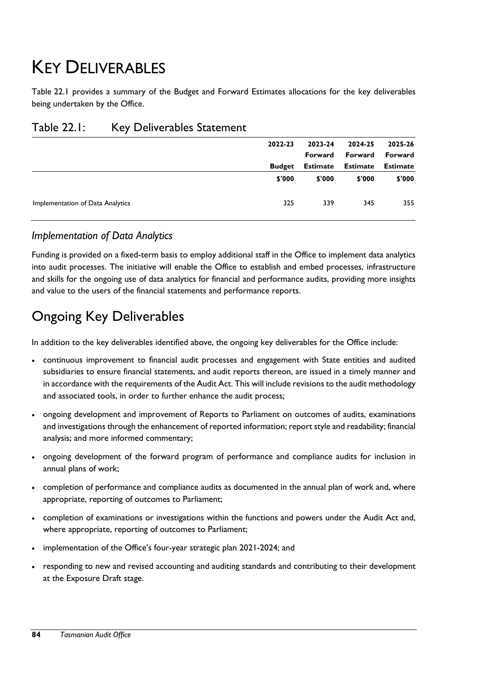# KEY DELIVERABLES

Table 22.1 provides a summary of the Budget and Forward Estimates allocations for the key deliverables being undertaken by the Office.

|                                  | 2022-23       | 2023-24  | 2024-25         | 2025-26         |
|----------------------------------|---------------|----------|-----------------|-----------------|
|                                  |               | Forward  | Forward         | Forward         |
|                                  | <b>Budget</b> | Estimate | <b>Estimate</b> | <b>Estimate</b> |
|                                  | \$'000        | \$'000   | \$'000          | \$'000          |
| Implementation of Data Analytics | 325           | 339      | 345             | 355             |

| Table 22.1:<br><b>Key Deliverables Statement</b> |
|--------------------------------------------------|
|--------------------------------------------------|

#### *Implementation of Data Analytics*

Funding is provided on a fixed-term basis to employ additional staff in the Office to implement data analytics into audit processes. The initiative will enable the Office to establish and embed processes, infrastructure and skills for the ongoing use of data analytics for financial and performance audits, providing more insights and value to the users of the financial statements and performance reports.

## Ongoing Key Deliverables

In addition to the key deliverables identified above, the ongoing key deliverables for the Office include:

- continuous improvement to financial audit processes and engagement with State entities and audited subsidiaries to ensure financial statements, and audit reports thereon, are issued in a timely manner and in accordance with the requirements of the Audit Act. This will include revisions to the audit methodology and associated tools, in order to further enhance the audit process;
- ongoing development and improvement of Reports to Parliament on outcomes of audits, examinations and investigations through the enhancement of reported information; report style and readability; financial analysis; and more informed commentary;
- ongoing development of the forward program of performance and compliance audits for inclusion in annual plans of work;
- completion of performance and compliance audits as documented in the annual plan of work and, where appropriate, reporting of outcomes to Parliament;
- completion of examinations or investigations within the functions and powers under the Audit Act and, where appropriate, reporting of outcomes to Parliament;
- implementation of the Office's four-year strategic plan 2021-2024; and
- responding to new and revised accounting and auditing standards and contributing to their development at the Exposure Draft stage.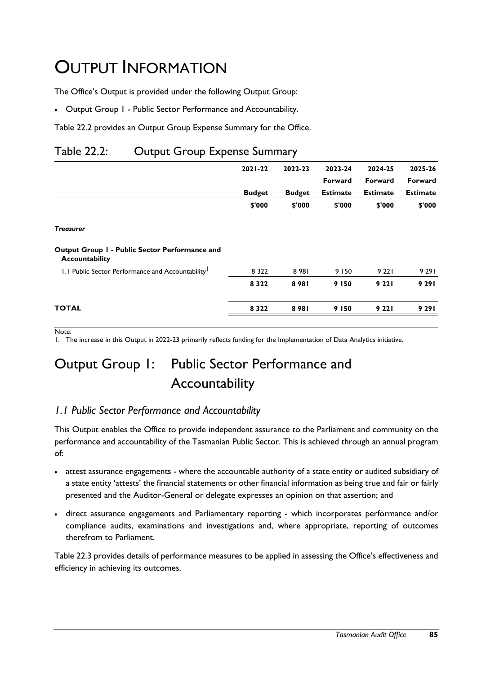# OUTPUT INFORMATION

The Office's Output is provided under the following Output Group:

Output Group 1 - Public Sector Performance and Accountability.

Table 22.2 provides an Output Group Expense Summary for the Office.

#### Table 22.2: Output Group Expense Summary

|                                                                         | $2021 - 22$   | 2022-23       | 2023-24         | 2024-25         | 2025-26         |
|-------------------------------------------------------------------------|---------------|---------------|-----------------|-----------------|-----------------|
|                                                                         |               |               | Forward         | Forward         | <b>Forward</b>  |
|                                                                         | <b>Budget</b> | <b>Budget</b> | <b>Estimate</b> | <b>Estimate</b> | <b>Estimate</b> |
|                                                                         | \$'000        | \$'000        | \$'000          | \$'000          | \$'000          |
| <b>Treasurer</b>                                                        |               |               |                 |                 |                 |
| Output Group I - Public Sector Performance and<br><b>Accountability</b> |               |               |                 |                 |                 |
| 1.1 Public Sector Performance and Accountability <sup>1</sup>           | 8 3 2 2       | 8981          | 9 150           | 9 2 2 1         | 9 2 9 1         |
|                                                                         | 8 3 2 2       | 8981          | 9 150           | 9 2 2 1         | 9 2 9 1         |
| TOTAL                                                                   | 8322          | 8981          | 9 150           | 9 2 2 1         | 9 2 9 1         |
|                                                                         |               |               |                 |                 |                 |

Note:

1. The increase in this Output in 2022-23 primarily reflects funding for the Implementation of Data Analytics initiative.

# Output Group 1: Public Sector Performance and Accountability

#### *1.1 Public Sector Performance and Accountability*

This Output enables the Office to provide independent assurance to the Parliament and community on the performance and accountability of the Tasmanian Public Sector. This is achieved through an annual program of:

- attest assurance engagements where the accountable authority of a state entity or audited subsidiary of a state entity 'attests' the financial statements or other financial information as being true and fair or fairly presented and the Auditor-General or delegate expresses an opinion on that assertion; and
- direct assurance engagements and Parliamentary reporting which incorporates performance and/or compliance audits, examinations and investigations and, where appropriate, reporting of outcomes therefrom to Parliament.

Table 22.3 provides details of performance measures to be applied in assessing the Office's effectiveness and efficiency in achieving its outcomes.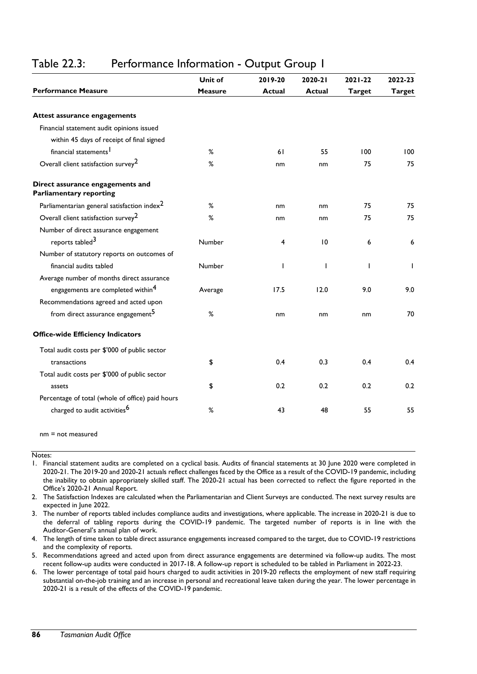### Table 22.3: Performance Information - Output Group 1

|                                                                    | Unit of        | 2019-20      | 2020-21       | $2021 - 22$   | 2022-23        |
|--------------------------------------------------------------------|----------------|--------------|---------------|---------------|----------------|
| <b>Performance Measure</b>                                         | <b>Measure</b> | Actual       | <b>Actual</b> | <b>Target</b> | <b>Target</b>  |
|                                                                    |                |              |               |               |                |
| <b>Attest assurance engagements</b>                                |                |              |               |               |                |
| Financial statement audit opinions issued                          |                |              |               |               |                |
| within 45 days of receipt of final signed                          |                |              |               |               |                |
| financial statements <sup>1</sup>                                  | %              | 61           | 55            | 100           | 100            |
| Overall client satisfaction survey <sup>2</sup>                    | %              | nm           | nm            | 75            | 75             |
| Direct assurance engagements and<br><b>Parliamentary reporting</b> |                |              |               |               |                |
| Parliamentarian general satisfaction index <sup>2</sup>            | %              | nm           | nm            | 75            | 75             |
| Overall client satisfaction survey <sup>2</sup>                    | %              | nm           | nm            | 75            | 75             |
| Number of direct assurance engagement                              |                |              |               |               |                |
| reports tabled <sup>3</sup>                                        | <b>Number</b>  | 4            | 10            | 6             | 6              |
| Number of statutory reports on outcomes of                         |                |              |               |               |                |
| financial audits tabled                                            | <b>Number</b>  | $\mathbf{I}$ | T             | $\mathbf{I}$  | $\overline{1}$ |
| Average number of months direct assurance                          |                |              |               |               |                |
| engagements are completed within <sup>4</sup>                      | Average        | 17.5         | 12.0          | 9.0           | 9.0            |
| Recommendations agreed and acted upon                              |                |              |               |               |                |
| from direct assurance engagement <sup>5</sup>                      | %              | nm           | nm            | nm            | 70             |
| <b>Office-wide Efficiency Indicators</b>                           |                |              |               |               |                |
| Total audit costs per \$'000 of public sector                      |                |              |               |               |                |
| transactions                                                       | \$             | 0.4          | 0.3           | 0.4           | 0.4            |
| Total audit costs per \$'000 of public sector                      |                |              |               |               |                |
| assets                                                             | \$             | 0.2          | 0.2           | 0.2           | 0.2            |
| Percentage of total (whole of office) paid hours                   |                |              |               |               |                |
| charged to audit activities <sup>6</sup>                           | %              | 43           | 48            | 55            | 55             |
| $nm = not measured$                                                |                |              |               |               |                |

Notes:

- 1. Financial statement audits are completed on a cyclical basis. Audits of financial statements at 30 June 2020 were completed in 2020-21. The 2019-20 and 2020-21 actuals reflect challenges faced by the Office as a result of the COVID-19 pandemic, including the inability to obtain appropriately skilled staff. The 2020-21 actual has been corrected to reflect the figure reported in the Office's 2020-21 Annual Report.
- 2. The Satisfaction Indexes are calculated when the Parliamentarian and Client Surveys are conducted. The next survey results are expected in June 2022.
- 3. The number of reports tabled includes compliance audits and investigations, where applicable. The increase in 2020-21 is due to the deferral of tabling reports during the COVID-19 pandemic. The targeted number of reports is in line with the Auditor-General's annual plan of work.
- 4. The length of time taken to table direct assurance engagements increased compared to the target, due to COVID-19 restrictions and the complexity of reports.
- 5. Recommendations agreed and acted upon from direct assurance engagements are determined via follow-up audits. The most recent follow-up audits were conducted in 2017-18. A follow-up report is scheduled to be tabled in Parliament in 2022-23.
- 6. The lower percentage of total paid hours charged to audit activities in 2019-20 reflects the employment of new staff requiring substantial on-the-job training and an increase in personal and recreational leave taken during the year. The lower percentage in 2020-21 is a result of the effects of the COVID-19 pandemic.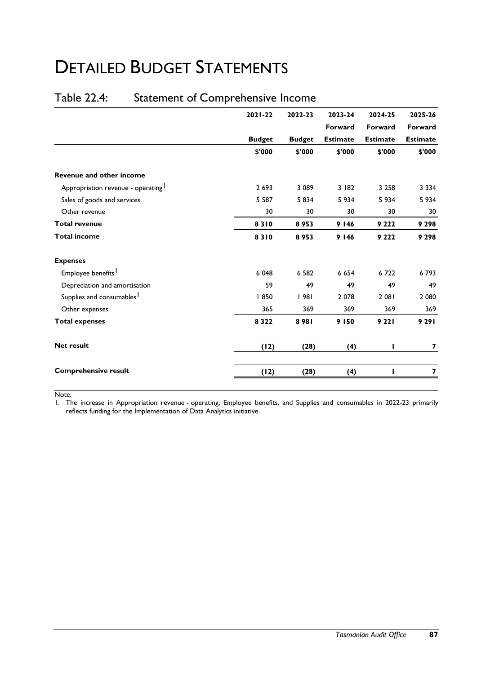# DETAILED BUDGET STATEMENTS

### Table 22.4: Statement of Comprehensive Income

|                                                | $2021 - 22$   | 2022-23       | 2023-24         | 2024-25         | 2025-26         |
|------------------------------------------------|---------------|---------------|-----------------|-----------------|-----------------|
|                                                |               |               | Forward         | Forward         | Forward         |
|                                                | <b>Budget</b> | <b>Budget</b> | <b>Estimate</b> | <b>Estimate</b> | <b>Estimate</b> |
|                                                | \$'000        | \$'000        | \$'000          | \$'000          | \$'000          |
| <b>Revenue and other income</b>                |               |               |                 |                 |                 |
| Appropriation revenue - operating <sup>1</sup> | 2 6 9 3       | 3 0 8 9       | 3 182           | 3 2 5 8         | 3 3 3 4         |
| Sales of goods and services                    | 5 5 8 7       | 5834          | 5 9 3 4         | 5934            | 5934            |
| Other revenue                                  | 30            | 30            | 30              | 30              | 30              |
| <b>Total revenue</b>                           | 8310          | 8953          | 9 1 4 6         | 9 2 2 2         | 9 2 9 8         |
| <b>Total income</b>                            | 8310          | 8953          | 9 1 4 6         | 9 2 2 2         | 9 2 9 8         |
| <b>Expenses</b>                                |               |               |                 |                 |                 |
| Employee benefits <sup>1</sup>                 | 6 0 48        | 6 5 8 2       | 6 6 5 4         | 6722            | 6793            |
| Depreciation and amortisation                  | 59            | 49            | 49              | 49              | 49              |
| Supplies and consumables <sup>1</sup>          | 850           | 1981          | 2 0 7 8         | 2 081           | 2 0 8 0         |
| Other expenses                                 | 365           | 369           | 369             | 369             | 369             |
| <b>Total expenses</b>                          | 8 3 2 2       | 8981          | 9 150           | 9 2 2 1         | 9 2 9 1         |
| <b>Net result</b>                              | (12)          | (28)          | (4)             | п               | 7               |
| <b>Comprehensive result</b>                    | (12)          | (28)          | (4)             |                 | 7               |

Note:

1. The increase in Appropriation revenue - operating, Employee benefits, and Supplies and consumables in 2022-23 primarily reflects funding for the Implementation of Data Analytics initiative.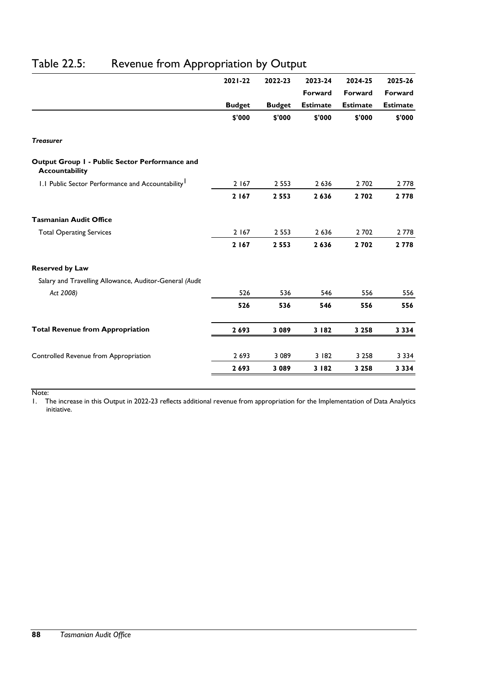|                                                                         | 2021-22       | 2022-23       | 2023-24         | 2024-25         | 2025-26         |
|-------------------------------------------------------------------------|---------------|---------------|-----------------|-----------------|-----------------|
|                                                                         |               |               | Forward         | Forward         | Forward         |
|                                                                         | <b>Budget</b> | <b>Budget</b> | <b>Estimate</b> | <b>Estimate</b> | <b>Estimate</b> |
|                                                                         | \$'000        | \$'000        | \$'000          | \$'000          | \$'000          |
| <b>Treasurer</b>                                                        |               |               |                 |                 |                 |
| Output Group I - Public Sector Performance and<br><b>Accountability</b> |               |               |                 |                 |                 |
| 1.1 Public Sector Performance and Accountability <sup>1</sup>           | 2 1 6 7       | 2 5 5 3       | 2 6 3 6         | 2702            | 2 7 7 8         |
|                                                                         | 2 1 6 7       | 2 5 5 3       | 2636            | 2702            | 2778            |
| <b>Tasmanian Audit Office</b>                                           |               |               |                 |                 |                 |
| <b>Total Operating Services</b>                                         | 2 1 6 7       | 2 5 5 3       | 2 6 3 6         | 2 702           | 2 7 7 8         |
|                                                                         | 2 1 6 7       | 2 5 5 3       | 2636            | 2702            | 2 7 7 8         |
| <b>Reserved by Law</b>                                                  |               |               |                 |                 |                 |
| Salary and Travelling Allowance, Auditor-General (Audit                 |               |               |                 |                 |                 |
| Act 2008)                                                               | 526           | 536           | 546             | 556             | 556             |
|                                                                         | 526           | 536           | 546             | 556             | 556             |
| <b>Total Revenue from Appropriation</b>                                 | 2693          | 3 0 8 9       | 3 182           | 3 2 5 8         | 3 3 3 4         |
| Controlled Revenue from Appropriation                                   | 2 6 9 3       | 3 0 8 9       | 3 182           | 3 2 5 8         | 3 3 3 4         |
|                                                                         | 2693          | 3 0 8 9       | 3 182           | 3 2 5 8         | 3 3 3 4         |

### Table 22.5: Revenue from Appropriation by Output

Note:

1. The increase in this Output in 2022-23 reflects additional revenue from appropriation for the Implementation of Data Analytics initiative.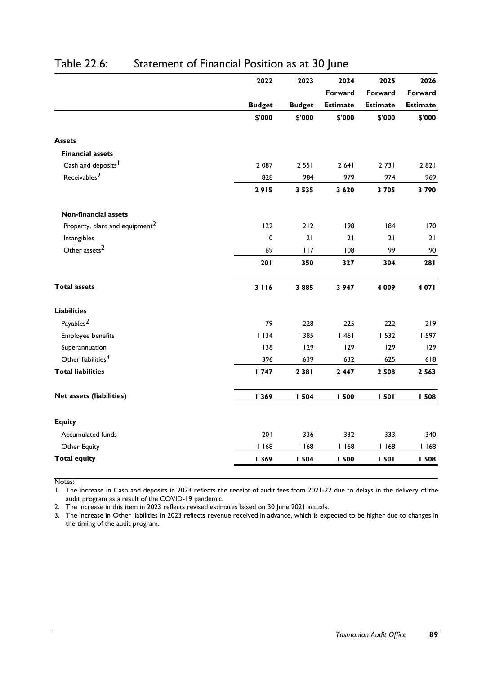|                                            | 2022          | 2023          | 2024            | 2025            | 2026            |
|--------------------------------------------|---------------|---------------|-----------------|-----------------|-----------------|
|                                            |               |               | Forward         | Forward         | Forward         |
|                                            | <b>Budget</b> | <b>Budget</b> | <b>Estimate</b> | <b>Estimate</b> | <b>Estimate</b> |
|                                            | \$'000        | \$'000        | \$'000          | \$'000          | \$'000          |
| <b>Assets</b>                              |               |               |                 |                 |                 |
| <b>Financial assets</b>                    |               |               |                 |                 |                 |
| Cash and deposits <sup>1</sup>             | 2 0 8 7       | 2551          | 2641            | 2731            | 2821            |
| Receivables <sup>2</sup>                   | 828           | 984           | 979             | 974             | 969             |
|                                            | 2915          | 3 5 3 5       | 3 6 20          | 3705            | 3790            |
| <b>Non-financial assets</b>                |               |               |                 |                 |                 |
| Property, plant and equipment <sup>2</sup> | 122           | 212           | 198             | 184             | 170             |
| Intangibles                                | 10            | 21            | 21              | 21              | 21              |
| Other assets <sup>2</sup>                  | 69            | 117           | 108             | 99              | 90              |
|                                            | 201           | 350           | 327             | 304             | 281             |
| <b>Total assets</b>                        | 3116          | 3885          | 3 9 4 7         | 4 0 0 9         | 4 0 7 1         |
| <b>Liabilities</b>                         |               |               |                 |                 |                 |
| Payables <sup>2</sup>                      | 79            | 228           | 225             | 222             | 219             |
| Employee benefits                          | 1134          | 385           | 1461            | 1532            | I 597           |
| Superannuation                             | 138           | 129           | 129             | 129             | 129             |
| Other liabilities <sup>3</sup>             | 396           | 639           | 632             | 625             | 618             |
| <b>Total liabilities</b>                   | 1747          | 2381          | 2 4 4 7         | 2 5 0 8         | 2 5 6 3         |
| <b>Net assets (liabilities)</b>            | <b>1369</b>   | 1504          | <b>I 500</b>    | 1501            | 1508            |
| <b>Equity</b>                              |               |               |                 |                 |                 |
| Accumulated funds                          | 201           | 336           | 332             | 333             | 340             |
| Other Equity                               | 1168          | 1168          | 1168            | 1168            | 1168            |
| <b>Total equity</b>                        | <b>1369</b>   | 1504          | 500             | 1501            | <b>I 508</b>    |

### Table 22.6: Statement of Financial Position as at 30 June

Notes:

1. The increase in Cash and deposits in 2023 reflects the receipt of audit fees from 2021-22 due to delays in the delivery of the audit program as a result of the COVID-19 pandemic.

2. The increase in this item in 2023 reflects revised estimates based on 30 June 2021 actuals.

3. The increase in Other liabilities in 2023 reflects revenue received in advance, which is expected to be higher due to changes in the timing of the audit program.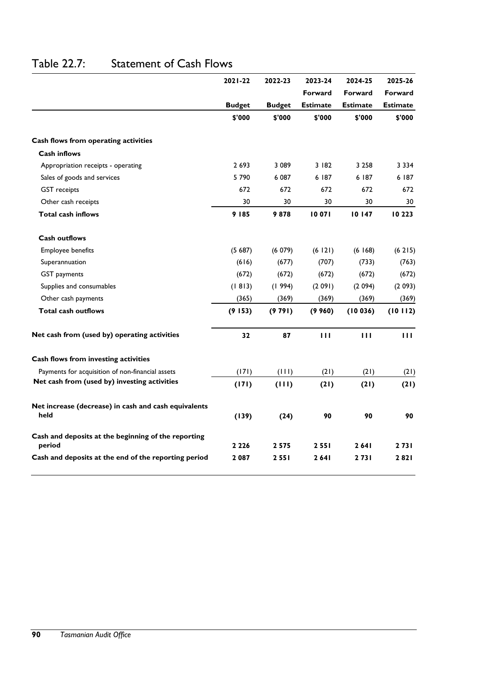|                                                              | $2021 - 22$   | 2022-23       | 2023-24         | 2024-25         | 2025-26         |
|--------------------------------------------------------------|---------------|---------------|-----------------|-----------------|-----------------|
|                                                              |               |               | Forward         | Forward         | Forward         |
|                                                              | <b>Budget</b> | <b>Budget</b> | <b>Estimate</b> | <b>Estimate</b> | <b>Estimate</b> |
|                                                              | \$'000        | \$'000        | \$'000          | \$'000          | \$'000          |
| Cash flows from operating activities                         |               |               |                 |                 |                 |
| <b>Cash inflows</b>                                          |               |               |                 |                 |                 |
| Appropriation receipts - operating                           | 2693          | 3 0 8 9       | 3 182           | 3 2 5 8         | 3 3 3 4         |
| Sales of goods and services                                  | 5 7 9 0       | 6 0 87        | 6 187           | 6 187           | 6 187           |
| <b>GST</b> receipts                                          | 672           | 672           | 672             | 672             | 672             |
| Other cash receipts                                          | 30            | 30            | 30              | 30              | 30              |
| <b>Total cash inflows</b>                                    | 9 185         | 9878          | 10 071          | 10 147          | 10223           |
| <b>Cash outflows</b>                                         |               |               |                 |                 |                 |
| Employee benefits                                            | (5687)        | (6079)        | (6 121)         | (6168)          | (6215)          |
| Superannuation                                               | (616)         | (677)         | (707)           | (733)           | (763)           |
| <b>GST</b> payments                                          | (672)         | (672)         | (672)           | (672)           | (672)           |
| Supplies and consumables                                     | (1813)        | (1994)        | (2091)          | (2 094)         | (2093)          |
| Other cash payments                                          | (365)         | (369)         | (369)           | (369)           | (369)           |
| <b>Total cash outflows</b>                                   | (9153)        | (9791)        | (9960)          | (10036)         | (10112)         |
| Net cash from (used by) operating activities                 | 32            | 87            | Ш               | $\mathbf{H}$    | $\mathbf{H}$    |
| Cash flows from investing activities                         |               |               |                 |                 |                 |
| Payments for acquisition of non-financial assets             | (171)         | (111)         | (21)            | (21)            | (21)            |
| Net cash from (used by) investing activities                 | (171)         | (111)         | (21)            | (21)            | (21)            |
| Net increase (decrease) in cash and cash equivalents<br>held | (139)         | (24)          | 90              | 90              | 90              |
| Cash and deposits at the beginning of the reporting          |               |               |                 |                 |                 |
| period                                                       | 2 2 2 6       | 2575          | 2551            | 2641            | 2731            |
| Cash and deposits at the end of the reporting period         | 2087          | 2551          | 2641            | 2731            | 2821            |

### Table 22.7: Statement of Cash Flows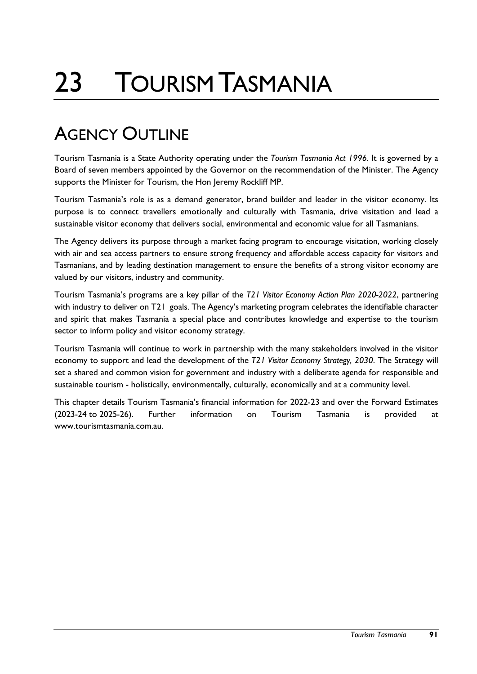# 23 TOURISM TASMANIA

# AGENCY OUTLINE

Tourism Tasmania is a State Authority operating under the *Tourism Tasmania Act 1996*. It is governed by a Board of seven members appointed by the Governor on the recommendation of the Minister. The Agency supports the Minister for Tourism, the Hon Jeremy Rockliff MP.

Tourism Tasmania's role is as a demand generator, brand builder and leader in the visitor economy. Its purpose is to connect travellers emotionally and culturally with Tasmania, drive visitation and lead a sustainable visitor economy that delivers social, environmental and economic value for all Tasmanians.

The Agency delivers its purpose through a market facing program to encourage visitation, working closely with air and sea access partners to ensure strong frequency and affordable access capacity for visitors and Tasmanians, and by leading destination management to ensure the benefits of a strong visitor economy are valued by our visitors, industry and community.

Tourism Tasmania's programs are a key pillar of the *T21 Visitor Economy Action Plan 2020-2022*, partnering with industry to deliver on T21 goals. The Agency's marketing program celebrates the identifiable character and spirit that makes Tasmania a special place and contributes knowledge and expertise to the tourism sector to inform policy and visitor economy strategy.

Tourism Tasmania will continue to work in partnership with the many stakeholders involved in the visitor economy to support and lead the development of the *T21 Visitor Economy Strategy, 2030*. The Strategy will set a shared and common vision for government and industry with a deliberate agenda for responsible and sustainable tourism - holistically, environmentally, culturally, economically and at a community level.

This chapter details Tourism Tasmania's financial information for 2022-23 and over the Forward Estimates (2023-24 to 2025-26). Further information on Tourism Tasmania is provided at www.tourismtasmania.com.au.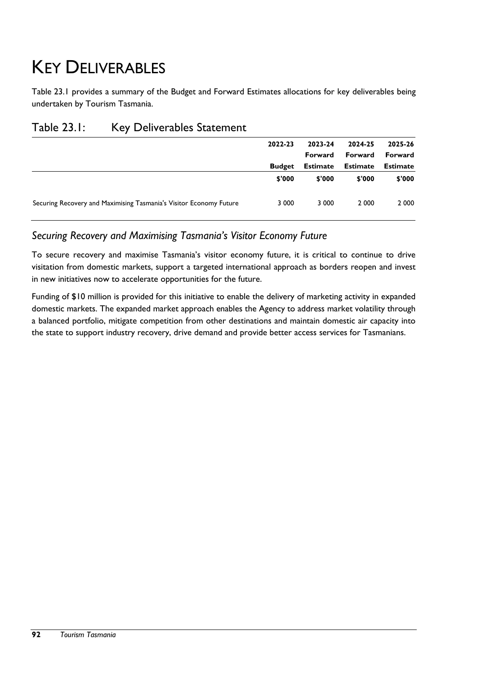# KEY DELIVERABLES

Table 23.1 provides a summary of the Budget and Forward Estimates allocations for key deliverables being undertaken by Tourism Tasmania.

|                                                                    | 2022-23       | 2023-24<br>Forward | 2024-25<br>Forward | 2025-26<br>Forward |
|--------------------------------------------------------------------|---------------|--------------------|--------------------|--------------------|
|                                                                    | <b>Budget</b> | <b>Estimate</b>    | <b>Estimate</b>    | <b>Estimate</b>    |
|                                                                    | \$'000        | \$'000             | \$'000             | \$'000             |
| Securing Recovery and Maximising Tasmania's Visitor Economy Future | 3 000         | 3 0 0 0            | 2 0 0 0            | 2 0 0 0            |

#### Table 23.1: Key Deliverables Statement

#### *Securing Recovery and Maximising Tasmania's Visitor Economy Future*

To secure recovery and maximise Tasmania's visitor economy future, it is critical to continue to drive visitation from domestic markets, support a targeted international approach as borders reopen and invest in new initiatives now to accelerate opportunities for the future.

Funding of \$10 million is provided for this initiative to enable the delivery of marketing activity in expanded domestic markets. The expanded market approach enables the Agency to address market volatility through a balanced portfolio, mitigate competition from other destinations and maintain domestic air capacity into the state to support industry recovery, drive demand and provide better access services for Tasmanians.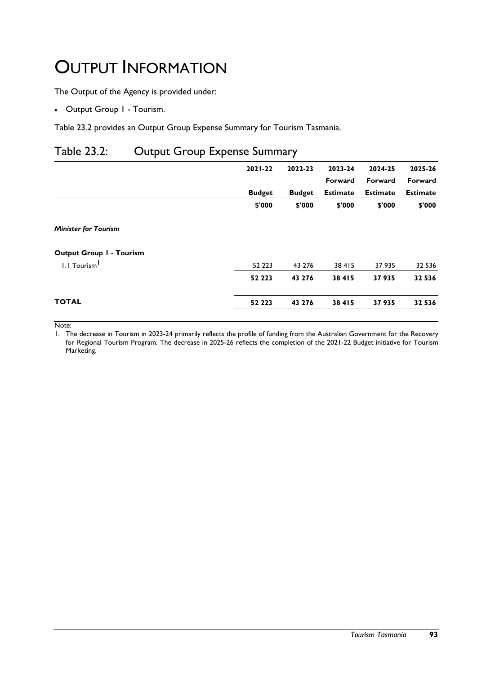# OUTPUT INFORMATION

The Output of the Agency is provided under:

Output Group 1 - Tourism.

Table 23.2 provides an Output Group Expense Summary for Tourism Tasmania.

### Table 23.2: Output Group Expense Summary

|                                 | $2021 - 22$   | 2022-23       | 2023-24         | 2024-25         | 2025-26         |
|---------------------------------|---------------|---------------|-----------------|-----------------|-----------------|
|                                 |               |               | Forward         | Forward         | Forward         |
|                                 | <b>Budget</b> | <b>Budget</b> | <b>Estimate</b> | <b>Estimate</b> | <b>Estimate</b> |
|                                 | \$'000        | \$'000        | \$'000          | \$'000          | \$'000          |
| <b>Minister for Tourism</b>     |               |               |                 |                 |                 |
| <b>Output Group I - Tourism</b> |               |               |                 |                 |                 |
| 1.1 Tourism <sup>1</sup>        | 52 2 23       | 43 276        | 38415           | 37935           | 32 5 36         |
|                                 | 52 2 2 3      | 43 276        | 38 415          | 37935           | 32 536          |
| <b>TOTAL</b>                    | 52 2 2 3      | 43 276        | 38 415          | 37935           | 32 536          |
|                                 |               |               |                 |                 |                 |

Note:

1. The decrease in Tourism in 2023-24 primarily reflects the profile of funding from the Australian Government for the Recovery for Regional Tourism Program. The decrease in 2025-26 reflects the completion of the 2021-22 Budget initiative for Tourism Marketing.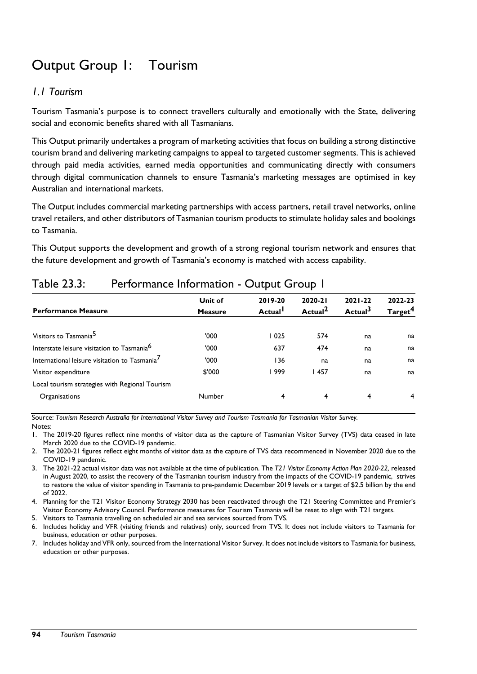## Output Group 1: Tourism

#### *1.1 Tourism*

Tourism Tasmania's purpose is to connect travellers culturally and emotionally with the State, delivering social and economic benefits shared with all Tasmanians.

This Output primarily undertakes a program of marketing activities that focus on building a strong distinctive tourism brand and delivering marketing campaigns to appeal to targeted customer segments. This is achieved through paid media activities, earned media opportunities and communicating directly with consumers through digital communication channels to ensure Tasmania's marketing messages are optimised in key Australian and international markets.

The Output includes commercial marketing partnerships with access partners, retail travel networks, online travel retailers, and other distributors of Tasmanian tourism products to stimulate holiday sales and bookings to Tasmania.

This Output supports the development and growth of a strong regional tourism network and ensures that the future development and growth of Tasmania's economy is matched with access capability.

| Unit of                                                            | 2019-20             | 2020-21             | 2021-22             | 2022-23             |
|--------------------------------------------------------------------|---------------------|---------------------|---------------------|---------------------|
| <b>Performance Measure</b><br><b>Measure</b>                       | Actual <sup>1</sup> | Actual <sup>2</sup> | Actual <sup>3</sup> | Target <sup>4</sup> |
| Visitors to Tasmania <sup>5</sup><br>'000'                         | 1025                | 574                 | na                  | na                  |
| Interstate leisure visitation to Tasmania <sup>6</sup><br>'000'    | 637                 | 474                 | na                  | na                  |
| International leisure visitation to Tasmania <sup>7</sup><br>'000' | 136                 | na                  | na                  | na                  |
| \$'000<br>Visitor expenditure                                      | 1999                | 457                 | na                  | na                  |
| Local tourism strategies with Regional Tourism                     |                     |                     |                     |                     |
| Number<br>Organisations                                            | 4                   | 4                   | 4                   | $\overline{4}$      |

#### Table 23.3: Performance Information - Output Group 1

Source: *Tourism Research Australia for International Visitor Survey and Tourism Tasmania for Tasmanian Visitor Survey.* Notes:

- 1. The 2019-20 figures reflect nine months of visitor data as the capture of Tasmanian Visitor Survey (TVS) data ceased in late March 2020 due to the COVID-19 pandemic.
- 2. The 2020-21 figures reflect eight months of visitor data as the capture of TVS data recommenced in November 2020 due to the COVID-19 pandemic.
- 3. The 2021-22 actual visitor data was not available at the time of publication. The *T21 Visitor Economy Action Plan 2020-22,* released in August 2020, to assist the recovery of the Tasmanian tourism industry from the impacts of the COVID-19 pandemic, strives to restore the value of visitor spending in Tasmania to pre-pandemic December 2019 levels or a target of \$2.5 billion by the end of 2022.
- 4. Planning for the T21 Visitor Economy Strategy 2030 has been reactivated through the T21 Steering Committee and Premier's Visitor Economy Advisory Council. Performance measures for Tourism Tasmania will be reset to align with T21 targets.
- 5. Visitors to Tasmania travelling on scheduled air and sea services sourced from TVS.
- 6. Includes holiday and VFR (visiting friends and relatives) only, sourced from TVS. It does not include visitors to Tasmania for business, education or other purposes.
- 7. Includes holiday and VFR only, sourced from the International Visitor Survey. It does not include visitors to Tasmania for business, education or other purposes.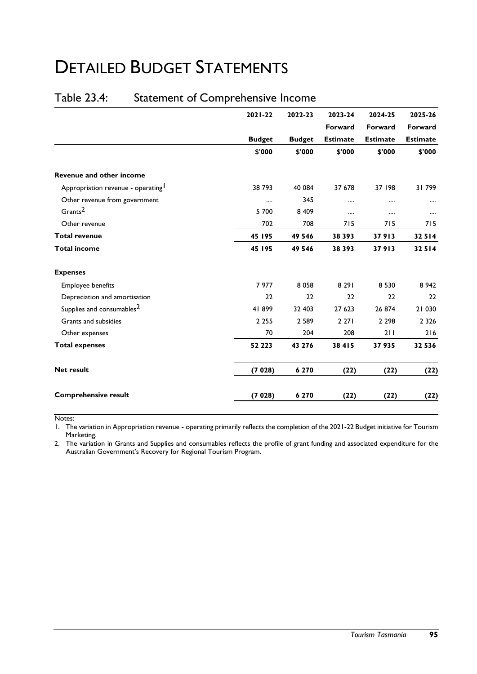# DETAILED BUDGET STATEMENTS

### Table 23.4: Statement of Comprehensive Income

|                                       | 2021-22       | 2022-23       | 2023-24         | 2024-25         | 2025-26         |
|---------------------------------------|---------------|---------------|-----------------|-----------------|-----------------|
|                                       |               |               | Forward         | Forward         | Forward         |
|                                       | <b>Budget</b> | <b>Budget</b> | <b>Estimate</b> | <b>Estimate</b> | <b>Estimate</b> |
|                                       | \$'000        | \$'000        | \$'000          | \$'000          | \$'000          |
| <b>Revenue and other income</b>       |               |               |                 |                 |                 |
| Appropriation revenue - operating     | 38 793        | 40 084        | 37 678          | 37 198          | 31799           |
| Other revenue from government         |               | 345           |                 |                 |                 |
| Grants <sup>2</sup>                   | 5 700         | 8 4 0 9       |                 |                 |                 |
| Other revenue                         | 702           | 708           | 715             | 715             | 715             |
| <b>Total revenue</b>                  | 45 195        | 49 546        | 38 393          | 37913           | 32 5 14         |
| <b>Total income</b>                   | 45 195        | 49 546        | 38 393          | 37913           | 32514           |
| <b>Expenses</b>                       |               |               |                 |                 |                 |
| Employee benefits                     | 7977          | 8 0 5 8       | 8 2 9 1         | 8 5 3 0         | 8 9 4 2         |
| Depreciation and amortisation         | 22            | 22            | 22              | 22              | 22              |
| Supplies and consumables <sup>2</sup> | 41899         | 32 403        | 27 623          | 26 874          | 21 030          |
| Grants and subsidies                  | 2 2 5 5       | 2 5 8 9       | 2 2 7 1         | 2 2 9 8         | 2 3 2 6         |
| Other expenses                        | 70            | 204           | 208             | 211             | 216             |
| <b>Total expenses</b>                 | 52 2 2 3      | 43 276        | 38 415          | 37 935          | 32 536          |
| <b>Net result</b>                     | (7028)        | 6 2 7 0       | (22)            | (22)            | (22)            |
| <b>Comprehensive result</b>           | (7028)        | 6 2 7 0       | (22)            | (22)            | (22)            |

Notes:

1. The variation in Appropriation revenue - operating primarily reflects the completion of the 2021-22 Budget initiative for Tourism Marketing.

2. The variation in Grants and Supplies and consumables reflects the profile of grant funding and associated expenditure for the Australian Government's Recovery for Regional Tourism Program.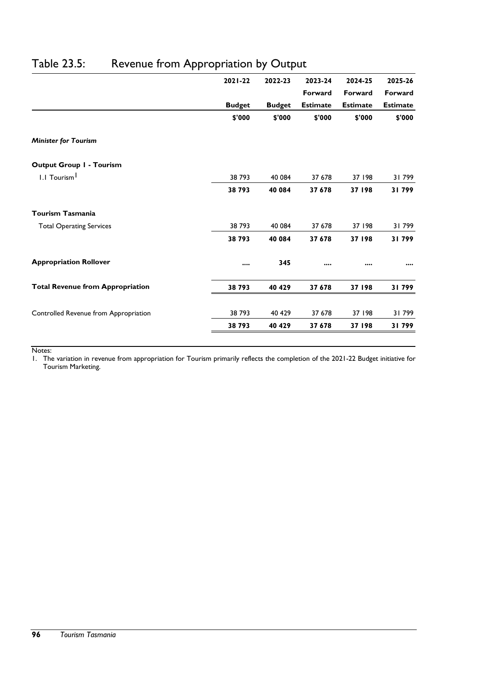|                                         | $2021 - 22$   | 2022-23       | 2023-24         | 2024-25         | 2025-26         |
|-----------------------------------------|---------------|---------------|-----------------|-----------------|-----------------|
|                                         |               |               | Forward         | Forward         | Forward         |
|                                         | <b>Budget</b> | <b>Budget</b> | <b>Estimate</b> | <b>Estimate</b> | <b>Estimate</b> |
|                                         | \$'000        | \$'000        | \$'000          | \$'000          | \$'000          |
| <b>Minister for Tourism</b>             |               |               |                 |                 |                 |
| <b>Output Group I - Tourism</b>         |               |               |                 |                 |                 |
| 1.1 Tourism <sup>1</sup>                | 38 793        | 40 0 84       | 37 678          | 37 198          | 31799           |
|                                         | 38793         | 40 084        | 37 678          | 37 198          | 31799           |
| <b>Tourism Tasmania</b>                 |               |               |                 |                 |                 |
| <b>Total Operating Services</b>         | 38 793        | 40 0 84       | 37 678          | 37 198          | 31799           |
|                                         | 38793         | 40 084        | 37 678          | 37 198          | 31799           |
| <b>Appropriation Rollover</b>           |               | 345           |                 |                 |                 |
| <b>Total Revenue from Appropriation</b> | 38793         | 40 429        | 37 678          | 37 198          | 31799           |
| Controlled Revenue from Appropriation   | 38 793        | 40 429        | 37 678          | 37 198          | 31799           |
|                                         | 38793         | 40 429        | 37 678          | 37 198          | 31799           |

### Table 23.5: Revenue from Appropriation by Output

Notes:

1. The variation in revenue from appropriation for Tourism primarily reflects the completion of the 2021-22 Budget initiative for Tourism Marketing.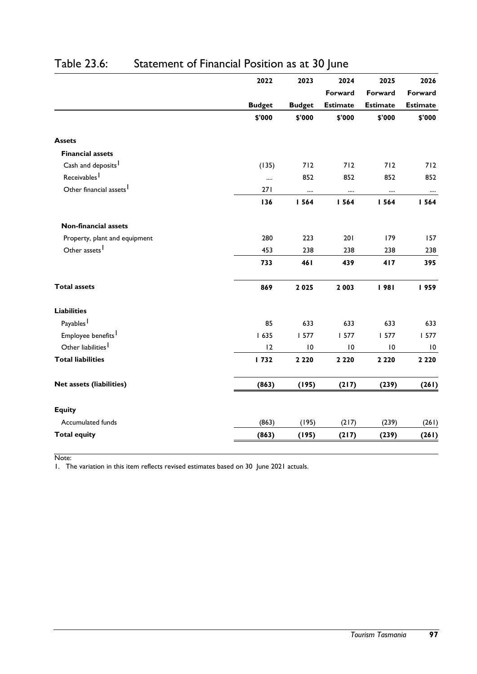|                                     | 2022          | 2023          | 2024            | 2025            | 2026            |
|-------------------------------------|---------------|---------------|-----------------|-----------------|-----------------|
|                                     |               |               | Forward         | Forward         | Forward         |
|                                     | <b>Budget</b> | <b>Budget</b> | <b>Estimate</b> | <b>Estimate</b> | <b>Estimate</b> |
|                                     | \$'000        | \$'000        | \$'000          | \$'000          | \$'000          |
| <b>Assets</b>                       |               |               |                 |                 |                 |
| <b>Financial assets</b>             |               |               |                 |                 |                 |
| Cash and deposits <sup>1</sup>      | (135)         | 712           | 712             | 712             | 712             |
| Receivables <sup>1</sup>            |               | 852           | 852             | 852             | 852             |
| Other financial assets <sup>1</sup> | 271           | $\cdots$      |                 | $\cdots$        |                 |
|                                     | 136           | 1564          | 1564            | 1564            | 1564            |
| <b>Non-financial assets</b>         |               |               |                 |                 |                 |
| Property, plant and equipment       | 280           | 223           | 201             | 179             | 157             |
| Other assets                        | 453           | 238           | 238             | 238             | 238             |
|                                     | 733           | 461           | 439             | 417             | 395             |
| <b>Total assets</b>                 | 869           | 2025          | 2 0 0 3         | 98              | <b>1959</b>     |
| <b>Liabilities</b>                  |               |               |                 |                 |                 |
| Payables <sup>1</sup>               | 85            | 633           | 633             | 633             | 633             |
| Employee benefits <sup>1</sup>      | 1635          | 1577          | 1577            | 1577            | I 577           |
| Other liabilities <sup>1</sup>      | 12            | 10            | $\overline{10}$ | $\overline{10}$ | $\overline{10}$ |
| <b>Total liabilities</b>            | 732           | 2 2 2 0       | 2 2 2 0         | 2 2 2 0         | 2 2 2 0         |
| <b>Net assets (liabilities)</b>     | (863)         | (195)         | (217)           | (239)           | (261)           |
| <b>Equity</b>                       |               |               |                 |                 |                 |
| Accumulated funds                   | (863)         | (195)         | (217)           | (239)           | (261)           |
| <b>Total equity</b>                 | (863)         | (195)         | (217)           | (239)           | (261)           |

## Table 23.6: Statement of Financial Position as at 30 June

Note:

1. The variation in this item reflects revised estimates based on 30 June 2021 actuals.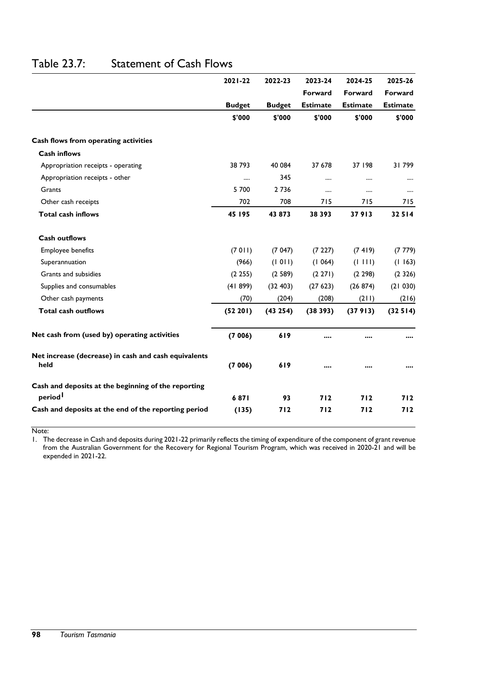|                                                              | 2021-22       | 2022-23       | 2023-24<br>Forward | 2024-25<br>Forward | 2025-26<br>Forward |
|--------------------------------------------------------------|---------------|---------------|--------------------|--------------------|--------------------|
|                                                              | <b>Budget</b> | <b>Budget</b> | <b>Estimate</b>    | <b>Estimate</b>    | <b>Estimate</b>    |
|                                                              | \$'000        | \$'000        | \$'000             | \$'000             | \$'000             |
| Cash flows from operating activities                         |               |               |                    |                    |                    |
| <b>Cash inflows</b>                                          |               |               |                    |                    |                    |
| Appropriation receipts - operating                           | 38 793        | 40 084        | 37 678             | 37 198             | 31799              |
| Appropriation receipts - other                               |               | 345           | $\cdots$           | $\cdots$           | $\cdots$           |
| Grants                                                       | 5 700         | 2736          | $\cdots$           | $\cdots$           |                    |
| Other cash receipts                                          | 702           | 708           | 715                | 715                | 715                |
| <b>Total cash inflows</b>                                    | 45 195        | 43 873        | 38 393             | 37913              | 32514              |
| <b>Cash outflows</b>                                         |               |               |                    |                    |                    |
| Employee benefits                                            | (7011)        | (7047)        | (7 227)            | (7419)             | (7779)             |
| Superannuation                                               | (966)         | (1011)        | (1064)             | (1 111)            | (1163)             |
| Grants and subsidies                                         | (2 255)       | (2589)        | (2 271)            | (2 298)            | (2326)             |
| Supplies and consumables                                     | (41899)       | (32, 403)     | (27623)            | (26 874)           | (21030)            |
| Other cash payments                                          | (70)          | (204)         | (208)              | (211)              | (216)              |
| <b>Total cash outflows</b>                                   | (52 201)      | (43 254)      | (38393)            | (37913)            | (32514)            |
| Net cash from (used by) operating activities                 | (7006)        | 619           |                    |                    |                    |
| Net increase (decrease) in cash and cash equivalents<br>held | (7006)        | 619           |                    |                    |                    |
| Cash and deposits at the beginning of the reporting          |               |               |                    |                    |                    |
| period <sup>1</sup>                                          | 6871          | 93            | 712                | 712                | 712                |
| Cash and deposits at the end of the reporting period         | (135)         | 712           | 712                | 712                | 712                |

### Table 23.7: Statement of Cash Flows

Note:

1. The decrease in Cash and deposits during 2021-22 primarily reflects the timing of expenditure of the component of grant revenue from the Australian Government for the Recovery for Regional Tourism Program, which was received in 2020-21 and will be expended in 2021-22.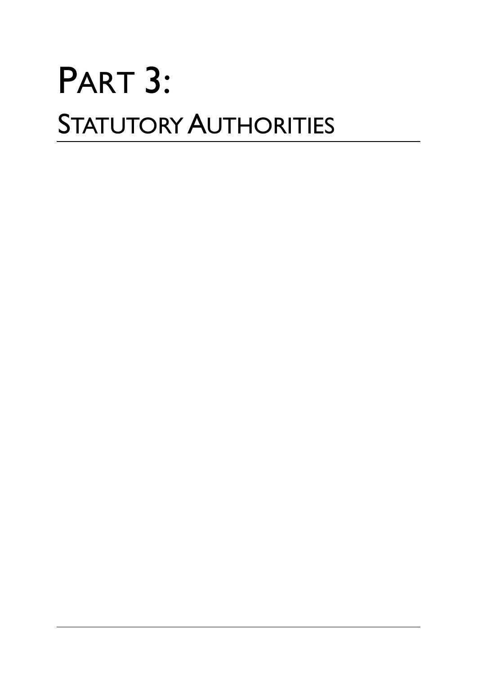# PART 3: STATUTORY AUTHORITIES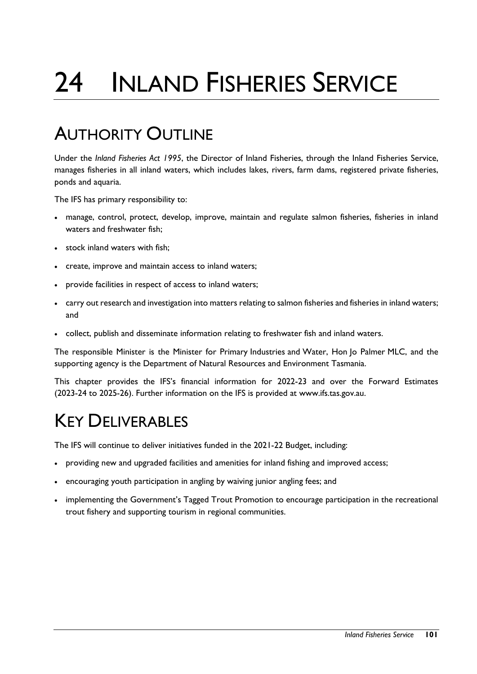# 24 INLAND FISHERIES SERVICE

### AUTHORITY OUTLINE

Under the *Inland Fisheries Act 1995*, the Director of Inland Fisheries, through the Inland Fisheries Service, manages fisheries in all inland waters, which includes lakes, rivers, farm dams, registered private fisheries, ponds and aquaria.

The IFS has primary responsibility to:

- manage, control, protect, develop, improve, maintain and regulate salmon fisheries, fisheries in inland waters and freshwater fish;
- stock inland waters with fish:
- create, improve and maintain access to inland waters;
- provide facilities in respect of access to inland waters;
- carry out research and investigation into matters relating to salmon fisheries and fisheries in inland waters; and
- collect, publish and disseminate information relating to freshwater fish and inland waters.

The responsible Minister is the Minister for Primary Industries and Water, Hon Jo Palmer MLC, and the supporting agency is the Department of Natural Resources and Environment Tasmania.

This chapter provides the IFS's financial information for 2022-23 and over the Forward Estimates (2023-24 to 2025-26). Further information on the IFS is provided at www.ifs.tas.gov.au.

# KEY DELIVERABLES

The IFS will continue to deliver initiatives funded in the 2021-22 Budget, including:

- providing new and upgraded facilities and amenities for inland fishing and improved access;
- encouraging youth participation in angling by waiving junior angling fees; and
- implementing the Government's Tagged Trout Promotion to encourage participation in the recreational trout fishery and supporting tourism in regional communities.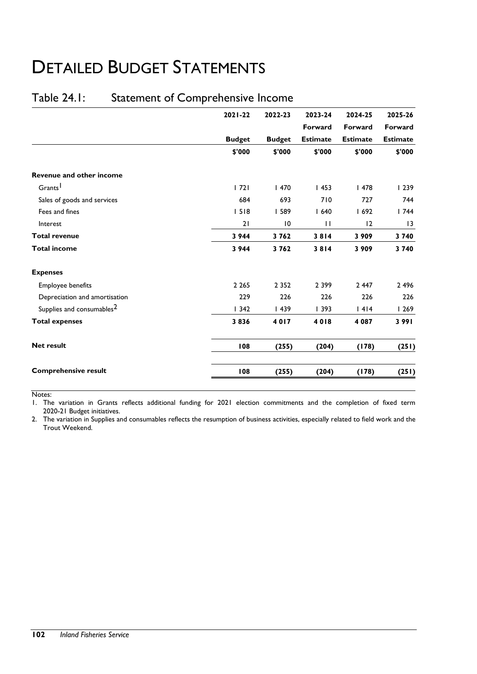### Table 24.1: Statement of Comprehensive Income

|                                       | 2021-22       | 2022-23       | 2023-24         | 2024-25         | 2025-26         |
|---------------------------------------|---------------|---------------|-----------------|-----------------|-----------------|
|                                       |               |               | Forward         | Forward         | Forward         |
|                                       | <b>Budget</b> | <b>Budget</b> | <b>Estimate</b> | <b>Estimate</b> | <b>Estimate</b> |
|                                       | \$'000        | \$'000        | \$'000          | \$'000          | \$'000          |
| <b>Revenue and other income</b>       |               |               |                 |                 |                 |
| Grants <sup>1</sup>                   | 1721          | 1470          | 1453            | 1478            | 1239            |
| Sales of goods and services           | 684           | 693           | 710             | 727             | 744             |
| Fees and fines                        | 1518          | 589           | 1640            | 1692            | 1744            |
| Interest                              | 21            | 10            | $\mathbf{H}$    | 12              | 3               |
| <b>Total revenue</b>                  | 3944          | 3762          | 3814            | 3 9 0 9         | 3740            |
| <b>Total income</b>                   | 3 9 4 4       | 3762          | 3814            | 3 9 0 9         | 3740            |
| <b>Expenses</b>                       |               |               |                 |                 |                 |
| Employee benefits                     | 2 2 6 5       | 2 3 5 2       | 2 3 9 9         | 2 4 4 7         | 2 4 9 6         |
| Depreciation and amortisation         | 229           | 226           | 226             | 226             | 226             |
| Supplies and consumables <sup>2</sup> | 1342          | 439           | 393             | 1414            | 1269            |
| <b>Total expenses</b>                 | 3836          | 4017          | 4018            | 4 0 8 7         | 3991            |
| <b>Net result</b>                     | 108           | (255)         | (204)           | (178)           | (251)           |
| <b>Comprehensive result</b>           | 108           | (255)         | (204)           | (178)           | (251)           |

Notes:

1. The variation in Grants reflects additional funding for 2021 election commitments and the completion of fixed term 2020-21 Budget initiatives.

2. The variation in Supplies and consumables reflects the resumption of business activities, especially related to field work and the Trout Weekend.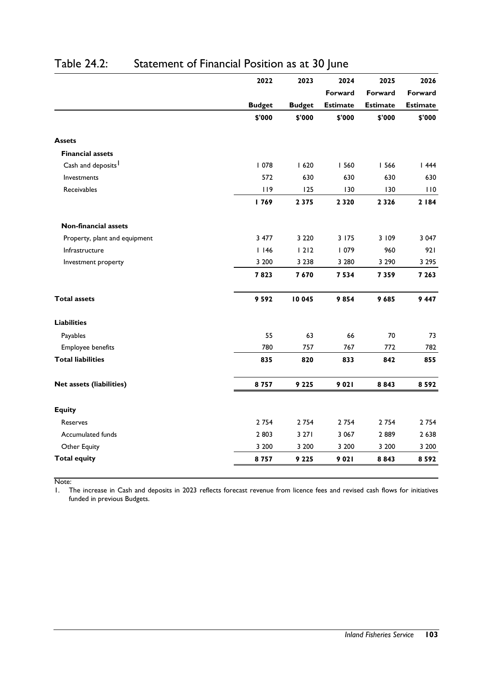|                                 | <b>Budget</b> |               | Forward         | Forward         |                 |
|---------------------------------|---------------|---------------|-----------------|-----------------|-----------------|
|                                 |               |               |                 |                 | Forward         |
|                                 |               | <b>Budget</b> | <b>Estimate</b> | <b>Estimate</b> | <b>Estimate</b> |
|                                 | \$'000        | \$'000        | \$'000          | \$'000          | \$'000          |
| <b>Assets</b>                   |               |               |                 |                 |                 |
| <b>Financial assets</b>         |               |               |                 |                 |                 |
| Cash and deposits <sup>1</sup>  | 078           | 1620          | 560             | 566             | 1444            |
| Investments                     | 572           | 630           | 630             | 630             | 630             |
| <b>Receivables</b>              | 119           | 125           | 130             | 130             | 110             |
|                                 | 769           | 2 3 7 5       | 2 3 2 0         | 2 3 2 6         | 2   84          |
| <b>Non-financial assets</b>     |               |               |                 |                 |                 |
| Property, plant and equipment   | 3 477         | 3 2 2 0       | 3 1 7 5         | 3 109           | 3 0 4 7         |
| Infrastructure                  | 1146          | 1212          | 079             | 960             | 921             |
| Investment property             | 3 200         | 3 2 3 8       | 3 2 8 0         | 3 2 9 0         | 3 2 9 5         |
|                                 | 7823          | 7670          | 7 5 3 4         | 7 3 5 9         | 7 263           |
| <b>Total assets</b>             | 9592          | 10 045        | 9854            | 9685            | 9 4 4 7         |
| <b>Liabilities</b>              |               |               |                 |                 |                 |
| Payables                        | 55            | 63            | 66              | 70              | 73              |
| Employee benefits               | 780           | 757           | 767             | 772             | 782             |
| <b>Total liabilities</b>        | 835           | 820           | 833             | 842             | 855             |
| <b>Net assets (liabilities)</b> | 8757          | 9 2 2 5       | 9 0 2 1         | 8843            | 8592            |
| <b>Equity</b>                   |               |               |                 |                 |                 |
| <b>Reserves</b>                 | 2 7 5 4       | 2 7 5 4       | 2 7 5 4         | 2 7 5 4         | 2 7 5 4         |
| Accumulated funds               | 2 8 0 3       | 3 27 1        | 3 0 6 7         | 2889            | 2 6 3 8         |
| Other Equity                    | 3 200         | 3 200         | 3 200           | 3 200           | 3 200           |
| <b>Total equity</b>             | 8757          | 9 2 2 5       | 9 0 2 1         | 8 8 4 3         | 8592            |

### Table 24.2: Statement of Financial Position as at 30 June

Note:<br>I. T

The increase in Cash and deposits in 2023 reflects forecast revenue from licence fees and revised cash flows for initiatives funded in previous Budgets.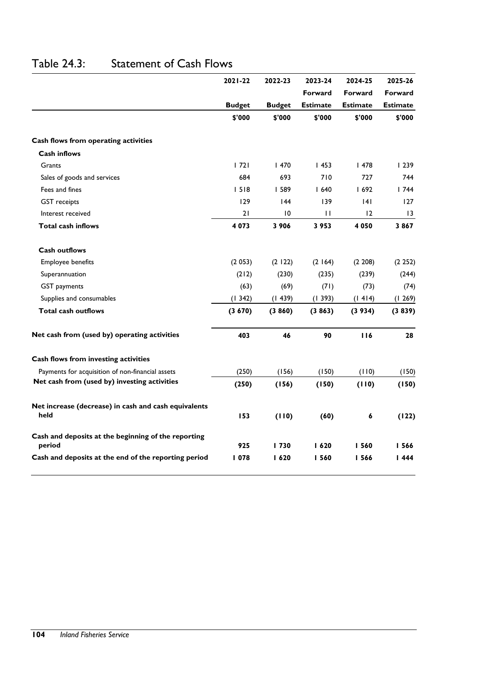|                                                              | $2021 - 22$   | 2022-23       | 2023-24         | 2024-25         | 2025-26         |
|--------------------------------------------------------------|---------------|---------------|-----------------|-----------------|-----------------|
|                                                              |               |               | Forward         | Forward         | Forward         |
|                                                              | <b>Budget</b> | <b>Budget</b> | <b>Estimate</b> | <b>Estimate</b> | <b>Estimate</b> |
|                                                              | \$'000        | \$'000        | \$'000          | \$'000          | \$'000          |
| Cash flows from operating activities                         |               |               |                 |                 |                 |
| <b>Cash inflows</b>                                          |               |               |                 |                 |                 |
| Grants                                                       | 1721          | 1470          | 1453            | 1478            | 1239            |
| Sales of goods and services                                  | 684           | 693           | 710             | 727             | 744             |
| Fees and fines                                               | 1518          | I 589         | 1640            | 1692            | 1744            |
| <b>GST</b> receipts                                          | 129           | 44            | 139             | 4               | 127             |
| Interest received                                            | 21            | 10            | $\mathbf{H}$    | 12              | $\overline{13}$ |
| <b>Total cash inflows</b>                                    | 4 0 7 3       | 3 9 0 6       | 3953            | 4 0 5 0         | 3867            |
| <b>Cash outflows</b>                                         |               |               |                 |                 |                 |
| Employee benefits                                            | (2053)        | (2 122)       | (2164)          | (2 208)         | (2 252)         |
| Superannuation                                               | (212)         | (230)         | (235)           | (239)           | (244)           |
| <b>GST</b> payments                                          | (63)          | (69)          | (71)            | (73)            | (74)            |
| Supplies and consumables                                     | (1342)        | (1439)        | (1393)          | (1414)          | (1269)          |
| <b>Total cash outflows</b>                                   | (3670)        | (3860)        | (3863)          | (3934)          | (3839)          |
| Net cash from (used by) operating activities                 | 403           | 46            | 90              | 116             | 28              |
| Cash flows from investing activities                         |               |               |                 |                 |                 |
| Payments for acquisition of non-financial assets             | (250)         | (156)         | (150)           | (110)           | (150)           |
| Net cash from (used by) investing activities                 | (250)         | (156)         | (150)           | (110)           | (150)           |
| Net increase (decrease) in cash and cash equivalents<br>held | 153           | (110)         | (60)            | 6               | (122)           |
| Cash and deposits at the beginning of the reporting          |               |               |                 |                 |                 |
| period                                                       | 925           | <b>1730</b>   | 1620            | <b>IS60</b>     | I 566           |
| Cash and deposits at the end of the reporting period         | 1078          | 1620          | I 560           | I 566           | 1444            |

### Table 24.3: Statement of Cash Flows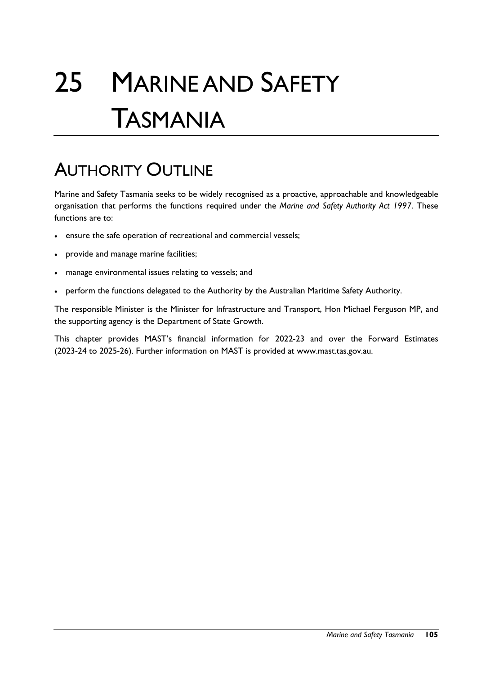# 25 MARINE AND SAFETY TASMANIA

# AUTHORITY OUTLINE

Marine and Safety Tasmania seeks to be widely recognised as a proactive, approachable and knowledgeable organisation that performs the functions required under the *Marine and Safety Authority Act 1997*. These functions are to:

- ensure the safe operation of recreational and commercial vessels;
- provide and manage marine facilities;
- manage environmental issues relating to vessels; and
- perform the functions delegated to the Authority by the Australian Maritime Safety Authority.

The responsible Minister is the Minister for Infrastructure and Transport, Hon Michael Ferguson MP, and the supporting agency is the Department of State Growth.

This chapter provides MAST's financial information for 2022-23 and over the Forward Estimates (2023-24 to 2025-26). Further information on MAST is provided at www.mast.tas.gov.au.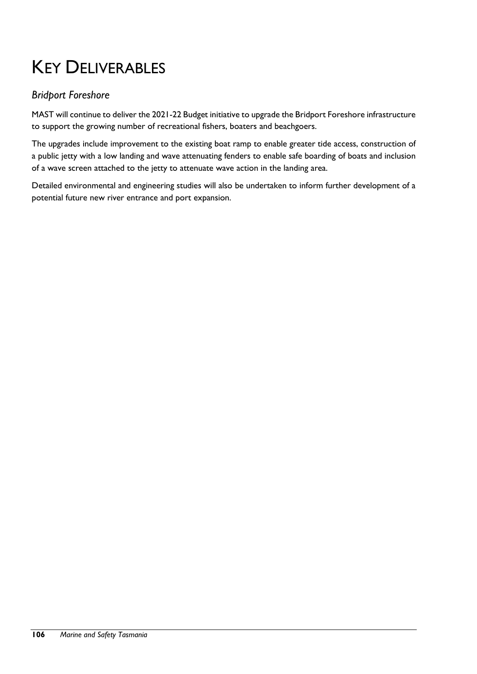# KEY DELIVERABLES

#### *Bridport Foreshore*

MAST will continue to deliver the 2021-22 Budget initiative to upgrade the Bridport Foreshore infrastructure to support the growing number of recreational fishers, boaters and beachgoers.

The upgrades include improvement to the existing boat ramp to enable greater tide access, construction of a public jetty with a low landing and wave attenuating fenders to enable safe boarding of boats and inclusion of a wave screen attached to the jetty to attenuate wave action in the landing area.

Detailed environmental and engineering studies will also be undertaken to inform further development of a potential future new river entrance and port expansion.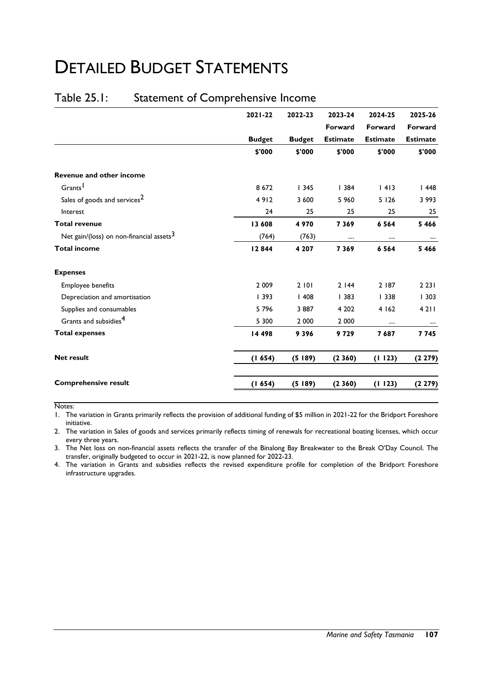### Table 25.1: Statement of Comprehensive Income

|                                             | 2021-22       | 2022-23       | 2023-24         | 2024-25         | 2025-26         |
|---------------------------------------------|---------------|---------------|-----------------|-----------------|-----------------|
|                                             |               |               | Forward         | Forward         | Forward         |
|                                             | <b>Budget</b> | <b>Budget</b> | <b>Estimate</b> | <b>Estimate</b> | <b>Estimate</b> |
|                                             | \$'000        | \$'000        | \$'000          | \$'000          | \$'000          |
| <b>Revenue and other income</b>             |               |               |                 |                 |                 |
| Grants <sup>1</sup>                         | 8 6 7 2       | 1345          | 1384            | 1413            | 1448            |
| Sales of goods and services <sup>2</sup>    | 4912          | 3 600         | 5 9 6 0         | 5126            | 3 9 9 3         |
| Interest                                    | 24            | 25            | 25              | 25              | 25              |
| <b>Total revenue</b>                        | 13 608        | 4970          | 7369            | 6 5 6 4         | 5 4 6 6         |
| Net gain/(loss) on non-financial assets $3$ | (764)         | (763)         |                 |                 | $\cdots$        |
| <b>Total income</b>                         | 12844         | 4 2 0 7       | 7369            | 6 5 6 4         | 5 4 6 6         |
| <b>Expenses</b>                             |               |               |                 |                 |                 |
| Employee benefits                           | 2 0 0 9       | 2 101         | 2144            | 2 187           | 2231            |
| Depreciation and amortisation               | 1393          | 1408          | 1383            | 1338            | 1303            |
| Supplies and consumables                    | 5796          | 3 8 8 7       | 4 2 0 2         | 4 1 6 2         | 4211            |
| Grants and subsidies <sup>4</sup>           | 5 300         | 2 0 0 0       | 2 0 0 0         |                 |                 |
| <b>Total expenses</b>                       | 14 498        | 9396          | 9729            | 7687            | 7745            |
| <b>Net result</b>                           | (1654)        | (5189)        | (2360)          | (1123)          | (2279)          |
| <b>Comprehensive result</b>                 | (1654)        | (5189)        | (2360)          | (1123)          | (2279)          |

Notes:

1. The variation in Grants primarily reflects the provision of additional funding of \$5 million in 2021-22 for the Bridport Foreshore initiative.

2. The variation in Sales of goods and services primarily reflects timing of renewals for recreational boating licenses, which occur every three years.

3. The Net loss on non-financial assets reflects the transfer of the Binalong Bay Breakwater to the Break O'Day Council. The transfer, originally budgeted to occur in 2021-22, is now planned for 2022-23.

4. The variation in Grants and subsidies reflects the revised expenditure profile for completion of the Bridport Foreshore infrastructure upgrades.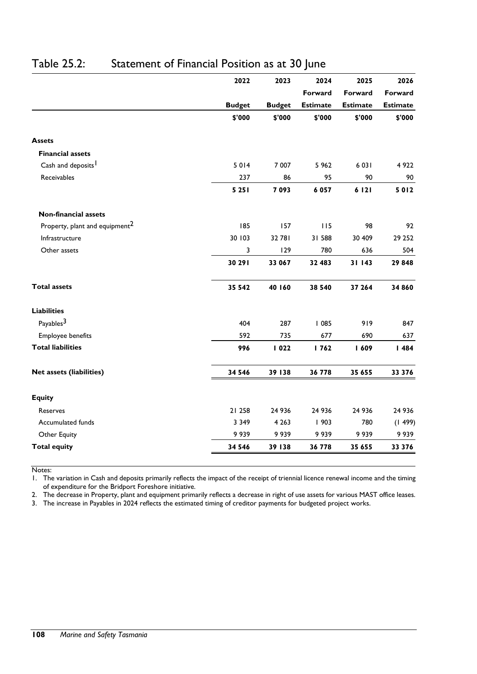|                                            | 2022                    | 2023          | 2024            | 2025            | 2026            |
|--------------------------------------------|-------------------------|---------------|-----------------|-----------------|-----------------|
|                                            |                         |               | Forward         | Forward         | Forward         |
|                                            | <b>Budget</b>           | <b>Budget</b> | <b>Estimate</b> | <b>Estimate</b> | <b>Estimate</b> |
|                                            | \$'000                  | \$'000        | \$'000          | \$'000          | \$'000          |
| <b>Assets</b>                              |                         |               |                 |                 |                 |
| <b>Financial assets</b>                    |                         |               |                 |                 |                 |
| Cash and deposits <sup>1</sup>             | 5014                    | 7 0 0 7       | 5962            | 6 0 3 1         | 4 9 2 2         |
| Receivables                                | 237                     | 86            | 95              | 90              | 90              |
|                                            | 5 2 5 1                 | 7 0 9 3       | 6 0 5 7         | 6 1 2 1         | 5012            |
| <b>Non-financial assets</b>                |                         |               |                 |                 |                 |
| Property, plant and equipment <sup>2</sup> | 185                     | 157           | 115             | 98              | 92              |
| Infrastructure                             | 30 103                  | 32 781        | 31 588          | 30 409          | 29 25 2         |
| Other assets                               | $\overline{\mathbf{3}}$ | 129           | 780             | 636             | 504             |
|                                            | 30 29 1                 | 33 067        | 32 483          | 31 143          | 29 848          |
| <b>Total assets</b>                        | 35 542                  | 40 160        | 38 540          | 37 264          | 34 860          |
| <b>Liabilities</b>                         |                         |               |                 |                 |                 |
| Payables <sup>3</sup>                      | 404                     | 287           | 1085            | 919             | 847             |
| Employee benefits                          | 592                     | 735           | 677             | 690             | 637             |
| <b>Total liabilities</b>                   | 996                     | 1022          | 1762            | 1609            | 1484            |
| <b>Net assets (liabilities)</b>            | 34 546                  | 39 138        | 36 778          | 35 655          | 33 376          |
| <b>Equity</b>                              |                         |               |                 |                 |                 |
| <b>Reserves</b>                            | 21 258                  | 24 936        | 24 936          | 24 936          | 24 936          |
| Accumulated funds                          | 3 3 4 9                 | 4 2 6 3       | 1903            | 780             | (1499)          |
| Other Equity                               | 9939                    | 9939          | 9939            | 9939            | 9 9 3 9         |
| <b>Total equity</b>                        | 34 5 46                 | 39 138        | 36 778          | 35 655          | 33 376          |

### Table 25.2: Statement of Financial Position as at 30 June

Notes:

1. The variation in Cash and deposits primarily reflects the impact of the receipt of triennial licence renewal income and the timing of expenditure for the Bridport Foreshore initiative.

2. The decrease in Property, plant and equipment primarily reflects a decrease in right of use assets for various MAST office leases.

3. The increase in Payables in 2024 reflects the estimated timing of creditor payments for budgeted project works.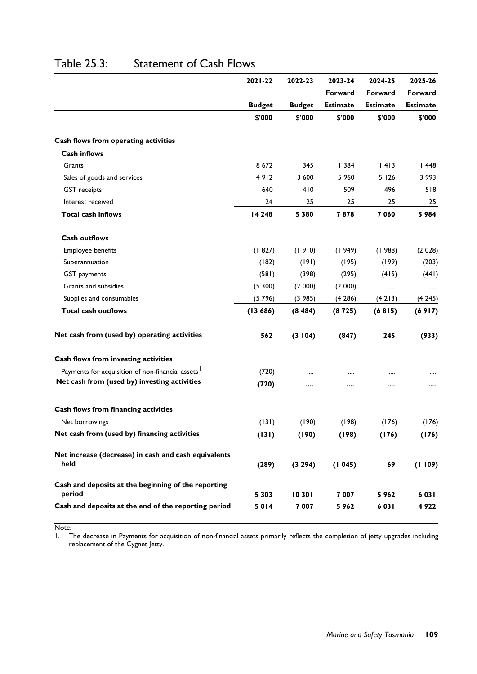|                                                               | 2021-22       | 2022-23       | 2023-24         |                 | 2024-25         | 2025-26 |
|---------------------------------------------------------------|---------------|---------------|-----------------|-----------------|-----------------|---------|
|                                                               |               |               | Forward         | Forward         | Forward         |         |
|                                                               | <b>Budget</b> | <b>Budget</b> | <b>Estimate</b> | <b>Estimate</b> | <b>Estimate</b> |         |
|                                                               | \$'000        | \$'000        | \$'000          | \$'000          | \$'000          |         |
| Cash flows from operating activities                          |               |               |                 |                 |                 |         |
| <b>Cash inflows</b>                                           |               |               |                 |                 |                 |         |
| Grants                                                        | 8 6 7 2       | l 345         | 1384            | 4 3             | 1448            |         |
| Sales of goods and services                                   | 4912          | 3 600         | 5 9 6 0         | 5 1 2 6         | 3 9 9 3         |         |
| <b>GST</b> receipts                                           | 640           | 410           | 509             | 496             | 518             |         |
| Interest received                                             | 24            | 25            | 25              | 25              | 25              |         |
| <b>Total cash inflows</b>                                     | 14 248        | 5 3 8 0       | 7878            | 7 0 6 0         | 5984            |         |
| <b>Cash outflows</b>                                          |               |               |                 |                 |                 |         |
| Employee benefits                                             | (1827)        | (1910)        | (1949)          | (1988)          | (2 028)         |         |
| Superannuation                                                | (182)         | (191)         | (195)           | (199)           | (203)           |         |
| <b>GST</b> payments                                           | (581)         | (398)         | (295)           | (415)           | (441)           |         |
| Grants and subsidies                                          | (5300)        | (2 000)       | (2 000)         | $\cdots$        | $\cdots$        |         |
| Supplies and consumables                                      | (5796)        | (3985)        | (4286)          | (4213)          | (4245)          |         |
| <b>Total cash outflows</b>                                    | (13686)       | (8484)        | (8725)          | (6815)          | (6917)          |         |
| Net cash from (used by) operating activities                  | 562           | (3104)        | (847)           | 245             | (933)           |         |
| Cash flows from investing activities                          |               |               |                 |                 |                 |         |
| Payments for acquisition of non-financial assets <sup>1</sup> | (720)         |               |                 |                 |                 |         |
| Net cash from (used by) investing activities                  | (720)         |               |                 |                 |                 |         |
| Cash flows from financing activities                          |               |               |                 |                 |                 |         |
| Net borrowings                                                | (131)         | (190)         | (198)           | (176)           | (176)           |         |
| Net cash from (used by) financing activities                  | (131)         | (190)         | (198)           | (176)           | (176)           |         |
| Net increase (decrease) in cash and cash equivalents          |               |               |                 |                 |                 |         |
| held                                                          | (289)         | (3 294)       | (1045)          | 69              | (1109)          |         |
| Cash and deposits at the beginning of the reporting           |               |               |                 |                 |                 |         |
| period                                                        | 5 3 0 3       | 10301         | 7 007           | 5962            | 6 0 3 1         |         |
| Cash and deposits at the end of the reporting period          | 5014          | 7 0 0 7       | 5962            | 6 0 3 1         | 4922            |         |

#### Table 25.3: Statement of Cash Flows

Note:<br>I. T The decrease in Payments for acquisition of non-financial assets primarily reflects the completion of jetty upgrades including replacement of the Cygnet Jetty.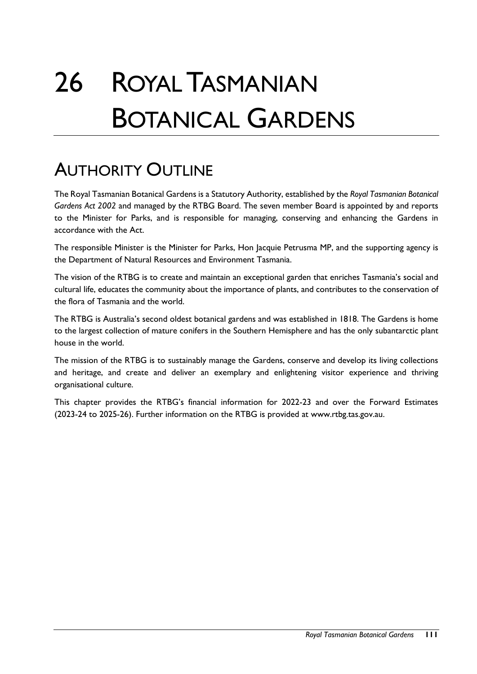# 26 ROYAL TASMANIAN BOTANICAL GARDENS

# AUTHORITY OUTLINE

The Royal Tasmanian Botanical Gardens is a Statutory Authority, established by the *Royal Tasmanian Botanical Gardens Act 2002* and managed by the RTBG Board. The seven member Board is appointed by and reports to the Minister for Parks, and is responsible for managing, conserving and enhancing the Gardens in accordance with the Act.

The responsible Minister is the Minister for Parks, Hon Jacquie Petrusma MP, and the supporting agency is the Department of Natural Resources and Environment Tasmania.

The vision of the RTBG is to create and maintain an exceptional garden that enriches Tasmania's social and cultural life, educates the community about the importance of plants, and contributes to the conservation of the flora of Tasmania and the world.

The RTBG is Australia's second oldest botanical gardens and was established in 1818. The Gardens is home to the largest collection of mature conifers in the Southern Hemisphere and has the only subantarctic plant house in the world.

The mission of the RTBG is to sustainably manage the Gardens, conserve and develop its living collections and heritage, and create and deliver an exemplary and enlightening visitor experience and thriving organisational culture.

This chapter provides the RTBG's financial information for 2022-23 and over the Forward Estimates (2023-24 to 2025-26). Further information on the RTBG is provided at www.rtbg.tas.gov.au.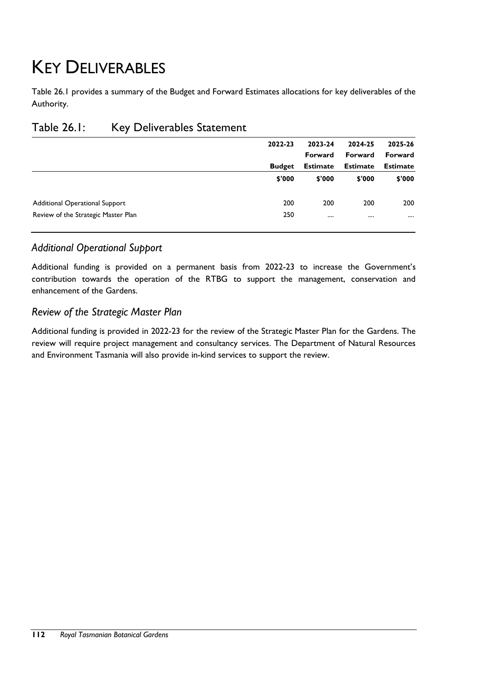# KEY DELIVERABLES

Table 26.1 provides a summary of the Budget and Forward Estimates allocations for key deliverables of the Authority.

|               |                 |                 | 2025-26         |
|---------------|-----------------|-----------------|-----------------|
|               | Forward         | Forward         | Forward         |
| <b>Budget</b> | <b>Estimate</b> | <b>Estimate</b> | <b>Estimate</b> |
| \$'000        | \$'000          | \$'000          | \$'000          |
| 200           | 200             | 200             | 200             |
| 250           |                 |                 |                 |
|               | 2022-23         | 2023-24         | 2024-25         |

#### Table 26.1: Key Deliverables Statement

#### *Additional Operational Support*

Additional funding is provided on a permanent basis from 2022-23 to increase the Government's contribution towards the operation of the RTBG to support the management, conservation and enhancement of the Gardens.

#### *Review of the Strategic Master Plan*

Additional funding is provided in 2022-23 for the review of the Strategic Master Plan for the Gardens. The review will require project management and consultancy services. The Department of Natural Resources and Environment Tasmania will also provide in-kind services to support the review.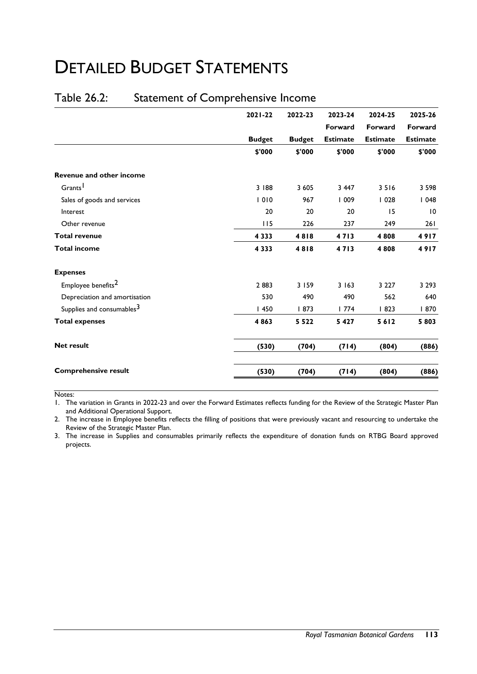### Table 26.2: Statement of Comprehensive Income

|                                       | $2021 - 22$   | 2022-23       | 2023-24         | 2024-25         | 2025-26         |
|---------------------------------------|---------------|---------------|-----------------|-----------------|-----------------|
|                                       |               |               | Forward         | Forward         | Forward         |
|                                       | <b>Budget</b> | <b>Budget</b> | <b>Estimate</b> | <b>Estimate</b> | <b>Estimate</b> |
|                                       | \$'000        | \$'000        | \$'000          | \$'000          | \$'000          |
| <b>Revenue and other income</b>       |               |               |                 |                 |                 |
| Grants <sup>1</sup>                   | 3 188         | 3 605         | 3 4 4 7         | 3516            | 3 5 9 8         |
| Sales of goods and services           | 1010          | 967           | 1009            | 1028            | 1048            |
| Interest                              | 20            | 20            | 20              | 15              | 10              |
| Other revenue                         | 115           | 226           | 237             | 249             | 261             |
| <b>Total revenue</b>                  | 4 3 3 3       | 4818          | 4713            | 4808            | 4917            |
| <b>Total income</b>                   | 4333          | 4818          | 4713            | 4808            | 4917            |
| <b>Expenses</b>                       |               |               |                 |                 |                 |
| Employee benefits <sup>2</sup>        | 2883          | 3 1 5 9       | 3163            | 3 2 2 7         | 3 2 9 3         |
| Depreciation and amortisation         | 530           | 490           | 490             | 562             | 640             |
| Supplies and consumables <sup>3</sup> | 1450          | 873           | 1774            | 1823            | 870             |
| <b>Total expenses</b>                 | 4863          | 5 5 2 2       | 5 4 2 7         | 5612            | 5 8 0 3         |
| <b>Net result</b>                     | (530)         | (704)         | (714)           | (804)           | (886)           |
| <b>Comprehensive result</b>           | (530)         | (704)         | (714)           | (804)           | (886)           |

Notes:

1. The variation in Grants in 2022-23 and over the Forward Estimates reflects funding for the Review of the Strategic Master Plan and Additional Operational Support.

2. The increase in Employee benefits reflects the filling of positions that were previously vacant and resourcing to undertake the Review of the Strategic Master Plan.

3. The increase in Supplies and consumables primarily reflects the expenditure of donation funds on RTBG Board approved projects.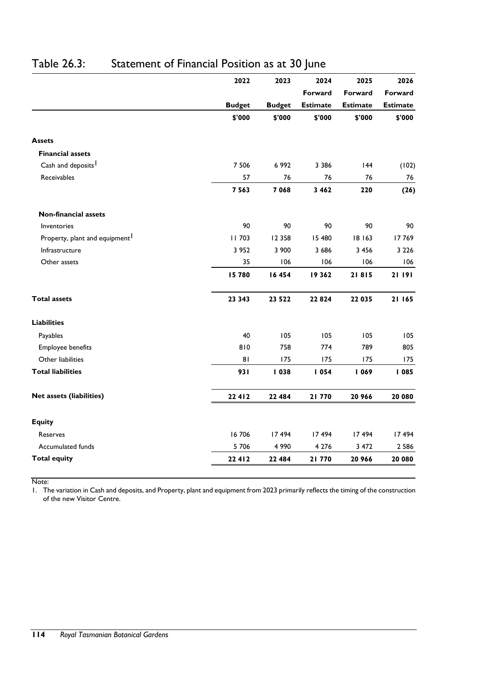|                                            | 2022          | 2023          | 2024            | 2025            | 2026            |
|--------------------------------------------|---------------|---------------|-----------------|-----------------|-----------------|
|                                            |               |               | Forward         | Forward         | Forward         |
|                                            | <b>Budget</b> | <b>Budget</b> | <b>Estimate</b> | <b>Estimate</b> | <b>Estimate</b> |
|                                            | \$'000        | \$'000        | \$'000          | \$'000          | \$'000          |
| <b>Assets</b>                              |               |               |                 |                 |                 |
| <b>Financial assets</b>                    |               |               |                 |                 |                 |
| Cash and deposits <sup>1</sup>             | 7 5 0 6       | 6 9 9 2       | 3 3 8 6         | 144             | (102)           |
| Receivables                                | 57            | 76            | 76              | 76              | 76              |
|                                            | 7 5 6 3       | 7 0 6 8       | 3 4 6 2         | 220             | (26)            |
| <b>Non-financial assets</b>                |               |               |                 |                 |                 |
| Inventories                                | 90            | 90            | 90              | 90              | 90              |
| Property, plant and equipment <sup>1</sup> | 11703         | 12 3 58       | 15 480          | 18 163          | 17769           |
| Infrastructure                             | 3 9 5 2       | 3 900         | 3 6 8 6         | 3 4 5 6         | 3 2 2 6         |
| Other assets                               | 35            | 106           | 106             | 106             | 106             |
|                                            | 15 780        | 16 454        | 19362           | 21815           | 21 191          |
| <b>Total assets</b>                        | 23 343        | 23 5 22       | 22824           | 22 035          | 21 165          |
| <b>Liabilities</b>                         |               |               |                 |                 |                 |
| Payables                                   | 40            | 105           | 105             | 105             | 105             |
| Employee benefits                          | 810           | 758           | 774             | 789             | 805             |
| Other liabilities                          | 81            | 175           | 175             | 175             | 175             |
| <b>Total liabilities</b>                   | 931           | 1038          | 1054            | <b>1069</b>     | 085             |
| Net assets (liabilities)                   | 22 4 12       | 22 484        | 21770           | 20 966          | 20 080          |
| <b>Equity</b>                              |               |               |                 |                 |                 |
| Reserves                                   | 16706         | 17494         | 17494           | 17494           | 17494           |
| Accumulated funds                          | 5 7 0 6       | 4 9 9 0       | 4 2 7 6         | 3 4 7 2         | 2 5 8 6         |
| <b>Total equity</b>                        | 22 4 12       | 22 484        | 21770           | 20 966          | 20 080          |

### Table 26.3: Statement of Financial Position as at 30 June

Note:

1. The variation in Cash and deposits, and Property, plant and equipment from 2023 primarily reflects the timing of the construction of the new Visitor Centre.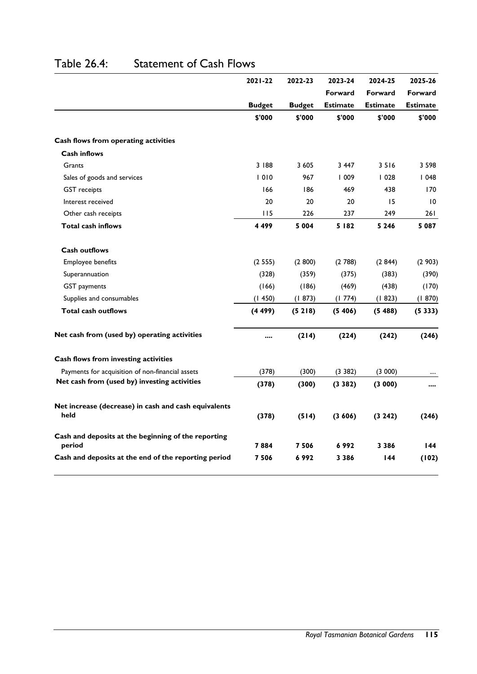|                                                              | $2021 - 22$   | 2022-23       | 2023-24         | 2024-25         | 2025-26         |
|--------------------------------------------------------------|---------------|---------------|-----------------|-----------------|-----------------|
|                                                              |               |               | <b>Forward</b>  | Forward         | <b>Forward</b>  |
|                                                              | <b>Budget</b> | <b>Budget</b> | <b>Estimate</b> | <b>Estimate</b> | <b>Estimate</b> |
|                                                              | \$'000        | \$'000        | \$'000          | \$'000          | \$'000          |
| Cash flows from operating activities                         |               |               |                 |                 |                 |
| <b>Cash inflows</b>                                          |               |               |                 |                 |                 |
| Grants                                                       | 3 188         | 3 605         | 3 4 4 7         | 3516            | 3 5 9 8         |
| Sales of goods and services                                  | 1010          | 967           | 1009            | 1028            | 1048            |
| <b>GST</b> receipts                                          | 166           | 186           | 469             | 438             | 170             |
| Interest received                                            | 20            | 20            | 20              | 15              | 10              |
| Other cash receipts                                          | 115           | 226           | 237             | 249             | 261             |
| <b>Total cash inflows</b>                                    | 4499          | 5 0 0 4       | 5 182           | 5 2 4 6         | 5 0 8 7         |
| Cash outflows                                                |               |               |                 |                 |                 |
| Employee benefits                                            | (2555)        | (2800)        | (2788)          | (2844)          | (2903)          |
| Superannuation                                               | (328)         | (359)         | (375)           | (383)           | (390)           |
| <b>GST</b> payments                                          | (166)         | (186)         | (469)           | (438)           | (170)           |
| Supplies and consumables                                     | (1450)        | (1873)        | (1774)          | (1823)          | (1870)          |
| Total cash outflows                                          | (4499)        | (5218)        | (5406)          | (5488)          | (5333)          |
| Net cash from (used by) operating activities                 |               | (214)         | (224)           | (242)           | (246)           |
| Cash flows from investing activities                         |               |               |                 |                 |                 |
| Payments for acquisition of non-financial assets             | (378)         | (300)         | (3382)          | (3 000)         |                 |
| Net cash from (used by) investing activities                 | (378)         | (300)         | (3382)          | (3000)          |                 |
| Net increase (decrease) in cash and cash equivalents<br>held | (378)         | (514)         | (3606)          | (3 242)         | (246)           |
| Cash and deposits at the beginning of the reporting          |               |               |                 |                 |                 |
| period                                                       | 7884          | 7506          | 6992            | 3 3 8 6         | 144             |
| Cash and deposits at the end of the reporting period         | 7506          | 6992          | 3 3 8 6         | 144             | (102)           |

### Table 26.4: Statement of Cash Flows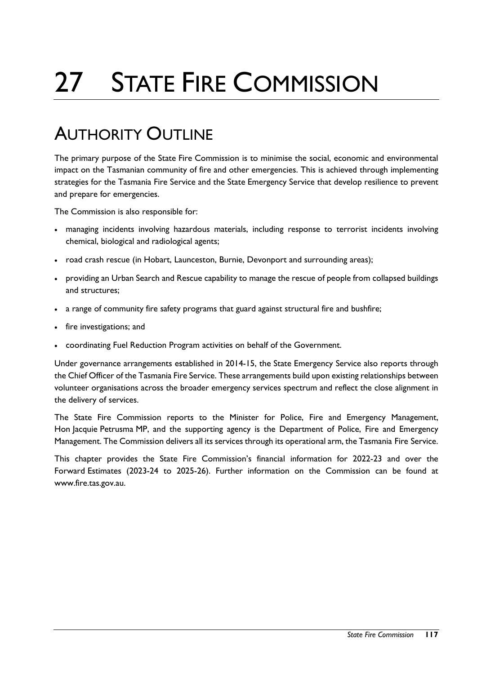# 27 STATE FIRE COMMISSION

### AUTHORITY OUTLINE

The primary purpose of the State Fire Commission is to minimise the social, economic and environmental impact on the Tasmanian community of fire and other emergencies. This is achieved through implementing strategies for the Tasmania Fire Service and the State Emergency Service that develop resilience to prevent and prepare for emergencies.

The Commission is also responsible for:

- managing incidents involving hazardous materials, including response to terrorist incidents involving chemical, biological and radiological agents;
- road crash rescue (in Hobart, Launceston, Burnie, Devonport and surrounding areas);
- providing an Urban Search and Rescue capability to manage the rescue of people from collapsed buildings and structures;
- a range of community fire safety programs that guard against structural fire and bushfire;
- fire investigations; and
- coordinating Fuel Reduction Program activities on behalf of the Government.

Under governance arrangements established in 2014-15, the State Emergency Service also reports through the Chief Officer of the Tasmania Fire Service. These arrangements build upon existing relationships between volunteer organisations across the broader emergency services spectrum and reflect the close alignment in the delivery of services.

The State Fire Commission reports to the Minister for Police, Fire and Emergency Management, Hon Jacquie Petrusma MP, and the supporting agency is the Department of Police, Fire and Emergency Management. The Commission delivers all its services through its operational arm, the Tasmania Fire Service.

This chapter provides the State Fire Commission's financial information for 2022-23 and over the Forward Estimates (2023-24 to 2025-26). Further information on the Commission can be found at www.fire.tas.gov.au.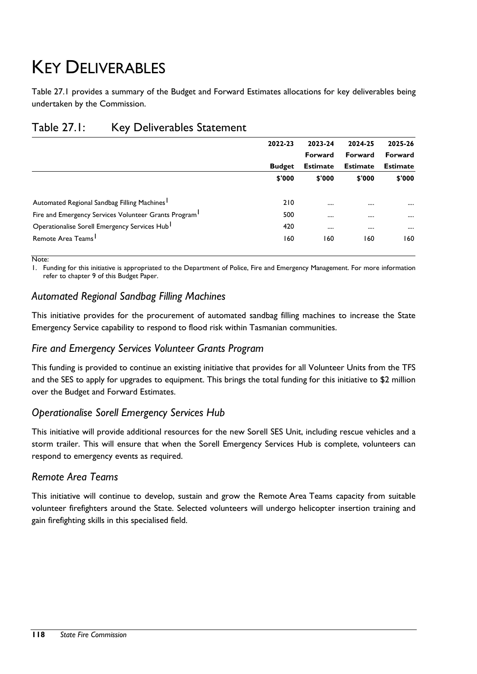# KEY DELIVERABLES

Table 27.1 provides a summary of the Budget and Forward Estimates allocations for key deliverables being undertaken by the Commission.

|                                                                   | 2022-23       | 2023-24         | 2024-25         | 2025-26         |
|-------------------------------------------------------------------|---------------|-----------------|-----------------|-----------------|
|                                                                   |               | Forward         | Forward         | Forward         |
|                                                                   | <b>Budget</b> | <b>Estimate</b> | <b>Estimate</b> | <b>Estimate</b> |
|                                                                   | \$'000        | \$'000          | \$'000          | \$'000          |
|                                                                   |               |                 |                 |                 |
| Automated Regional Sandbag Filling Machines                       | 210           |                 |                 | $\cdots$        |
| Fire and Emergency Services Volunteer Grants Program <sup>1</sup> | 500           |                 |                 |                 |
| Operationalise Sorell Emergency Services Hub <sup>1</sup>         | 420           | $\cdots$        |                 | $\cdots$        |
| Remote Area Teams <sup>1</sup>                                    | 160           | 160             | 160             | 160             |
|                                                                   |               |                 |                 |                 |

#### Table 27.1: Key Deliverables Statement

Note:

1. Funding for this initiative is appropriated to the Department of Police, Fire and Emergency Management. For more information refer to chapter 9 of this Budget Paper.

#### *Automated Regional Sandbag Filling Machines*

This initiative provides for the procurement of automated sandbag filling machines to increase the State Emergency Service capability to respond to flood risk within Tasmanian communities.

#### *Fire and Emergency Services Volunteer Grants Program*

This funding is provided to continue an existing initiative that provides for all Volunteer Units from the TFS and the SES to apply for upgrades to equipment. This brings the total funding for this initiative to \$2 million over the Budget and Forward Estimates.

#### *Operationalise Sorell Emergency Services Hub*

This initiative will provide additional resources for the new Sorell SES Unit, including rescue vehicles and a storm trailer. This will ensure that when the Sorell Emergency Services Hub is complete, volunteers can respond to emergency events as required.

#### *Remote Area Teams*

This initiative will continue to develop, sustain and grow the Remote Area Teams capacity from suitable volunteer firefighters around the State. Selected volunteers will undergo helicopter insertion training and gain firefighting skills in this specialised field.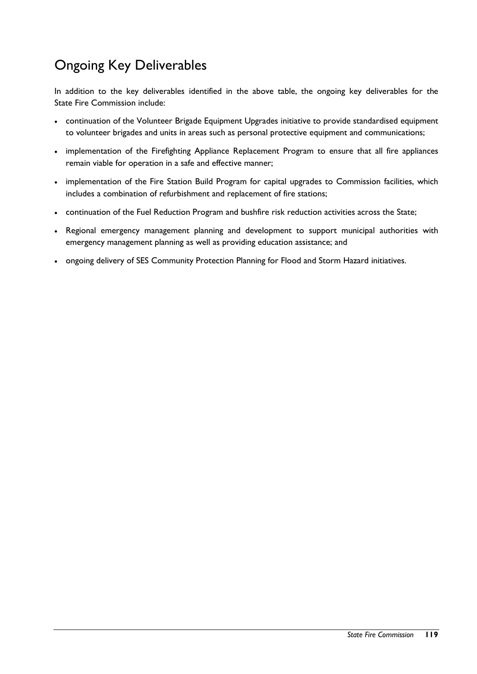### Ongoing Key Deliverables

In addition to the key deliverables identified in the above table, the ongoing key deliverables for the State Fire Commission include:

- continuation of the Volunteer Brigade Equipment Upgrades initiative to provide standardised equipment to volunteer brigades and units in areas such as personal protective equipment and communications;
- implementation of the Firefighting Appliance Replacement Program to ensure that all fire appliances remain viable for operation in a safe and effective manner;
- implementation of the Fire Station Build Program for capital upgrades to Commission facilities, which includes a combination of refurbishment and replacement of fire stations;
- continuation of the Fuel Reduction Program and bushfire risk reduction activities across the State;
- Regional emergency management planning and development to support municipal authorities with emergency management planning as well as providing education assistance; and
- ongoing delivery of SES Community Protection Planning for Flood and Storm Hazard initiatives.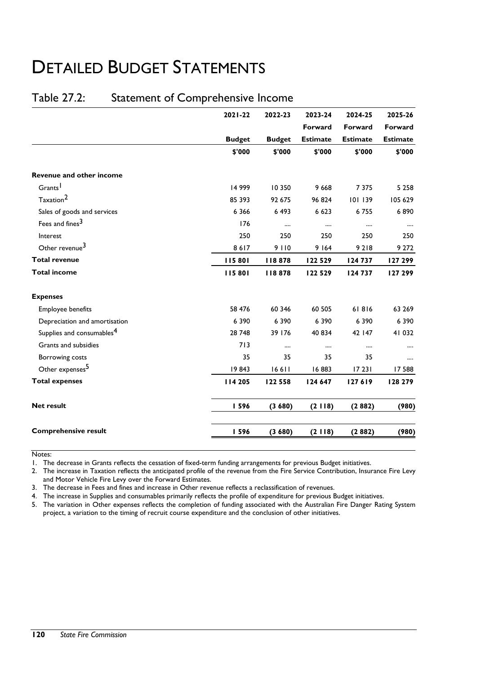### Table 27.2: Statement of Comprehensive Income

|                                       | 2021-22       | 2022-23       | 2023-24         | 2024-25         | 2025-26         |
|---------------------------------------|---------------|---------------|-----------------|-----------------|-----------------|
|                                       |               |               | Forward         | Forward         | Forward         |
|                                       | <b>Budget</b> | <b>Budget</b> | <b>Estimate</b> | <b>Estimate</b> | <b>Estimate</b> |
|                                       | \$'000        | \$'000        | \$'000          | \$'000          | \$'000          |
| <b>Revenue and other income</b>       |               |               |                 |                 |                 |
| Grants <sup>1</sup>                   | 14 999        | 10 350        | 9668            | 7 3 7 5         | 5 2 5 8         |
| Taxation <sup>2</sup>                 | 85 393        | 92 675        | 96 824          | 101 139         | 105 629         |
| Sales of goods and services           | 6 3 6 6       | 6 4 9 3       | 6 6 23          | 6755            | 6890            |
| Fees and fines <sup>3</sup>           | 176           |               |                 |                 |                 |
| Interest                              | 250           | 250           | 250             | 250             | 250             |
| Other revenue <sup>3</sup>            | 8617          | 9110          | 9164            | 9218            | 9 2 7 2         |
| <b>Total revenue</b>                  | 115 801       | 118878        | 122 529         | 124 737         | 127 299         |
| <b>Total income</b>                   | 115 801       | 118878        | 122 529         | 124 737         | 127 299         |
| <b>Expenses</b>                       |               |               |                 |                 |                 |
| Employee benefits                     | 58 476        | 60 346        | 60 505          | 61816           | 63 269          |
| Depreciation and amortisation         | 6 3 9 0       | 6 3 9 0       | 6 3 9 0         | 6 3 9 0         | 6 3 9 0         |
| Supplies and consumables <sup>4</sup> | 28 748        | 39 176        | 40 834          | 42   47         | 41 032          |
| Grants and subsidies                  | 713           |               | $\cdots$        |                 | $\cdots$        |
| Borrowing costs                       | 35            | 35            | 35              | 35              |                 |
| Other expenses <sup>5</sup>           | 19843         | 16611         | 16883           | 17 23 1         | 17588           |
| <b>Total expenses</b>                 | 114 205       | 122 558       | 124 647         | 127619          | 128 279         |
| <b>Net result</b>                     | <b>1596</b>   | (3680)        | (2118)          | (2882)          | (980)           |
| <b>Comprehensive result</b>           | <b>1596</b>   | (3680)        | (2118)          | (2882)          | (980)           |

Notes:

1. The decrease in Grants reflects the cessation of fixed-term funding arrangements for previous Budget initiatives.

2. The increase in Taxation reflects the anticipated profile of the revenue from the Fire Service Contribution, Insurance Fire Levy and Motor Vehicle Fire Levy over the Forward Estimates.

3. The decrease in Fees and fines and increase in Other revenue reflects a reclassification of revenues.

4. The increase in Supplies and consumables primarily reflects the profile of expenditure for previous Budget initiatives.

5. The variation in Other expenses reflects the completion of funding associated with the Australian Fire Danger Rating System project, a variation to the timing of recruit course expenditure and the conclusion of other initiatives.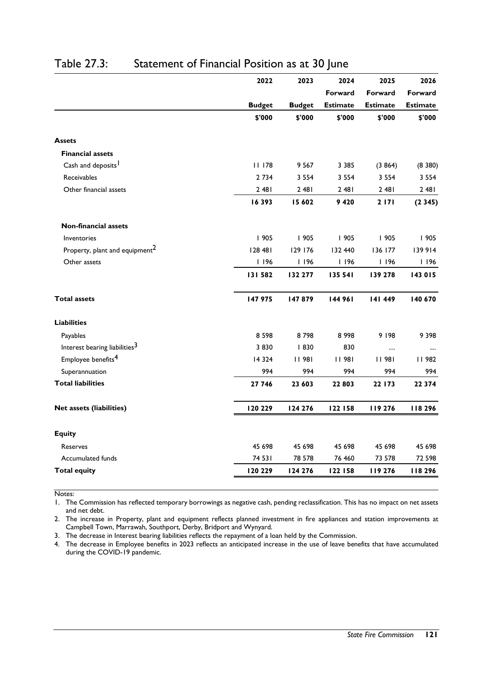|                                            | 2022          | 2023          | 2024            | 2025            | 2026            |
|--------------------------------------------|---------------|---------------|-----------------|-----------------|-----------------|
|                                            |               |               | Forward         | Forward         | Forward         |
|                                            | <b>Budget</b> | <b>Budget</b> | <b>Estimate</b> | <b>Estimate</b> | <b>Estimate</b> |
|                                            | \$'000        | \$'000        | \$'000          | \$'000          | \$'000          |
| <b>Assets</b>                              |               |               |                 |                 |                 |
| <b>Financial assets</b>                    |               |               |                 |                 |                 |
| Cash and deposits                          | 11 178        | 9 5 6 7       | 3 3 8 5         | (3864)          | (8380)          |
| Receivables                                | 2 7 3 4       | 3 5 5 4       | 3 5 5 4         | 3 5 5 4         | 3 5 5 4         |
| Other financial assets                     | 2 48 1        | 2 48 1        | 2 48 1          | 2481            | 2 48 1          |
|                                            | 16393         | 15 602        | 9420            | 2 17 1          | (2345)          |
| <b>Non-financial assets</b>                |               |               |                 |                 |                 |
| Inventories                                | 1905          | 1905          | 1905            | 1905            | 1905            |
| Property, plant and equipment <sup>2</sup> | 128 481       | 129 176       | 132 440         | 136 177         | 139914          |
| Other assets                               | 1196          | I 196         | I 196           | I 196           | I 196           |
|                                            | 131582        | 132 277       | 135 541         | 139 278         | 143 015         |
| <b>Total assets</b>                        | 147 975       | 147879        | 144 961         | 141 449         | 140 670         |
| <b>Liabilities</b>                         |               |               |                 |                 |                 |
| Payables                                   | 8 5 9 8       | 8798          | 8998            | 9 1 9 8         | 9 3 9 8         |
| Interest bearing liabilities <sup>3</sup>  | 3830          | 1830          | 830             | $\cdots$        |                 |
| Employee benefits <sup>4</sup>             | 14 3 24       | 11981         | 11981           | 11981           | 11982           |
| Superannuation                             | 994           | 994           | 994             | 994             | 994             |
| <b>Total liabilities</b>                   | 27 746        | 23 603        | 22 803          | 22 173          | 22 3 7 4        |
| <b>Net assets (liabilities)</b>            | 120 229       | 124 276       | 122 158         | 119 276         | 118296          |
| <b>Equity</b>                              |               |               |                 |                 |                 |
| <b>Reserves</b>                            | 45 698        | 45 698        | 45 698          | 45 698          | 45 698          |
| Accumulated funds                          | 74 531        | 78 578        | 76 460          | 73 578          | 72 598          |
| <b>Total equity</b>                        | 120 229       | 124 276       | 122 158         | 119 276         | 118296          |
|                                            |               |               |                 |                 |                 |

### Table 27.3: Statement of Financial Position as at 30 June

Notes:

1. The Commission has reflected temporary borrowings as negative cash, pending reclassification. This has no impact on net assets and net debt.

2. The increase in Property, plant and equipment reflects planned investment in fire appliances and station improvements at Campbell Town, Marrawah, Southport, Derby, Bridport and Wynyard.

3. The decrease in Interest bearing liabilities reflects the repayment of a loan held by the Commission.

4. The decrease in Employee benefits in 2023 reflects an anticipated increase in the use of leave benefits that have accumulated during the COVID-19 pandemic.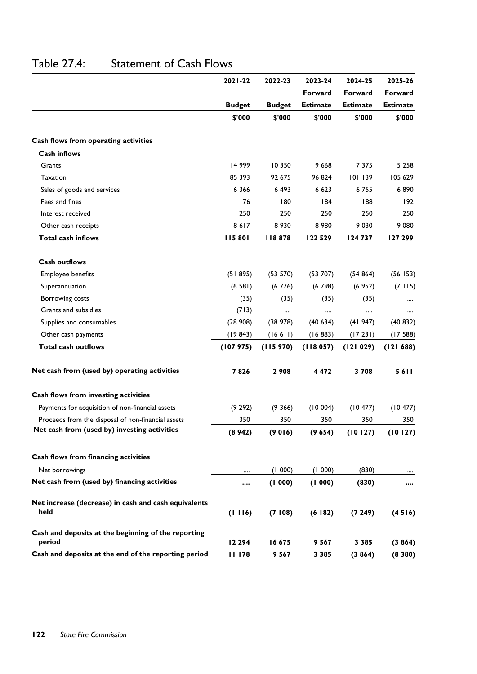|                                                               | 2021-22       | 2022-23       | 2023-24         | 2024-25         | 2025-26         |
|---------------------------------------------------------------|---------------|---------------|-----------------|-----------------|-----------------|
|                                                               |               |               | Forward         | Forward         | Forward         |
|                                                               | <b>Budget</b> | <b>Budget</b> | <b>Estimate</b> | <b>Estimate</b> | <b>Estimate</b> |
|                                                               | \$'000        | \$'000        | \$'000          | \$'000          | \$'000          |
| Cash flows from operating activities                          |               |               |                 |                 |                 |
| <b>Cash inflows</b>                                           |               |               |                 |                 |                 |
| Grants                                                        | 14 999        | 10 350        | 9668            | 7 3 7 5         | 5 2 5 8         |
| Taxation                                                      | 85 393        | 92 675        | 96824           | 101139          | 105 629         |
| Sales of goods and services                                   | 6 3 6 6       | 6 4 9 3       | 6 6 23          | 6755            | 6890            |
| Fees and fines                                                | 176           | 180           | 184             | 188             | 192             |
| Interest received                                             | 250           | 250           | 250             | 250             | 250             |
| Other cash receipts                                           | 8617          | 8930          | 8 9 8 0         | 9 0 3 0         | 9 0 8 0         |
| <b>Total cash inflows</b>                                     | 115 801       | 118878        | 122 529         | 124 737         | 127 299         |
| <b>Cash outflows</b>                                          |               |               |                 |                 |                 |
| Employee benefits                                             | (51895)       | (53 570)      | (53 707)        | (54864)         | (56153)         |
| Superannuation                                                | (6581)        | (6776)        | (6798)          | (6952)          | (7115)          |
| Borrowing costs                                               | (35)          | (35)          | (35)            | (35)            |                 |
| Grants and subsidies                                          | (713)         |               |                 |                 |                 |
| Supplies and consumables                                      | (28908)       | (38978)       | (40634)         | (41947)         | (40832)         |
| Other cash payments                                           | (19843)       | (16611)       | (16883)         | (17231)         | (17588)         |
| <b>Total cash outflows</b>                                    | (107975)      | (115970)      | (118057)        | (121029)        | (121688)        |
| Net cash from (used by) operating activities                  | 7826          | 2 9 0 8       | 4 4 7 2         | 3708            | 5611            |
| Cash flows from investing activities                          |               |               |                 |                 |                 |
| Payments for acquisition of non-financial assets              | (9 292)       | (9366)        | (10004)         | (10477)         | (10 477)        |
| Proceeds from the disposal of non-financial assets            | 350           | 350           | 350             | 350             | 350             |
| Net cash from (used by) investing activities                  | (8942)        | (9016)        | (9654)          | (10127)         | (10127)         |
| Cash flows from financing activities                          |               |               |                 |                 |                 |
| Net borrowings                                                |               | (1000)        | (1000)          | (830)           |                 |
| Net cash from (used by) financing activities                  |               | (1000)        | (1000)          | (830)           |                 |
| Net increase (decrease) in cash and cash equivalents          |               |               |                 |                 |                 |
| held                                                          | (1116)        | (7108)        | (6182)          | (7249)          | (4516)          |
| Cash and deposits at the beginning of the reporting<br>period | 12 294        | 16 675        | 9 5 6 7         | 3 3 8 5         | (3864)          |
| Cash and deposits at the end of the reporting period          | 11 178        | 9 5 6 7       | 3 3 8 5         | (3864)          | (8380)          |
|                                                               |               |               |                 |                 |                 |

### Table 27.4: Statement of Cash Flows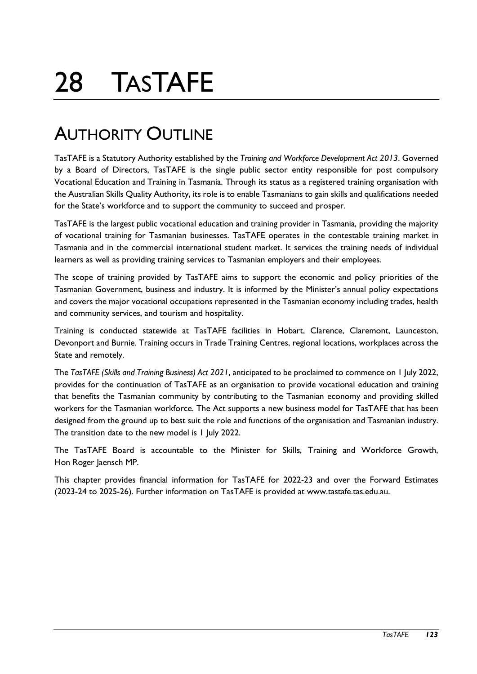# 28 TASTAFE

### AUTHORITY OUTLINE

TasTAFE is a Statutory Authority established by the *Training and Workforce Development Act 2013*. Governed by a Board of Directors, TasTAFE is the single public sector entity responsible for post compulsory Vocational Education and Training in Tasmania. Through its status as a registered training organisation with the Australian Skills Quality Authority, its role is to enable Tasmanians to gain skills and qualifications needed for the State's workforce and to support the community to succeed and prosper.

TasTAFE is the largest public vocational education and training provider in Tasmania, providing the majority of vocational training for Tasmanian businesses. TasTAFE operates in the contestable training market in Tasmania and in the commercial international student market. It services the training needs of individual learners as well as providing training services to Tasmanian employers and their employees.

The scope of training provided by TasTAFE aims to support the economic and policy priorities of the Tasmanian Government, business and industry. It is informed by the Minister's annual policy expectations and covers the major vocational occupations represented in the Tasmanian economy including trades, health and community services, and tourism and hospitality.

Training is conducted statewide at TasTAFE facilities in Hobart, Clarence, Claremont, Launceston, Devonport and Burnie. Training occurs in Trade Training Centres, regional locations, workplaces across the State and remotely.

The *TasTAFE (Skills and Training Business) Act 2021*, anticipated to be proclaimed to commence on 1 July 2022, provides for the continuation of TasTAFE as an organisation to provide vocational education and training that benefits the Tasmanian community by contributing to the Tasmanian economy and providing skilled workers for the Tasmanian workforce. The Act supports a new business model for TasTAFE that has been designed from the ground up to best suit the role and functions of the organisation and Tasmanian industry. The transition date to the new model is 1 July 2022.

The TasTAFE Board is accountable to the Minister for Skills, Training and Workforce Growth, Hon Roger Jaensch MP.

This chapter provides financial information for TasTAFE for 2022-23 and over the Forward Estimates (2023-24 to 2025-26). Further information on TasTAFE is provided at www.tastafe.tas.edu.au.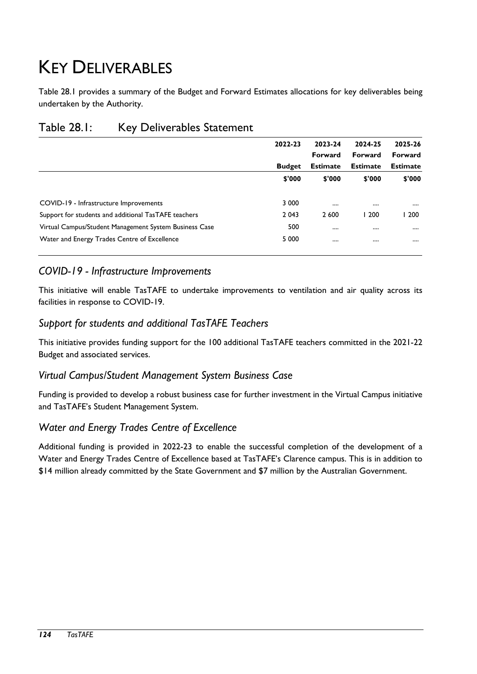# KEY DELIVERABLES

Table 28.1 provides a summary of the Budget and Forward Estimates allocations for key deliverables being undertaken by the Authority.

|                                                        | 2022-23       | 2023-24         | 2024-25                    | 2025-26                    |
|--------------------------------------------------------|---------------|-----------------|----------------------------|----------------------------|
|                                                        |               | Forward         | Forward<br><b>Estimate</b> | Forward<br><b>Estimate</b> |
|                                                        | <b>Budget</b> | <b>Estimate</b> |                            |                            |
|                                                        | \$'000        | \$'000          | \$'000                     | \$'000                     |
| COVID-19 - Infrastructure Improvements                 | 3 0 0 0       |                 |                            |                            |
| Support for students and additional TasTAFE teachers   | 2 0 4 3       | 2 600           | 200                        | 200                        |
| Virtual Campus/Student Management System Business Case | 500           |                 |                            | $\cdots$                   |
| Water and Energy Trades Centre of Excellence           | 5 000         |                 |                            |                            |

#### Table 28.1: Key Deliverables Statement

#### *COVID-19 - Infrastructure Improvements*

This initiative will enable TasTAFE to undertake improvements to ventilation and air quality across its facilities in response to COVID-19.

#### *Support for students and additional TasTAFE Teachers*

This initiative provides funding support for the 100 additional TasTAFE teachers committed in the 2021-22 Budget and associated services.

#### *Virtual Campus/Student Management System Business Case*

Funding is provided to develop a robust business case for further investment in the Virtual Campus initiative and TasTAFE's Student Management System.

#### *Water and Energy Trades Centre of Excellence*

Additional funding is provided in 2022-23 to enable the successful completion of the development of a Water and Energy Trades Centre of Excellence based at TasTAFE's Clarence campus. This is in addition to \$14 million already committed by the State Government and \$7 million by the Australian Government.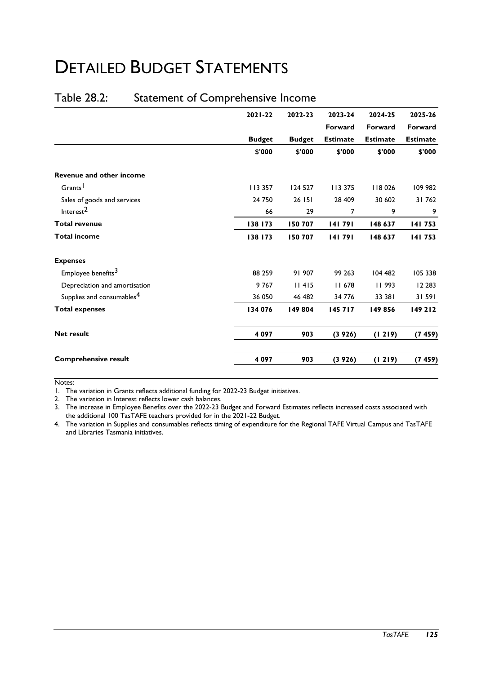### Table 28.2: Statement of Comprehensive Income

|                                       | $2021 - 22$   | 2022-23       | 2023-24         | 2024-25         | 2025-26         |
|---------------------------------------|---------------|---------------|-----------------|-----------------|-----------------|
|                                       |               |               | Forward         | Forward         | Forward         |
|                                       | <b>Budget</b> | <b>Budget</b> | <b>Estimate</b> | <b>Estimate</b> | <b>Estimate</b> |
|                                       | \$'000        | \$'000        | \$'000          | \$'000          | \$'000          |
| <b>Revenue and other income</b>       |               |               |                 |                 |                 |
| Grants <sup>1</sup>                   | 113 357       | 124 527       | 113 375         | 118026          | 109 982         |
| Sales of goods and services           | 24 750        | 26   5        | 28 409          | 30 602          | 31762           |
| Interest <sup>2</sup>                 | 66            | 29            | 7               | 9               | 9               |
| <b>Total revenue</b>                  | 138 173       | 150707        | 141791          | 148 637         | 141753          |
| <b>Total income</b>                   | 138 173       | 150707        | 141791          | 148 637         | 141753          |
| <b>Expenses</b>                       |               |               |                 |                 |                 |
| Employee benefits <sup>3</sup>        | 88 259        | 91 907        | 99 263          | 104 482         | 105 338         |
| Depreciation and amortisation         | 9767          | 11415         | <b>II</b> 678   | 11993           | 12 2 8 3        |
| Supplies and consumables <sup>4</sup> | 36 050        | 46 482        | 34 776          | 33 381          | 31 591          |
| <b>Total expenses</b>                 | 134 076       | 149804        | 145 717         | 149856          | 149 212         |
| <b>Net result</b>                     | 4097          | 903           | (3926)          | (1219)          | (7459)          |
| <b>Comprehensive result</b>           | 4 0 9 7       | 903           | (3926)          | (1219)          | (7459)          |

Notes:

1. The variation in Grants reflects additional funding for 2022-23 Budget initiatives.

2. The variation in Interest reflects lower cash balances.

3. The increase in Employee Benefits over the 2022-23 Budget and Forward Estimates reflects increased costs associated with the additional 100 TasTAFE teachers provided for in the 2021-22 Budget.

4. The variation in Supplies and consumables reflects timing of expenditure for the Regional TAFE Virtual Campus and TasTAFE and Libraries Tasmania initiatives.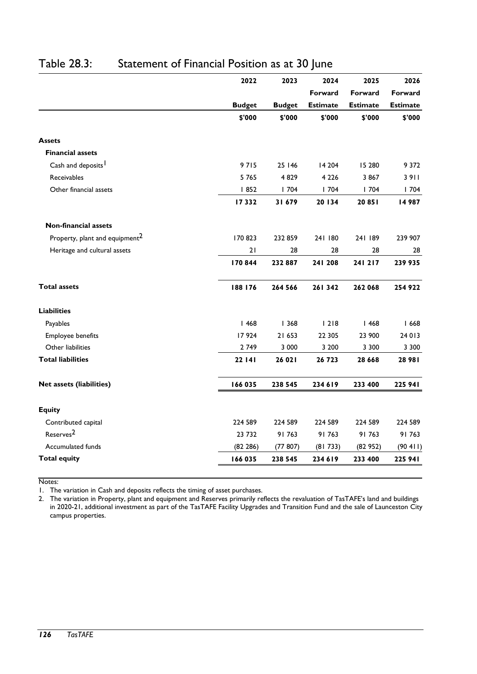|                                            | 2022          | 2023          | 2024            | 2025            | 2026            |
|--------------------------------------------|---------------|---------------|-----------------|-----------------|-----------------|
|                                            |               |               | Forward         | Forward         | Forward         |
|                                            | <b>Budget</b> | <b>Budget</b> | <b>Estimate</b> | <b>Estimate</b> | <b>Estimate</b> |
|                                            | \$'000        | \$'000        | \$'000          | \$'000          | \$'000          |
| <b>Assets</b>                              |               |               |                 |                 |                 |
| <b>Financial assets</b>                    |               |               |                 |                 |                 |
| Cash and deposits <sup>1</sup>             | 9715          | 25 146        | 14 204          | 15 280          | 9 3 7 2         |
| <b>Receivables</b>                         | 5765          | 4829          | 4 2 2 6         | 3 8 6 7         | 3911            |
| Other financial assets                     | 1852          | 1704          | 1704            | 1704            | 1704            |
|                                            | 17332         | 31 679        | 20 134          | 20 851          | 14987           |
| <b>Non-financial assets</b>                |               |               |                 |                 |                 |
| Property, plant and equipment <sup>2</sup> | 170 823       | 232 859       | 241 180         | 241 189         | 239 907         |
| Heritage and cultural assets               | 21            | 28            | 28              | 28              | 28              |
|                                            | 170844        | 232 887       | 241 208         | 241 217         | 239 935         |
| <b>Total assets</b>                        | 188 176       | 264 566       | 261342          | 262 068         | 254 922         |
| <b>Liabilities</b>                         |               |               |                 |                 |                 |
| Payables                                   | 1468          | 368           | 1218            | 1468            | 1668            |
| Employee benefits                          | 17924         | 21 653        | 22 305          | 23 900          | 24 013          |
| Other liabilities                          | 2 7 4 9       | 3 0 0 0       | 3 200           | 3 3 0 0         | 3 3 0 0         |
| <b>Total liabilities</b>                   | 22   4        | 26 021        | 26 723          | 28 6 68         | 28 981          |
| <b>Net assets (liabilities)</b>            | 166 035       | 238 545       | 234619          | 233 400         | 225 941         |
| <b>Equity</b>                              |               |               |                 |                 |                 |
| Contributed capital                        | 224 589       | 224 589       | 224 589         | 224 589         | 224 589         |
| Reserves <sup>2</sup>                      | 23732         | 91763         | 91763           | 91763           | 91763           |
| Accumulated funds                          | (82 286)      | (77807)       | (81733)         | (82952)         | (90 411)        |
| <b>Total equity</b>                        | 166 035       | 238 545       | 234619          | 233 400         | 225 941         |

### Table 28.3: Statement of Financial Position as at 30 June

Notes:

1. The variation in Cash and deposits reflects the timing of asset purchases.

2. The variation in Property, plant and equipment and Reserves primarily reflects the revaluation of TasTAFE's land and buildings in 2020-21, additional investment as part of the TasTAFE Facility Upgrades and Transition Fund and the sale of Launceston City campus properties.